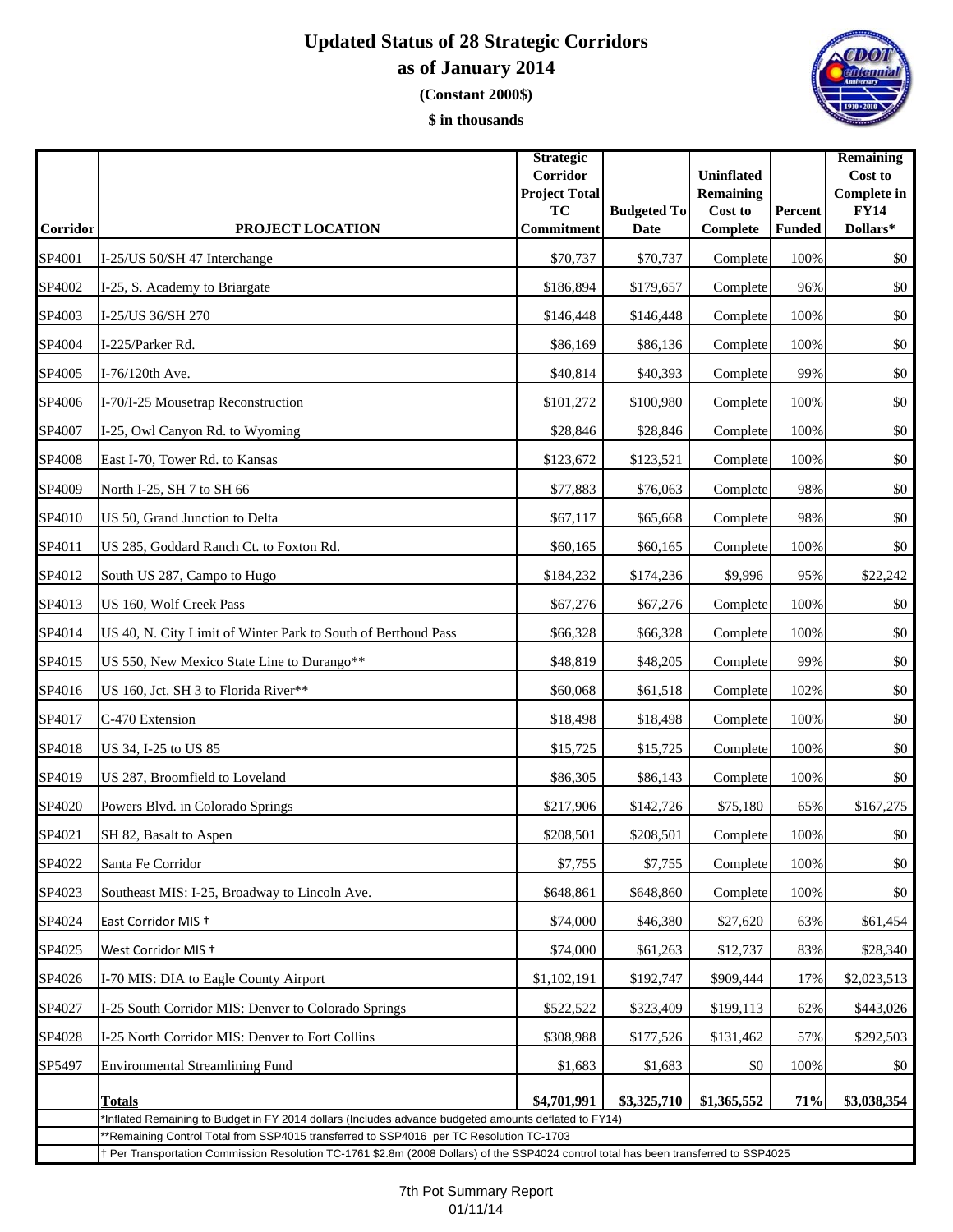# **Updated Status of 28 Strategic Corridors as of January 2014**

**(Constant 2000\$)**

**\$ in thousands**

| Corridor | PROJECT LOCATION                                                                                                                                                                                                                | <b>Strategic</b><br>Corridor<br><b>Project Total</b><br><b>TC</b><br>Commitment | <b>Budgeted To</b><br><b>Date</b> | <b>Uninflated</b><br><b>Remaining</b><br>Cost to<br>Complete | Percent<br><b>Funded</b> | <b>Remaining</b><br>Cost to<br><b>Complete</b> in<br><b>FY14</b><br>Dollars* |
|----------|---------------------------------------------------------------------------------------------------------------------------------------------------------------------------------------------------------------------------------|---------------------------------------------------------------------------------|-----------------------------------|--------------------------------------------------------------|--------------------------|------------------------------------------------------------------------------|
| SP4001   | I-25/US 50/SH 47 Interchange                                                                                                                                                                                                    | \$70,737                                                                        | \$70,737                          | Complete                                                     | 100%                     | \$0                                                                          |
| SP4002   | I-25, S. Academy to Briargate                                                                                                                                                                                                   | \$186,894                                                                       | \$179,657                         | Complete                                                     | 96%                      | \$0                                                                          |
| SP4003   | I-25/US 36/SH 270                                                                                                                                                                                                               | \$146,448                                                                       | \$146,448                         | Complete                                                     | 100%                     | \$0                                                                          |
| SP4004   | I-225/Parker Rd.                                                                                                                                                                                                                | \$86,169                                                                        | \$86,136                          | Complete                                                     | 100%                     | \$0                                                                          |
| SP4005   | I-76/120th Ave.                                                                                                                                                                                                                 | \$40,814                                                                        | \$40,393                          | Complete                                                     | 99%                      | $\$0$                                                                        |
| SP4006   | I-70/I-25 Mousetrap Reconstruction                                                                                                                                                                                              | \$101,272                                                                       | \$100,980                         | Complete                                                     | 100%                     | $\$0$                                                                        |
| SP4007   | I-25, Owl Canyon Rd. to Wyoming                                                                                                                                                                                                 | \$28,846                                                                        | \$28,846                          | Complete                                                     | 100%                     | \$0                                                                          |
| SP4008   | East I-70, Tower Rd. to Kansas                                                                                                                                                                                                  | \$123,672                                                                       | \$123,521                         | Complete                                                     | 100%                     | \$0                                                                          |
| SP4009   | North I-25, SH 7 to SH 66                                                                                                                                                                                                       | \$77,883                                                                        | \$76,063                          | Complete                                                     | 98%                      | \$0                                                                          |
| SP4010   | US 50, Grand Junction to Delta                                                                                                                                                                                                  | \$67,117                                                                        | \$65,668                          | Complete                                                     | 98%                      | \$0                                                                          |
| SP4011   | US 285, Goddard Ranch Ct. to Foxton Rd.                                                                                                                                                                                         | \$60,165                                                                        | \$60,165                          | Complete                                                     | 100%                     | \$0                                                                          |
| SP4012   | South US 287, Campo to Hugo                                                                                                                                                                                                     | \$184,232                                                                       | \$174,236                         | \$9,996                                                      | 95%                      | \$22,242                                                                     |
| SP4013   | US 160, Wolf Creek Pass                                                                                                                                                                                                         | \$67,276                                                                        | \$67,276                          | Complete                                                     | 100%                     | \$0                                                                          |
| SP4014   | US 40, N. City Limit of Winter Park to South of Berthoud Pass                                                                                                                                                                   | \$66,328                                                                        | \$66,328                          | Complete                                                     | 100%                     | \$0                                                                          |
| SP4015   | US 550, New Mexico State Line to Durango**                                                                                                                                                                                      | \$48,819                                                                        | \$48,205                          | Complete                                                     | 99%                      | $\$0$                                                                        |
| SP4016   | US 160, Jct. SH 3 to Florida River**                                                                                                                                                                                            | \$60,068                                                                        | \$61,518                          | Complete                                                     | 102%                     | $\$0$                                                                        |
| SP4017   | C-470 Extension                                                                                                                                                                                                                 | \$18,498                                                                        | \$18,498                          | Complete                                                     | 100%                     | \$0                                                                          |
| SP4018   | US 34, I-25 to US 85                                                                                                                                                                                                            | \$15,725                                                                        | \$15,725                          | Complete                                                     | 100%                     | \$0                                                                          |
| SP4019   | US 287, Broomfield to Loveland                                                                                                                                                                                                  | \$86,305                                                                        | \$86,143                          | Complete                                                     | 100%                     | $\$0$                                                                        |
| SP4020   | Powers Blvd. in Colorado Springs                                                                                                                                                                                                | \$217,906                                                                       | \$142,726                         | \$75,180                                                     | 65%                      | \$167,275                                                                    |
| SP4021   | SH 82, Basalt to Aspen                                                                                                                                                                                                          | \$208,501                                                                       | \$208,501                         | Complete                                                     | 100%                     | \$0                                                                          |
| SP4022   | Santa Fe Corridor                                                                                                                                                                                                               | \$7,755                                                                         | \$7,755                           | Complete                                                     | 100%                     | \$0                                                                          |
| SP4023   | Southeast MIS: I-25, Broadway to Lincoln Ave.                                                                                                                                                                                   | \$648,861                                                                       | \$648,860                         | Complete                                                     | 100%                     | \$0                                                                          |
| SP4024   | East Corridor MIS +                                                                                                                                                                                                             | \$74,000                                                                        | \$46,380                          | \$27,620                                                     | 63%                      | \$61,454                                                                     |
| SP4025   | West Corridor MIS +                                                                                                                                                                                                             | \$74,000                                                                        | \$61,263                          | \$12,737                                                     | 83%                      | \$28,340                                                                     |
| SP4026   | I-70 MIS: DIA to Eagle County Airport                                                                                                                                                                                           | \$1,102,191                                                                     | \$192,747                         | \$909,444                                                    | 17%                      | \$2,023,513                                                                  |
| SP4027   | I-25 South Corridor MIS: Denver to Colorado Springs                                                                                                                                                                             | \$522,522                                                                       | \$323,409                         | \$199,113                                                    | 62%                      | \$443,026                                                                    |
| SP4028   | I-25 North Corridor MIS: Denver to Fort Collins                                                                                                                                                                                 | \$308,988                                                                       | \$177,526                         | \$131,462                                                    | 57%                      | \$292,503                                                                    |
| SP5497   | <b>Environmental Streamlining Fund</b>                                                                                                                                                                                          | \$1,683                                                                         | \$1,683                           | \$0                                                          | 100%                     | \$0                                                                          |
|          | <b>Totals</b><br>Inflated Remaining to Budget in FY 2014 dollars (Includes advance budgeted amounts deflated to FY14)                                                                                                           | \$4,701,991                                                                     | \$3,325,710                       | \$1,365,552                                                  | 71%                      | \$3,038,354                                                                  |
|          | *Remaining Control Total from SSP4015 transferred to SSP4016 per TC Resolution TC-1703<br>† Per Transportation Commission Resolution TC-1761 \$2.8m (2008 Dollars) of the SSP4024 control total has been transferred to SSP4025 |                                                                                 |                                   |                                                              |                          |                                                                              |
|          |                                                                                                                                                                                                                                 |                                                                                 |                                   |                                                              |                          |                                                                              |

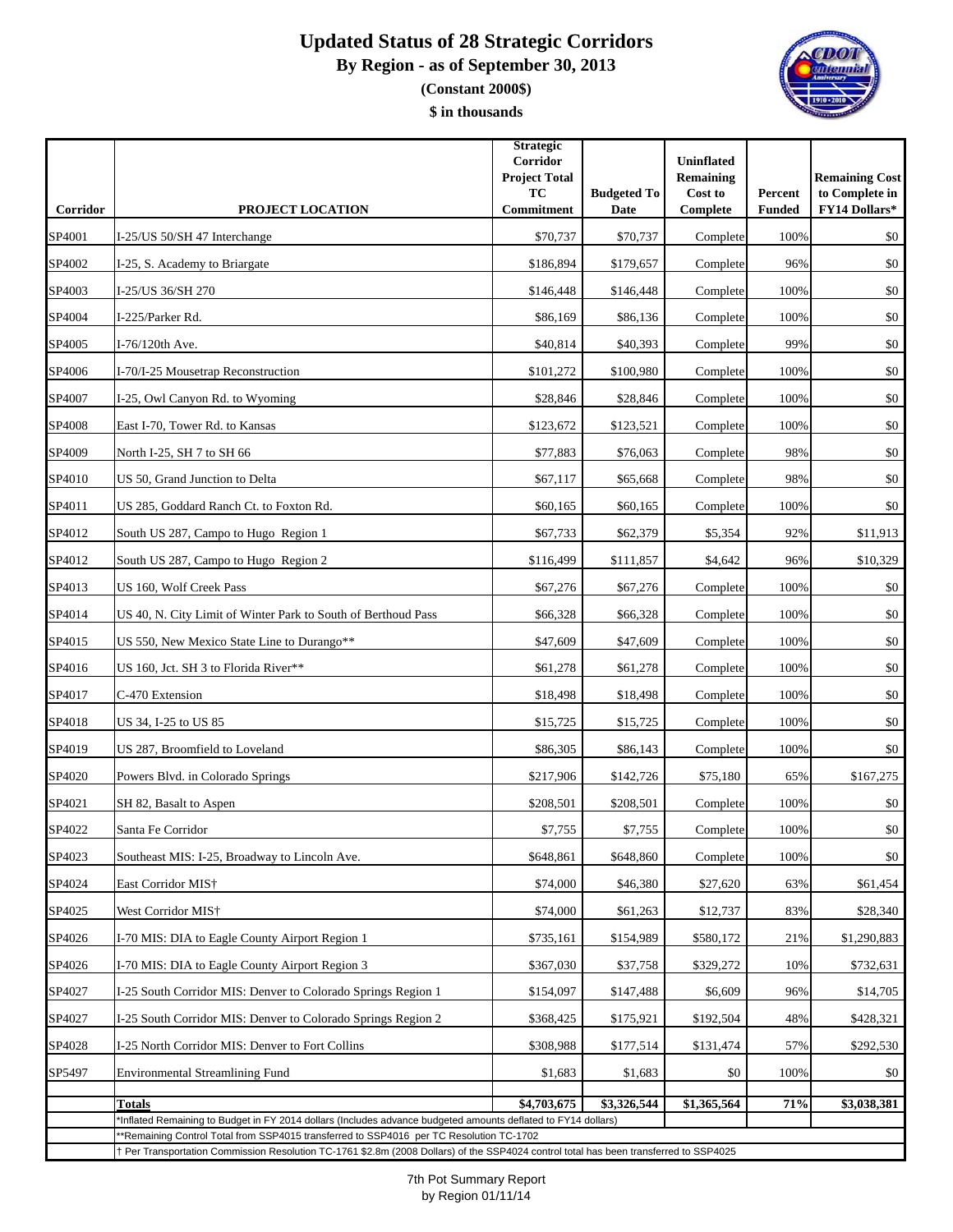# **Updated Status of 28 Strategic Corridors**

**By Region - as of September 30, 2013**



**(Constant 2000\$)**

**\$ in thousands**

| Corridor | PROJECT LOCATION                                                                                                                                                                                                              | <b>Strategic</b><br>Corridor<br><b>Project Total</b><br>TC<br><b>Commitment</b> | <b>Budgeted To</b><br>Date | <b>Uninflated</b><br>Remaining<br>Cost to<br>Complete | Percent<br><b>Funded</b> | <b>Remaining Cost</b><br>to Complete in<br><b>FY14 Dollars*</b> |
|----------|-------------------------------------------------------------------------------------------------------------------------------------------------------------------------------------------------------------------------------|---------------------------------------------------------------------------------|----------------------------|-------------------------------------------------------|--------------------------|-----------------------------------------------------------------|
| SP4001   | I-25/US 50/SH 47 Interchange                                                                                                                                                                                                  | \$70,737                                                                        | \$70,737                   | Complete                                              | 100%                     | \$0                                                             |
| SP4002   | I-25, S. Academy to Briargate                                                                                                                                                                                                 | \$186,894                                                                       | \$179,657                  | Complete                                              | 96%                      | \$0                                                             |
| SP4003   | I-25/US 36/SH 270                                                                                                                                                                                                             | \$146,448                                                                       | \$146,448                  | Complete                                              | 100%                     | \$0                                                             |
| SP4004   | I-225/Parker Rd.                                                                                                                                                                                                              | \$86,169                                                                        | \$86,136                   | Complete                                              | 100%                     | \$0                                                             |
| SP4005   | I-76/120th Ave.                                                                                                                                                                                                               | \$40,814                                                                        | \$40,393                   | Complete                                              | 99%                      | \$0                                                             |
| SP4006   | I-70/I-25 Mousetrap Reconstruction                                                                                                                                                                                            | \$101,272                                                                       | \$100,980                  | Complete                                              | 100%                     | \$0                                                             |
| SP4007   | I-25, Owl Canyon Rd. to Wyoming                                                                                                                                                                                               | \$28,846                                                                        | \$28,846                   | Complete                                              | 100%                     | \$0                                                             |
| SP4008   | East I-70, Tower Rd. to Kansas                                                                                                                                                                                                | \$123,672                                                                       | \$123,521                  | Complete                                              | 100%                     | $\$0$                                                           |
| SP4009   | North I-25, SH 7 to SH 66                                                                                                                                                                                                     | \$77,883                                                                        | \$76,063                   | Complete                                              | 98%                      | \$0                                                             |
| SP4010   | US 50, Grand Junction to Delta                                                                                                                                                                                                | \$67,117                                                                        | \$65,668                   | Complete                                              | 98%                      | $\$0$                                                           |
| SP4011   | US 285, Goddard Ranch Ct. to Foxton Rd.                                                                                                                                                                                       | \$60,165                                                                        | \$60,165                   | Complete                                              | 100%                     | \$0                                                             |
| SP4012   | South US 287, Campo to Hugo Region 1                                                                                                                                                                                          | \$67,733                                                                        | \$62,379                   | \$5,354                                               | 92%                      | \$11,913                                                        |
| SP4012   | South US 287, Campo to Hugo Region 2                                                                                                                                                                                          | \$116,499                                                                       | \$111,857                  | \$4,642                                               | 96%                      | \$10,329                                                        |
| SP4013   | US 160, Wolf Creek Pass                                                                                                                                                                                                       | \$67,276                                                                        | \$67,276                   | Complete                                              | 100%                     | \$0                                                             |
| SP4014   | US 40, N. City Limit of Winter Park to South of Berthoud Pass                                                                                                                                                                 | \$66,328                                                                        | \$66,328                   | Complete                                              | 100%                     | \$0                                                             |
| SP4015   | US 550, New Mexico State Line to Durango**                                                                                                                                                                                    | \$47,609                                                                        | \$47,609                   | Complete                                              | 100%                     | \$0                                                             |
| SP4016   | US 160, Jct. SH 3 to Florida River**                                                                                                                                                                                          | \$61,278                                                                        | \$61,278                   | Complete                                              | 100%                     | $\$0$                                                           |
| SP4017   | C-470 Extension                                                                                                                                                                                                               | \$18,498                                                                        | \$18,498                   | Complete                                              | 100%                     | \$0                                                             |
| SP4018   | US 34, I-25 to US 85                                                                                                                                                                                                          | \$15,725                                                                        | \$15,725                   | Complete                                              | 100%                     | $\$0$                                                           |
| SP4019   | US 287, Broomfield to Loveland                                                                                                                                                                                                | \$86,305                                                                        | \$86,143                   | Complete                                              | 100%                     | \$0                                                             |
| SP4020   | Powers Blvd. in Colorado Springs                                                                                                                                                                                              | \$217,906                                                                       | \$142,726                  | \$75,180                                              | 65%                      | \$167,275                                                       |
| SP4021   | SH 82, Basalt to Aspen                                                                                                                                                                                                        | \$208,501                                                                       | \$208,501                  | Complete                                              | 100%                     | \$0                                                             |
| SP4022   | Santa Fe Corridor                                                                                                                                                                                                             | \$7,755                                                                         | \$7,755                    | Complete                                              | 100%                     | \$0                                                             |
| SP4023   | Southeast MIS: I-25, Broadway to Lincoln Ave.                                                                                                                                                                                 | \$648,861                                                                       | \$648,860                  | Complete                                              | 100%                     | \$0                                                             |
| SP4024   | East Corridor MIS†                                                                                                                                                                                                            | \$74,000                                                                        | \$46,380                   | \$27,620                                              | 63%                      | \$61,454                                                        |
| SP4025   | West Corridor MIS†                                                                                                                                                                                                            | \$74,000                                                                        | \$61,263                   | \$12,737                                              | 83%                      | \$28,340                                                        |
| SP4026   | I-70 MIS: DIA to Eagle County Airport Region 1                                                                                                                                                                                | \$735,161                                                                       | \$154,989                  | \$580,172                                             | 21%                      | \$1,290,883                                                     |
| SP4026   | I-70 MIS: DIA to Eagle County Airport Region 3                                                                                                                                                                                | \$367,030                                                                       | \$37,758                   | \$329,272                                             | 10%                      | \$732,631                                                       |
| SP4027   | I-25 South Corridor MIS: Denver to Colorado Springs Region 1                                                                                                                                                                  | \$154,097                                                                       | \$147,488                  | \$6,609                                               | 96%                      | \$14,705                                                        |
| SP4027   | I-25 South Corridor MIS: Denver to Colorado Springs Region 2                                                                                                                                                                  | \$368,425                                                                       | \$175,921                  | \$192,504                                             | 48%                      | \$428,321                                                       |
| SP4028   | I-25 North Corridor MIS: Denver to Fort Collins                                                                                                                                                                               | \$308,988                                                                       | \$177,514                  | \$131,474                                             | 57%                      | \$292,530                                                       |
| SP5497   | <b>Environmental Streamlining Fund</b>                                                                                                                                                                                        | \$1,683                                                                         | \$1,683                    | \$0                                                   | 100%                     | \$0                                                             |
|          | Totals<br>Inflated Remaining to Budget in FY 2014 dollars (Includes advance budgeted amounts deflated to FY14 dollars)                                                                                                        | \$4,703,675                                                                     | \$3,326,544                | \$1,365,564                                           | 71%                      | \$3,038,381                                                     |
|          | *Remaining Control Total from SSP4015 transferred to SSP4016 per TC Resolution TC-1702<br>Per Transportation Commission Resolution TC-1761 \$2.8m (2008 Dollars) of the SSP4024 control total has been transferred to SSP4025 |                                                                                 |                            |                                                       |                          |                                                                 |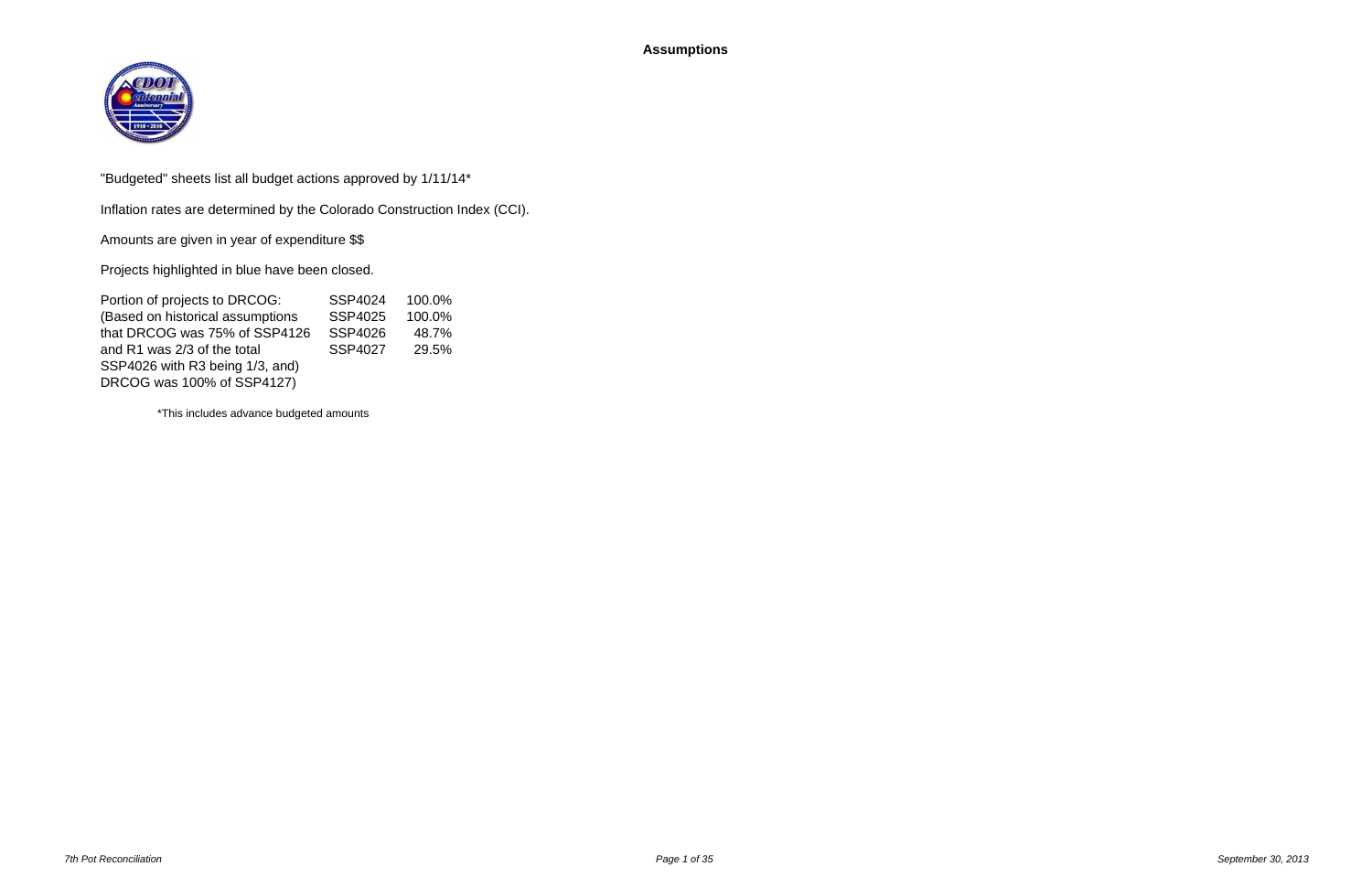**Assumptions**



"Budgeted" sheets list all budget actions approved by 1/11/14\*

Inflation rates are determined by the Colorado Construction Index (CCI).

Amounts are given in year of expenditure \$\$

Projects highlighted in blue have been closed.

| Portion of projects to DRCOG:    | <b>SSP4024</b> | 100.0% |
|----------------------------------|----------------|--------|
| (Based on historical assumptions | <b>SSP4025</b> | 100.0% |
| that DRCOG was 75% of SSP4126    | SSP4026        | 48.7%  |
| and R1 was 2/3 of the total      | <b>SSP4027</b> | 29.5%  |
| SSP4026 with R3 being 1/3, and)  |                |        |
| DRCOG was 100% of SSP4127)       |                |        |

\*This includes advance budgeted amounts

*Page 1 of 35 September 30, 2013*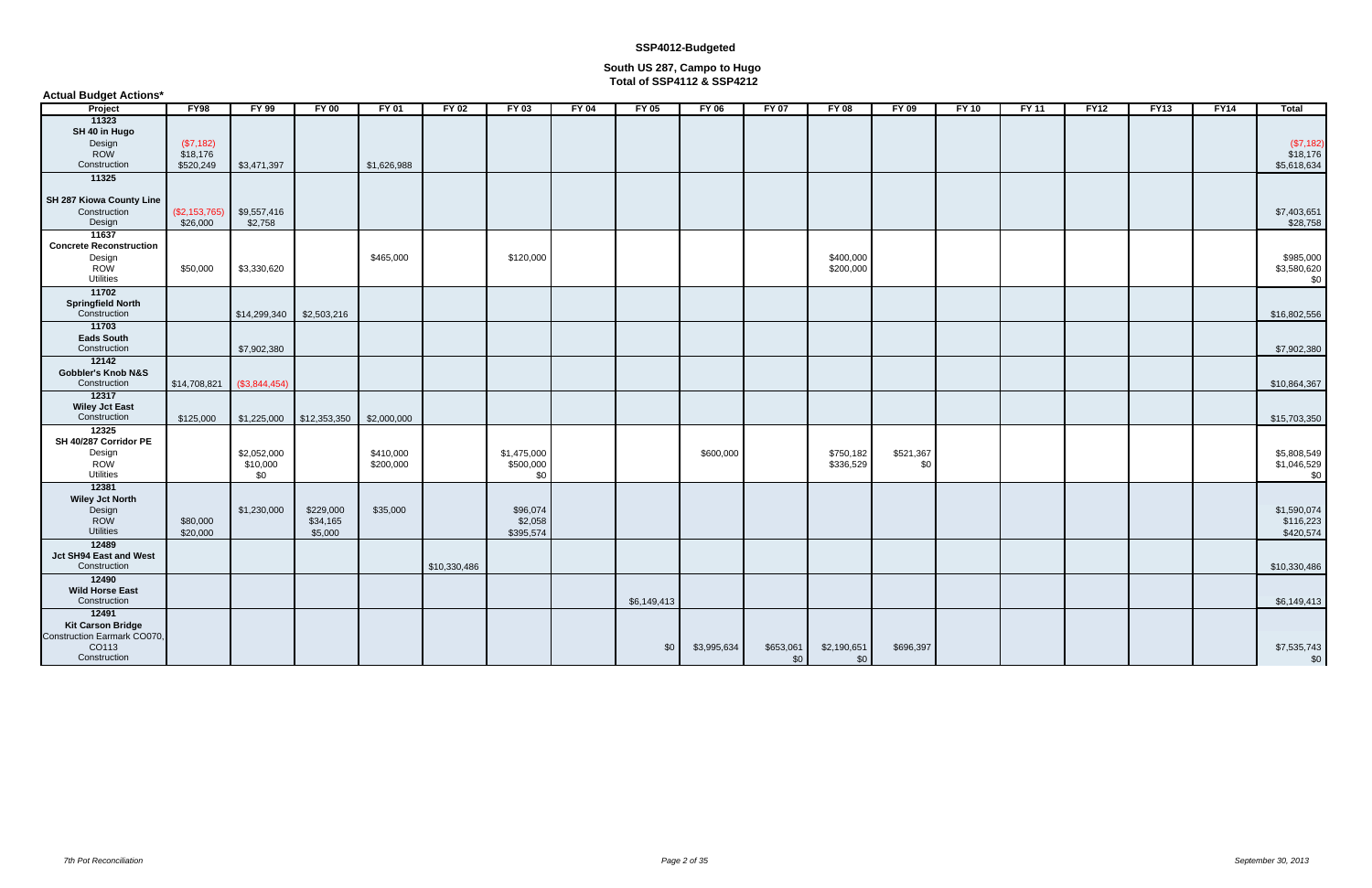| <b>Actual Budget Actions*</b>                           |                   |                             |              |              |              |              |              |             |              |              |                        |              |         |              |             |             |             |                    |
|---------------------------------------------------------|-------------------|-----------------------------|--------------|--------------|--------------|--------------|--------------|-------------|--------------|--------------|------------------------|--------------|---------|--------------|-------------|-------------|-------------|--------------------|
| Project                                                 | <b>FY98</b>       | FY 99                       | $FY$ 00      | <b>FY 01</b> | <b>FY 02</b> | <b>FY 03</b> | <b>FY 04</b> | $FY$ 05     | <b>FY 06</b> | <b>FY 07</b> | <b>FY 08</b>           | <b>FY 09</b> | $FY$ 10 | <b>FY 11</b> | <b>FY12</b> | <b>FY13</b> | <b>FY14</b> | <b>Total</b>       |
| 11323                                                   |                   |                             |              |              |              |              |              |             |              |              |                        |              |         |              |             |             |             |                    |
| SH 40 in Hugo<br>Design                                 | (\$7,182)         |                             |              |              |              |              |              |             |              |              |                        |              |         |              |             |             |             | (\$7,182)          |
| ROW                                                     | \$18,176          |                             |              |              |              |              |              |             |              |              |                        |              |         |              |             |             |             | \$18,176           |
| Construction                                            | \$520,249         | \$3,471,397                 |              | \$1,626,988  |              |              |              |             |              |              |                        |              |         |              |             |             |             | \$5,618,634        |
| 11325                                                   |                   |                             |              |              |              |              |              |             |              |              |                        |              |         |              |             |             |             |                    |
| <b>SH 287 Kiowa County Line</b>                         |                   |                             |              |              |              |              |              |             |              |              |                        |              |         |              |             |             |             |                    |
| Construction                                            | $(\$2, 153, 765)$ | \$9,557,416                 |              |              |              |              |              |             |              |              |                        |              |         |              |             |             |             | \$7,403,651        |
| Design                                                  | \$26,000          | \$2,758                     |              |              |              |              |              |             |              |              |                        |              |         |              |             |             |             | \$28,758           |
| 11637                                                   |                   |                             |              |              |              |              |              |             |              |              |                        |              |         |              |             |             |             |                    |
| <b>Concrete Reconstruction</b>                          |                   |                             |              |              |              |              |              |             |              |              |                        |              |         |              |             |             |             |                    |
| Design<br><b>ROW</b>                                    | \$50,000          | \$3,330,620                 |              | \$465,000    |              | \$120,000    |              |             |              |              | \$400,000<br>\$200,000 |              |         |              |             |             |             | \$985,000          |
| <b>Utilities</b>                                        |                   |                             |              |              |              |              |              |             |              |              |                        |              |         |              |             |             |             | \$3,580,620<br>\$0 |
| 11702                                                   |                   |                             |              |              |              |              |              |             |              |              |                        |              |         |              |             |             |             |                    |
| <b>Springfield North</b>                                |                   |                             |              |              |              |              |              |             |              |              |                        |              |         |              |             |             |             |                    |
| Construction<br>11703                                   |                   | $$14,299,340$ $$2,503,216$  |              |              |              |              |              |             |              |              |                        |              |         |              |             |             |             | \$16,802,556       |
| <b>Eads South</b>                                       |                   |                             |              |              |              |              |              |             |              |              |                        |              |         |              |             |             |             |                    |
| Construction                                            |                   | \$7,902,380                 |              |              |              |              |              |             |              |              |                        |              |         |              |             |             |             | \$7,902,380        |
| 12142                                                   |                   |                             |              |              |              |              |              |             |              |              |                        |              |         |              |             |             |             |                    |
| <b>Gobbler's Knob N&amp;S</b><br>Construction           |                   |                             |              |              |              |              |              |             |              |              |                        |              |         |              |             |             |             |                    |
| 12317                                                   |                   | $$14,708,821$ (\$3,844,454) |              |              |              |              |              |             |              |              |                        |              |         |              |             |             |             | \$10,864,367       |
| <b>Wiley Jct East</b>                                   |                   |                             |              |              |              |              |              |             |              |              |                        |              |         |              |             |             |             |                    |
| Construction                                            | \$125,000         | \$1,225,000                 | \$12,353,350 | \$2,000,000  |              |              |              |             |              |              |                        |              |         |              |             |             |             | \$15,703,350       |
| 12325                                                   |                   |                             |              |              |              |              |              |             |              |              |                        |              |         |              |             |             |             |                    |
| SH 40/287 Corridor PE<br>Design                         |                   | \$2,052,000                 |              | \$410,000    |              | \$1,475,000  |              |             | \$600,000    |              | \$750,182              | \$521,367    |         |              |             |             |             | \$5,808,549        |
| ROW                                                     |                   | \$10,000                    |              | \$200,000    |              | \$500,000    |              |             |              |              | \$336,529              | \$0          |         |              |             |             |             | \$1,046,529        |
| Utilities                                               |                   | \$0                         |              |              |              | \$0          |              |             |              |              |                        |              |         |              |             |             |             | \$0                |
| 12381                                                   |                   |                             |              |              |              |              |              |             |              |              |                        |              |         |              |             |             |             |                    |
| <b>Wiley Jct North</b><br>Design                        |                   | \$1,230,000                 | \$229,000    | \$35,000     |              | \$96,074     |              |             |              |              |                        |              |         |              |             |             |             | \$1,590,074        |
| ROW                                                     | \$80,000          |                             | \$34,165     |              |              | \$2,058      |              |             |              |              |                        |              |         |              |             |             |             | \$116,223          |
| <b>Utilities</b>                                        | \$20,000          |                             | \$5,000      |              |              | \$395,574    |              |             |              |              |                        |              |         |              |             |             |             | \$420,574          |
| 12489                                                   |                   |                             |              |              |              |              |              |             |              |              |                        |              |         |              |             |             |             |                    |
| Jct SH94 East and West<br>Construction                  |                   |                             |              |              | \$10,330,486 |              |              |             |              |              |                        |              |         |              |             |             |             | \$10,330,486       |
| 12490                                                   |                   |                             |              |              |              |              |              |             |              |              |                        |              |         |              |             |             |             |                    |
| <b>Wild Horse East</b>                                  |                   |                             |              |              |              |              |              |             |              |              |                        |              |         |              |             |             |             |                    |
| Construction                                            |                   |                             |              |              |              |              |              | \$6,149,413 |              |              |                        |              |         |              |             |             |             | \$6,149,413        |
| 12491                                                   |                   |                             |              |              |              |              |              |             |              |              |                        |              |         |              |             |             |             |                    |
| <b>Kit Carson Bridge</b><br>Construction Earmark CO070, |                   |                             |              |              |              |              |              |             |              |              |                        |              |         |              |             |             |             |                    |
| CO113                                                   |                   |                             |              |              |              |              |              | \$0         | \$3,995,634  | \$653,061    | \$2,190,651            | \$696,397    |         |              |             |             |             | \$7,535,743        |
| Construction                                            |                   |                             |              |              |              |              |              |             |              | \$0          | \$0                    |              |         |              |             |             |             | \$0                |

## **South US 287, Campo to Hugo Total of SSP4112 & SSP4212**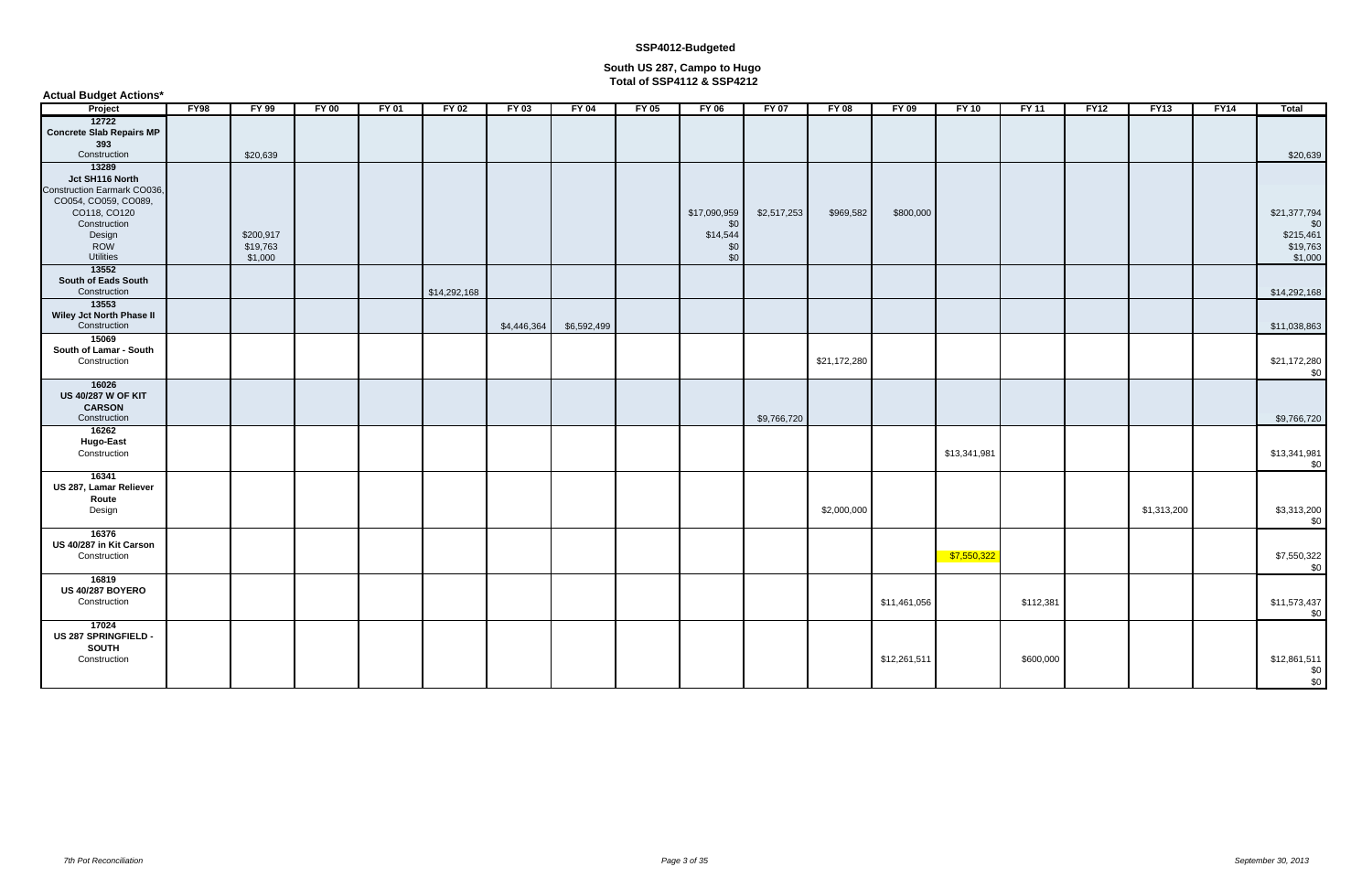## **South US 287, Campo to Hugo Total of SSP4112 & SSP4212**

Project | FY98 | FY99 | FY00 | FY01 | FY02 | FY03 | FY04 | FY05 | FY06 | FY07 | FY08 | FY09 | FY10 | FY11 | FY12 | FY13 | FY14 | Total **Actual Budget Actions\* 12722 Concrete Slab Repairs MP 393Construction**  \$20,639 \$20,639 **13289 Jct SH116 North** Construction Earmark CO036, CO054, CO059, CO089, CO118, CO120 \$17,090,959 \$2,517,253 \$969,582 \$800,000 \$21,377,794 Construction \$0 \$0 Design | \$200,917 \$200,917 \$215,461 \$14,544 \$14,544 \$14,544 \$14,544 \$215,461 \$215,461 ROW \$19,763 \$0 \$19,763 Utilities\$1,000 \$1,000 \$1,000 \$1,000 \$1,000 \$1,000 \$0 \$0 \$0,000 \$1,000 \$1,000 \$1,000 \$1,000 \$1,000 \$1,000 \$1,000 \$1,000 **13552 South of Eads SouthConstruction**  \$14,292,168 \$14,292,168 **13553 Wiley Jct North Phase II** Construction \$4,446,364 \$6,592,499 \$11,038,863 **15069 South of Lamar - South** Construction \$21,172,280 \$21,172,280 **16026 US 40/287 W OF KIT CARSON** Construction \$9,766,720 \$9,766,720 **16262 Hugo-East** Construction \$13,341,981 \$13,341,981 **16341 US 287, Lamar Reliever Route** Design \$2,000,000 \$1,313,200 \$3,313,200 **16376 US 40/287 in Kit Carson**Construction \$7,550,322 \$7,550,322 **16819 US 40/287 BOYERO** Construction \$11,461,056 \$112,381 \$11,573,437 **17024 US 287 SPRINGFIELD - SOUTH** Construction\$12,261,511 \$600,000 \$12,861,511

| <b>FY 11</b> | <b>FY12</b> | <b>FY13</b> | <b>FY14</b> | <b>Total</b>                                            |
|--------------|-------------|-------------|-------------|---------------------------------------------------------|
|              |             |             |             | \$20,639                                                |
|              |             |             |             |                                                         |
|              |             |             |             | \$21,377,794<br>\$0<br>\$215,461<br>\$19,763<br>\$1,000 |
|              |             |             |             | \$14,292,168                                            |
|              |             |             |             | \$11,038,863                                            |
|              |             |             |             | \$21,172,280<br>\$0                                     |
|              |             |             |             | \$9,766,720                                             |
|              |             |             |             | \$13,341,981<br>\$0                                     |
|              |             | \$1,313,200 |             | \$3,313,200<br>\$0                                      |
|              |             |             |             | \$7,550,322<br>\$0                                      |
| \$112,381    |             |             |             | \$11,573,437<br>\$0                                     |
| \$600,000    |             |             |             | \$12,861,511<br>\$0<br>\$0                              |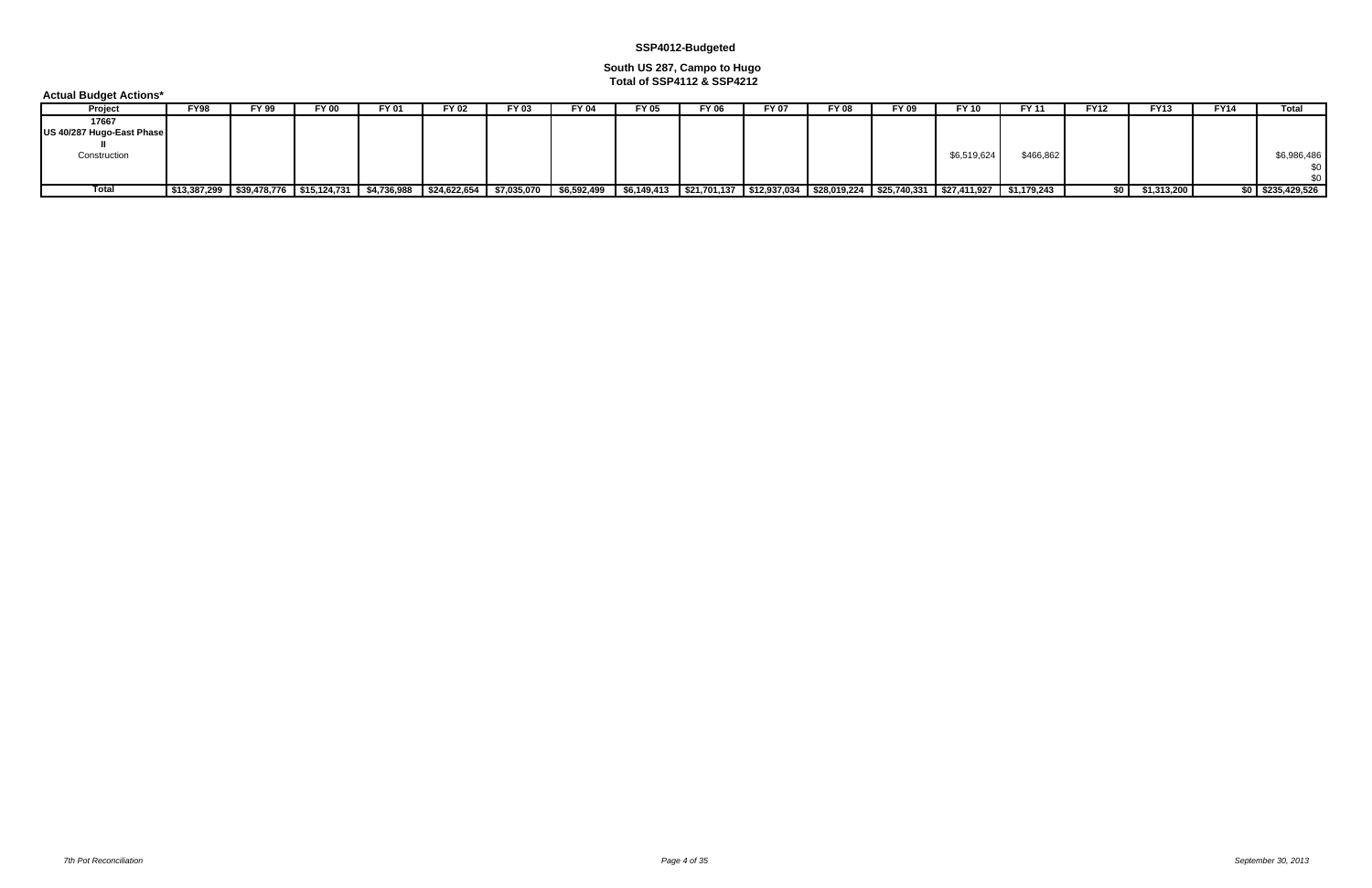**Actual Budget Actions\***

## **South US 287, Campo to Hugo Total of SSP4112 & SSP4212**

| <b>Project</b>            | <b>FY98</b>  | <b>FY 99</b> | <b>FY 00</b> | <b>FY 01</b> | FY 02                                                                                                                                                                                         | FY 03 | <b>FY 04</b> | <b>FY 05</b> | <b>FY 06</b> | <b>FY 07</b> | <b>FY 08</b> | FY 09 | FY 10       | FY 11     | <b>FY12</b> | <b>FY13</b> | <b>FY14</b> | Tota                              |
|---------------------------|--------------|--------------|--------------|--------------|-----------------------------------------------------------------------------------------------------------------------------------------------------------------------------------------------|-------|--------------|--------------|--------------|--------------|--------------|-------|-------------|-----------|-------------|-------------|-------------|-----------------------------------|
| 17667                     |              |              |              |              |                                                                                                                                                                                               |       |              |              |              |              |              |       |             |           |             |             |             |                                   |
| US 40/287 Hugo-East Phase |              |              |              |              |                                                                                                                                                                                               |       |              |              |              |              |              |       |             |           |             |             |             |                                   |
|                           |              |              |              |              |                                                                                                                                                                                               |       |              |              |              |              |              |       |             |           |             |             |             |                                   |
| Construction              |              |              |              |              |                                                                                                                                                                                               |       |              |              |              |              |              |       | \$6,519,624 | \$466,862 |             |             |             | \$6,986,486                       |
|                           |              |              |              |              |                                                                                                                                                                                               |       |              |              |              |              |              |       |             |           |             |             |             |                                   |
|                           |              |              |              |              |                                                                                                                                                                                               |       |              |              |              |              |              |       |             |           |             |             |             |                                   |
| Total                     | \$13,387,299 |              |              |              | } \$\$39,478,776 \$15,124,731 \$4,736,988 \$\$24,622,654 \$7,035,070 \$6,592,499 \$6,149,413 \$21,701,137 \$12,937,034 \$28,019,224 \$25,740,331 \$\$27,411,927 \$1,179,243 {\\$1,179,243}} } |       |              |              |              |              |              |       |             |           |             | \$1,313,200 |             | $$0 \mid $23\overline{5},429,526$ |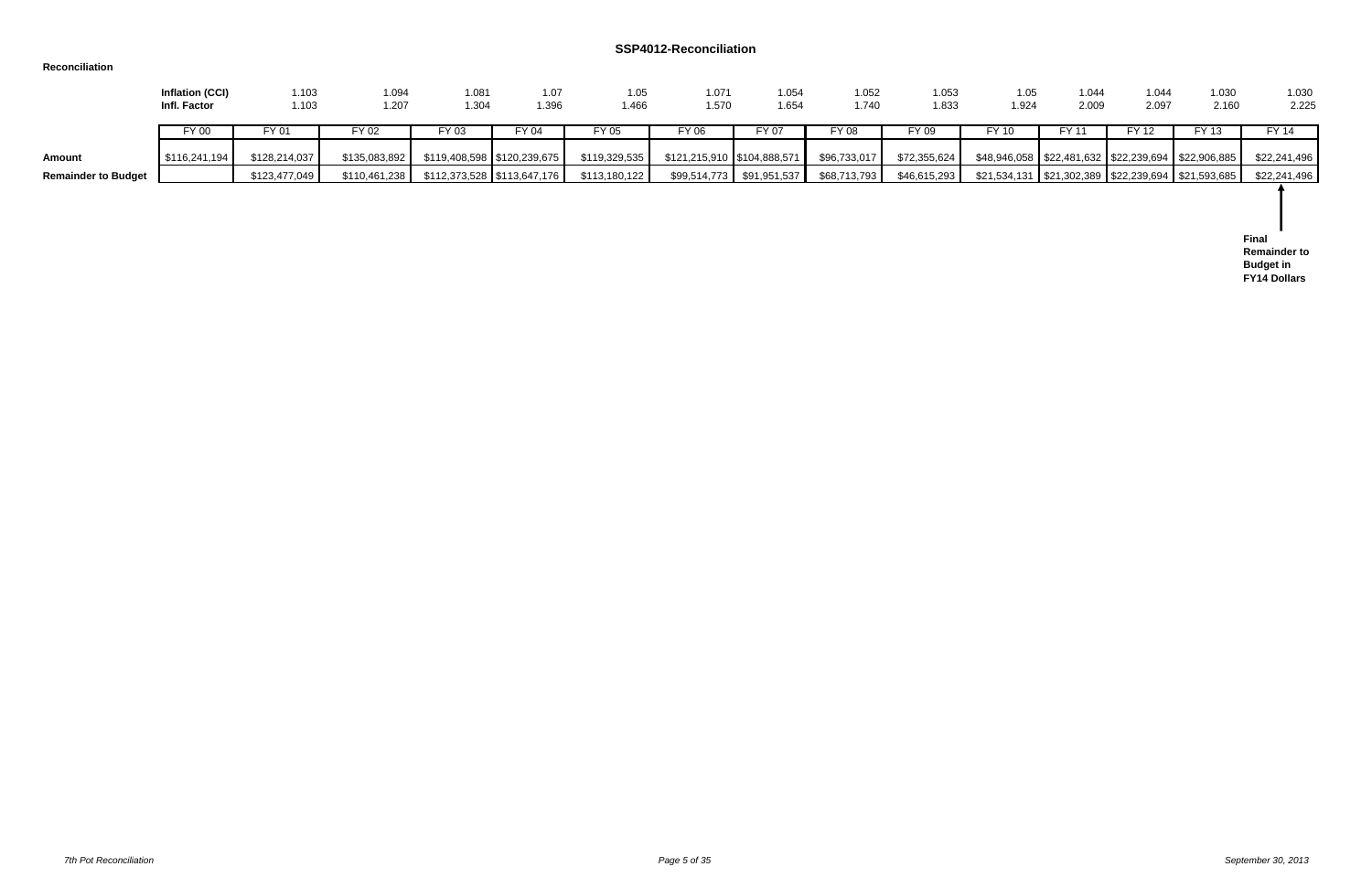## **SSP4012-Reconciliation**

#### **Reconciliation**

|                            | <b>Inflation (CCI)</b><br>Infl. Factor | 1.103<br>1.103 | 1.094<br>1.207 | 1.081<br>1.304                               | 1.07<br>1.396               | 1.05<br>1.466 | 1.071<br>1.570              | 1.054<br>1.654            | 1.052<br>1.740 | 1.053<br>1.833 | 1.05<br>1.924                                           | 1.044<br>2.009 | 1.044<br>2.097 | 1.030<br>2.160 | 1.030<br>2.225                                   |
|----------------------------|----------------------------------------|----------------|----------------|----------------------------------------------|-----------------------------|---------------|-----------------------------|---------------------------|----------------|----------------|---------------------------------------------------------|----------------|----------------|----------------|--------------------------------------------------|
|                            | FY 00                                  | FY 01          | FY 02          | FY 03                                        | FY 04                       | FY 05         | FY 06                       | FY 07                     | FY 08          | FY 09          | FY 10                                                   | FY 11          | FY 12          | FY 13          | FY 14                                            |
| Amount                     | \$116,241,194                          | \$128,214,037  | \$135,083,892  |                                              | \$119,408,598 \$120,239,675 | \$119,329,535 | \$121,215,910 \$104,888,571 |                           | \$96,733,017   | \$72,355,624   | $$48,946,058$ $$22,481,632$ $$22,239,694$ $$22,906,885$ |                |                |                | \$22,241,496                                     |
| <b>Remainder to Budget</b> |                                        | \$123,477,049  |                | $$110,461,238$ $$112,373,528$ $$113,647,176$ |                             | \$113,180,122 |                             | \$99,514,773 \$91,951,537 | \$68,713,793   | \$46,615,293   |                                                         |                |                |                | \$22,241,496                                     |
|                            |                                        |                |                |                                              |                             |               |                             |                           |                |                |                                                         |                |                |                |                                                  |
|                            |                                        |                |                |                                              |                             |               |                             |                           |                |                |                                                         |                |                |                | <b>Final</b><br><b>Remainder to</b><br>Dudest in |

**Budget in FY14 Dollars**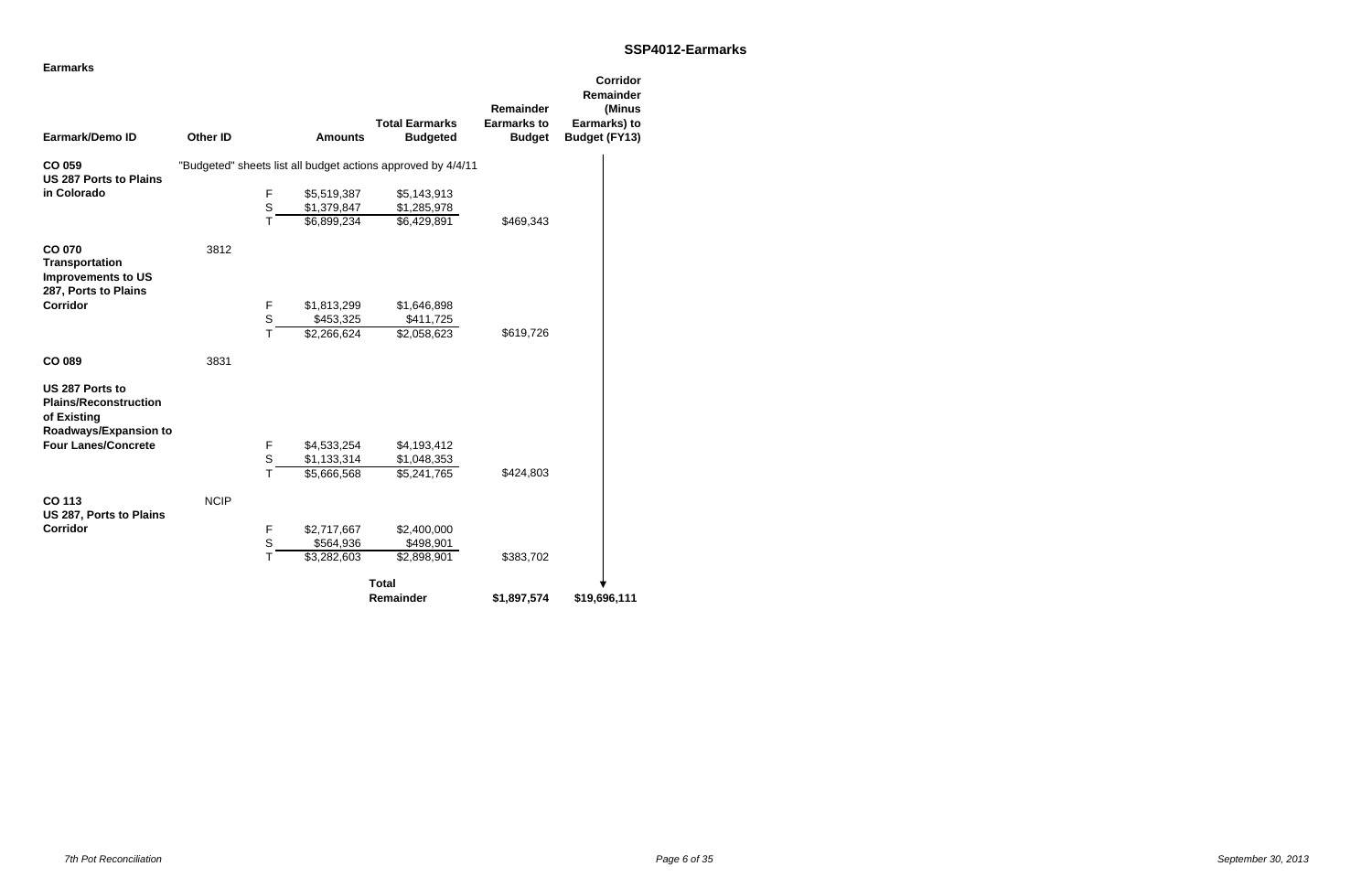## **SSP4012-Earmarks**

| <b>Earmarks</b>                                                                         |                 |              |                |                                                              |                                                  |                                                                                |
|-----------------------------------------------------------------------------------------|-----------------|--------------|----------------|--------------------------------------------------------------|--------------------------------------------------|--------------------------------------------------------------------------------|
| Earmark/Demo ID                                                                         | <b>Other ID</b> |              | <b>Amounts</b> | <b>Total Earmarks</b><br><b>Budgeted</b>                     | Remainder<br><b>Earmarks to</b><br><b>Budget</b> | <b>Corridor</b><br>Remainder<br>(Minus<br>Earmarks) to<br><b>Budget (FY13)</b> |
| CO 059                                                                                  |                 |              |                | "Budgeted" sheets list all budget actions approved by 4/4/11 |                                                  |                                                                                |
| <b>US 287 Ports to Plains</b>                                                           |                 |              |                |                                                              |                                                  |                                                                                |
| in Colorado                                                                             |                 | $\mathsf F$  | \$5,519,387    | \$5,143,913                                                  |                                                  |                                                                                |
|                                                                                         |                 | S            | \$1,379,847    | \$1,285,978                                                  |                                                  |                                                                                |
|                                                                                         |                 | $\mathsf{T}$ | \$6,899,234    | \$6,429,891                                                  | \$469,343                                        |                                                                                |
| <b>CO 070</b>                                                                           | 3812            |              |                |                                                              |                                                  |                                                                                |
| <b>Transportation</b>                                                                   |                 |              |                |                                                              |                                                  |                                                                                |
| <b>Improvements to US</b>                                                               |                 |              |                |                                                              |                                                  |                                                                                |
| 287, Ports to Plains                                                                    |                 |              |                |                                                              |                                                  |                                                                                |
| <b>Corridor</b>                                                                         |                 | F            | \$1,813,299    | \$1,646,898                                                  |                                                  |                                                                                |
|                                                                                         |                 | S            | \$453,325      | \$411,725                                                    |                                                  |                                                                                |
|                                                                                         |                 | т            | \$2,266,624    | \$2,058,623                                                  | \$619,726                                        |                                                                                |
| CO 089                                                                                  | 3831            |              |                |                                                              |                                                  |                                                                                |
| US 287 Ports to<br><b>Plains/Reconstruction</b><br>of Existing<br>Roadways/Expansion to |                 |              |                |                                                              |                                                  |                                                                                |
| <b>Four Lanes/Concrete</b>                                                              |                 | F            | \$4,533,254    | \$4,193,412                                                  |                                                  |                                                                                |
|                                                                                         |                 | $\mathsf S$  | \$1,133,314    | \$1,048,353                                                  |                                                  |                                                                                |
|                                                                                         |                 | т            | \$5,666,568    | $\overline{35,}241,765$                                      | \$424,803                                        |                                                                                |
| <b>CO 113</b><br>US 287, Ports to Plains                                                | <b>NCIP</b>     |              |                |                                                              |                                                  |                                                                                |
| <b>Corridor</b>                                                                         |                 | $\mathsf F$  | \$2,717,667    | \$2,400,000                                                  |                                                  |                                                                                |
|                                                                                         |                 | S            | \$564,936      | \$498,901                                                    |                                                  |                                                                                |
|                                                                                         |                 | T            | \$3,282,603    | $\overline{$}2,898,901$                                      | \$383,702                                        |                                                                                |
|                                                                                         |                 |              |                | <b>Total</b>                                                 |                                                  |                                                                                |
|                                                                                         |                 |              |                | <b>Remainder</b>                                             | \$1,897,574                                      | \$19,696,111                                                                   |

*Page 6 of 35 September 30, 2013*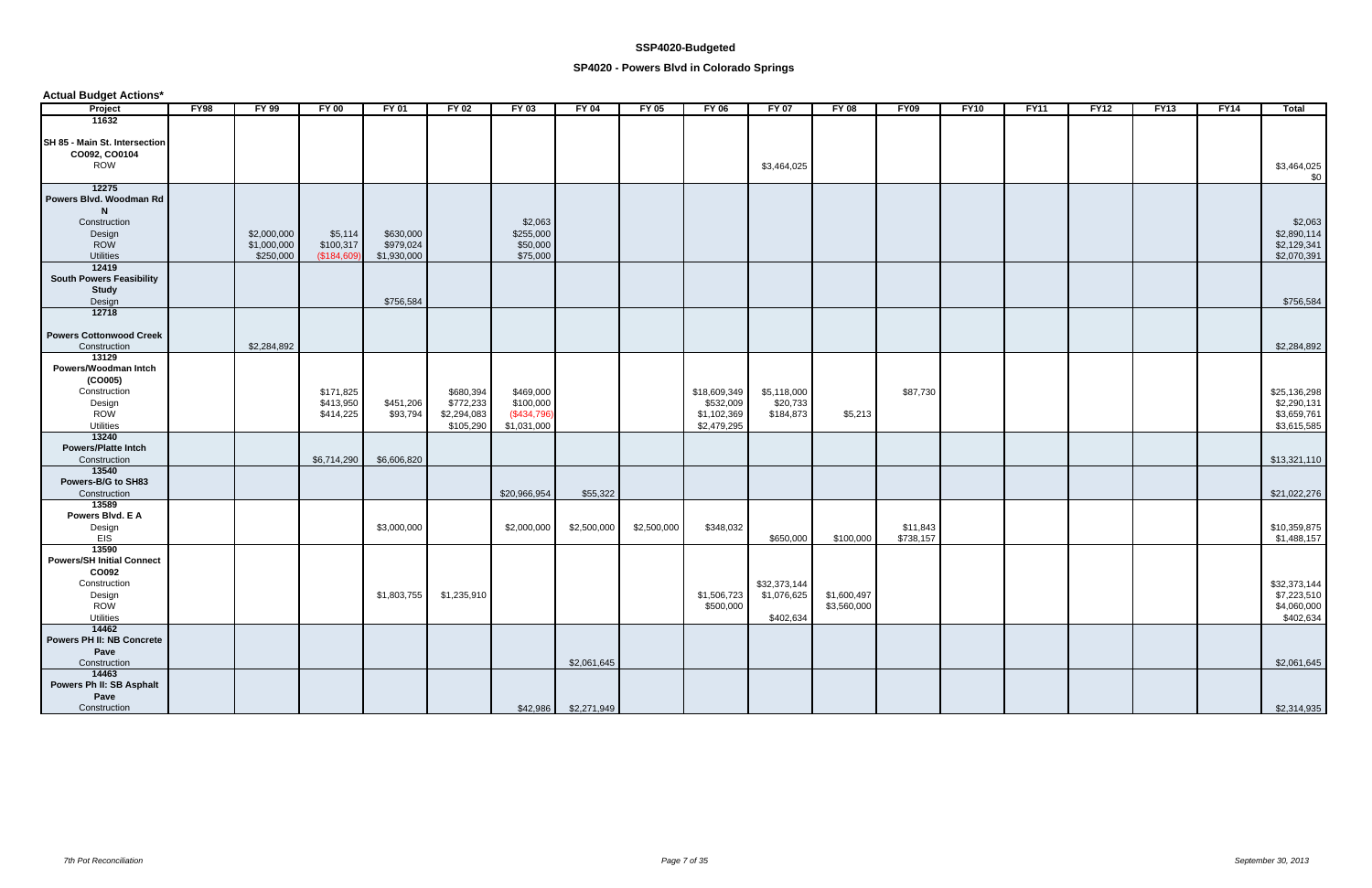**Actual Budget Actions\***

| Project                            | <b>FY98</b> | <b>FY 99</b> | <b>FY 00</b> | <b>FY 01</b> | <b>FY 02</b> | <b>FY 03</b> | <b>FY 04</b>         | $FY$ 05     | <b>FY 06</b> | <b>FY 07</b> | <b>FY 08</b>               | <b>FY09</b> | <b>FY10</b> | <b>FY11</b> | <b>FY12</b> | <b>FY13</b> | FY14 | Total        |
|------------------------------------|-------------|--------------|--------------|--------------|--------------|--------------|----------------------|-------------|--------------|--------------|----------------------------|-------------|-------------|-------------|-------------|-------------|------|--------------|
| 11632                              |             |              |              |              |              |              |                      |             |              |              |                            |             |             |             |             |             |      |              |
|                                    |             |              |              |              |              |              |                      |             |              |              |                            |             |             |             |             |             |      |              |
| SH 85 - Main St. Intersection      |             |              |              |              |              |              |                      |             |              |              |                            |             |             |             |             |             |      |              |
| CO092, CO0104                      |             |              |              |              |              |              |                      |             |              |              |                            |             |             |             |             |             |      |              |
| <b>ROW</b>                         |             |              |              |              |              |              |                      |             |              | \$3,464,025  |                            |             |             |             |             |             |      | \$3,464,025  |
|                                    |             |              |              |              |              |              |                      |             |              |              |                            |             |             |             |             |             |      | \$0          |
| 12275                              |             |              |              |              |              |              |                      |             |              |              |                            |             |             |             |             |             |      |              |
| Powers Blvd. Woodman Rd            |             |              |              |              |              |              |                      |             |              |              |                            |             |             |             |             |             |      |              |
| N                                  |             |              |              |              |              |              |                      |             |              |              |                            |             |             |             |             |             |      |              |
| Construction                       |             |              |              |              |              | \$2,063      |                      |             |              |              |                            |             |             |             |             |             |      | \$2,063      |
| Design                             |             | \$2,000,000  | \$5,114      | \$630,000    |              | \$255,000    |                      |             |              |              |                            |             |             |             |             |             |      | \$2,890,114  |
| ROW<br><b>Utilities</b>            |             | \$1,000,000  | \$100,317    | \$979,024    |              | \$50,000     |                      |             |              |              |                            |             |             |             |             |             |      | \$2,129,341  |
| 12419                              |             | \$250,000    | (\$184,609)  | \$1,930,000  |              | \$75,000     |                      |             |              |              |                            |             |             |             |             |             |      | \$2,070,391  |
| <b>South Powers Feasibility</b>    |             |              |              |              |              |              |                      |             |              |              |                            |             |             |             |             |             |      |              |
| <b>Study</b>                       |             |              |              |              |              |              |                      |             |              |              |                            |             |             |             |             |             |      |              |
| Design                             |             |              |              | \$756,584    |              |              |                      |             |              |              |                            |             |             |             |             |             |      | \$756,584    |
| 12718                              |             |              |              |              |              |              |                      |             |              |              |                            |             |             |             |             |             |      |              |
|                                    |             |              |              |              |              |              |                      |             |              |              |                            |             |             |             |             |             |      |              |
| <b>Powers Cottonwood Creek</b>     |             |              |              |              |              |              |                      |             |              |              |                            |             |             |             |             |             |      |              |
| Construction                       |             | \$2,284,892  |              |              |              |              |                      |             |              |              |                            |             |             |             |             |             |      | \$2,284,892  |
| 13129                              |             |              |              |              |              |              |                      |             |              |              |                            |             |             |             |             |             |      |              |
| Powers/Woodman Intch               |             |              |              |              |              |              |                      |             |              |              |                            |             |             |             |             |             |      |              |
| (CO005)                            |             |              |              |              |              |              |                      |             |              |              |                            |             |             |             |             |             |      |              |
| Construction                       |             |              | \$171,825    |              | \$680,394    | \$469,000    |                      |             | \$18,609,349 | \$5,118,000  |                            | \$87,730    |             |             |             |             |      | \$25,136,298 |
| Design                             |             |              | \$413,950    | \$451,206    | \$772,233    | \$100,000    |                      |             | \$532,009    | \$20,733     |                            |             |             |             |             |             |      | \$2,290,131  |
| ROW                                |             |              | \$414,225    | \$93,794     | \$2,294,083  | (\$434,796)  |                      |             | \$1,102,369  | \$184,873    | \$5,213                    |             |             |             |             |             |      | \$3,659,761  |
| <b>Utilities</b>                   |             |              |              |              | \$105,290    | \$1,031,000  |                      |             | \$2,479,295  |              |                            |             |             |             |             |             |      | \$3,615,585  |
| 13240                              |             |              |              |              |              |              |                      |             |              |              |                            |             |             |             |             |             |      |              |
| <b>Powers/Platte Intch</b>         |             |              |              |              |              |              |                      |             |              |              |                            |             |             |             |             |             |      |              |
| Construction                       |             |              | \$6,714,290  | \$6,606,820  |              |              |                      |             |              |              |                            |             |             |             |             |             |      | \$13,321,110 |
| 13540                              |             |              |              |              |              |              |                      |             |              |              |                            |             |             |             |             |             |      |              |
| Powers-B/G to SH83<br>Construction |             |              |              |              |              | \$20,966,954 | \$55,322             |             |              |              |                            |             |             |             |             |             |      | \$21,022,276 |
| 13589                              |             |              |              |              |              |              |                      |             |              |              |                            |             |             |             |             |             |      |              |
| Powers Blvd. E A                   |             |              |              |              |              |              |                      |             |              |              |                            |             |             |             |             |             |      |              |
| Design                             |             |              |              | \$3,000,000  |              | \$2,000,000  | \$2,500,000          | \$2,500,000 | \$348,032    |              |                            | \$11,843    |             |             |             |             |      | \$10,359,875 |
| EIS                                |             |              |              |              |              |              |                      |             |              | \$650,000    | \$100,000                  | \$738,157   |             |             |             |             |      | \$1,488,157  |
| 13590                              |             |              |              |              |              |              |                      |             |              |              |                            |             |             |             |             |             |      |              |
| <b>Powers/SH Initial Connect</b>   |             |              |              |              |              |              |                      |             |              |              |                            |             |             |             |             |             |      |              |
| CO092                              |             |              |              |              |              |              |                      |             |              |              |                            |             |             |             |             |             |      |              |
| Construction                       |             |              |              |              |              |              |                      |             |              | \$32,373,144 |                            |             |             |             |             |             |      | \$32,373,144 |
| Design                             |             |              |              | \$1,803,755  | \$1,235,910  |              |                      |             | \$1,506,723  | \$1,076,625  | \$1,600,497<br>\$3,560,000 |             |             |             |             |             |      | \$7,223,510  |
| <b>ROW</b>                         |             |              |              |              |              |              |                      |             | \$500,000    |              |                            |             |             |             |             |             |      | \$4,060,000  |
| Utilities                          |             |              |              |              |              |              |                      |             |              | \$402,634    |                            |             |             |             |             |             |      | \$402,634    |
| 14462                              |             |              |              |              |              |              |                      |             |              |              |                            |             |             |             |             |             |      |              |
| <b>Powers PH II: NB Concrete</b>   |             |              |              |              |              |              |                      |             |              |              |                            |             |             |             |             |             |      |              |
| Pave                               |             |              |              |              |              |              |                      |             |              |              |                            |             |             |             |             |             |      |              |
| Construction                       |             |              |              |              |              |              | \$2,061,645          |             |              |              |                            |             |             |             |             |             |      | \$2,061,645  |
| 14463<br>Powers Ph II: SB Asphalt  |             |              |              |              |              |              |                      |             |              |              |                            |             |             |             |             |             |      |              |
| Pave                               |             |              |              |              |              |              |                      |             |              |              |                            |             |             |             |             |             |      |              |
| Construction                       |             |              |              |              |              |              | \$42,986 \$2,271,949 |             |              |              |                            |             |             |             |             |             |      | \$2,314,935  |
|                                    |             |              |              |              |              |              |                      |             |              |              |                            |             |             |             |             |             |      |              |

## **SP4020 - Powers Blvd in Colorado Springs**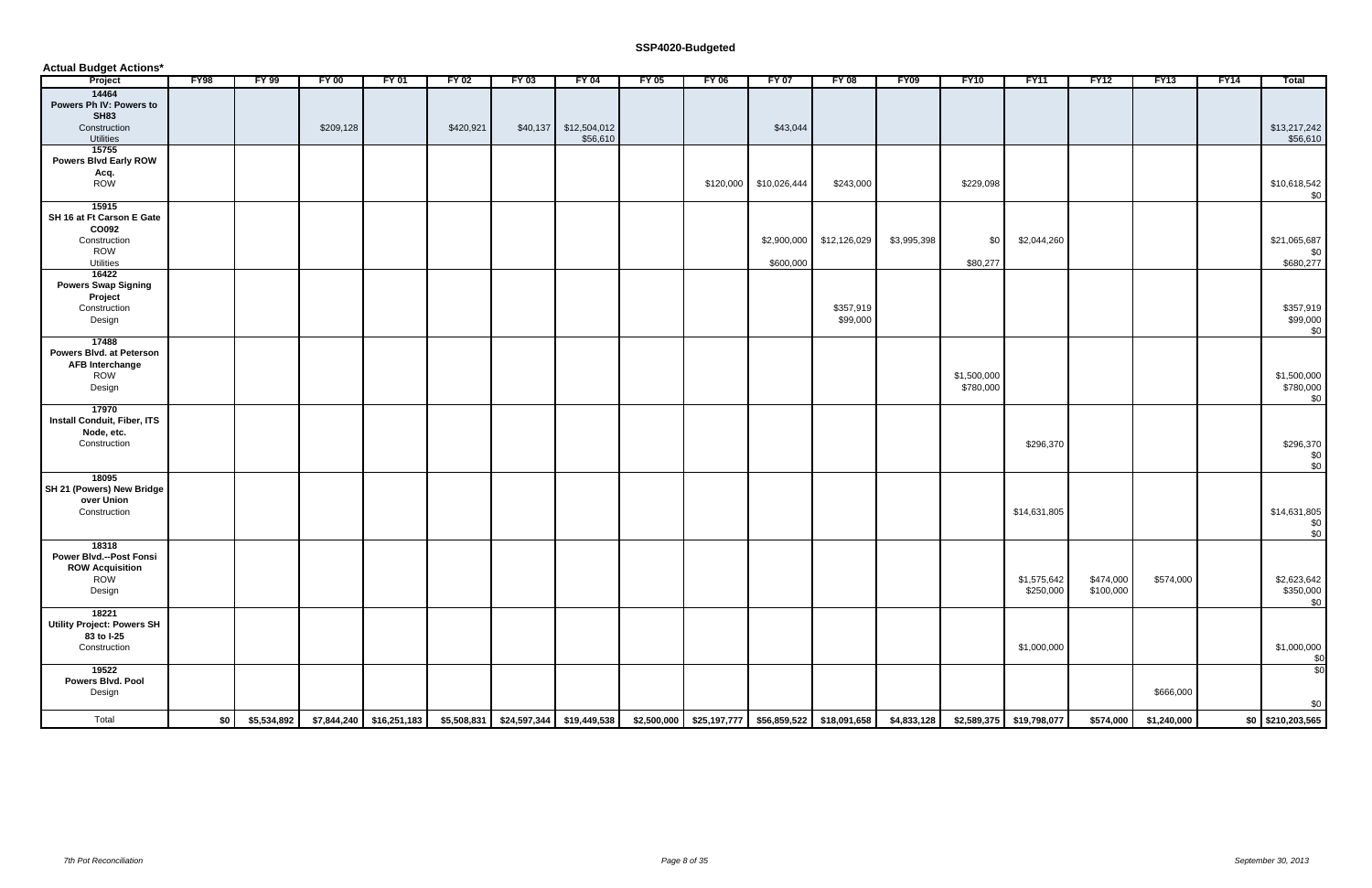| <b>Actual Budget Actions*</b>                                                             |      |       |                                                                                                                                           |              |              |              |                                   |         |              |                        |                          |             |                          |                          |                        |             |             |                                           |
|-------------------------------------------------------------------------------------------|------|-------|-------------------------------------------------------------------------------------------------------------------------------------------|--------------|--------------|--------------|-----------------------------------|---------|--------------|------------------------|--------------------------|-------------|--------------------------|--------------------------|------------------------|-------------|-------------|-------------------------------------------|
| Project                                                                                   | FY98 | FY 99 | <b>FY 00</b>                                                                                                                              | <b>FY 01</b> | <b>FY 02</b> | <b>FY 03</b> | <b>FY 04</b>                      | $FY$ 05 | <b>FY 06</b> | <b>FY 07</b>           | <b>FY 08</b>             | <b>FY09</b> | <b>FY10</b>              | <b>FY11</b>              | <b>FY12</b>            | <b>FY13</b> | <b>FY14</b> | Total                                     |
| 14464<br>Powers Ph IV: Powers to<br><b>SH83</b><br>Construction<br><b>Utilities</b>       |      |       | \$209,128                                                                                                                                 |              | \$420,921    |              | \$40,137 \$12,504,012<br>\$56,610 |         |              | \$43,044               |                          |             |                          |                          |                        |             |             | \$13,217,242<br>\$56,610                  |
| 15755<br><b>Powers Blvd Early ROW</b><br>Acq.<br>ROW                                      |      |       |                                                                                                                                           |              |              |              |                                   |         |              | \$120,000 \$10,026,444 | \$243,000                |             | \$229,098                |                          |                        |             |             | $$10,618,542$<br>\$0                      |
| 15915<br>SH 16 at Ft Carson E Gate<br>CO092<br>Construction<br><b>ROW</b>                 |      |       |                                                                                                                                           |              |              |              |                                   |         |              |                        | \$2,900,000 \$12,126,029 | \$3,995,398 | \$0                      | \$2,044,260              |                        |             |             | \$21,065,687<br>\$0                       |
| Utilities<br>16422<br><b>Powers Swap Signing</b><br>Project<br>Construction<br>Design     |      |       |                                                                                                                                           |              |              |              |                                   |         |              | \$600,000              | \$357,919<br>\$99,000    |             | \$80,277                 |                          |                        |             |             | \$680,277<br>\$357,919<br>\$99,000<br>\$0 |
| 17488<br>Powers Blvd. at Peterson<br><b>AFB Interchange</b><br><b>ROW</b><br>Design       |      |       |                                                                                                                                           |              |              |              |                                   |         |              |                        |                          |             | \$1,500,000<br>\$780,000 |                          |                        |             |             | \$1,500,000<br>\$780,000<br>\$0           |
| 17970<br><b>Install Conduit, Fiber, ITS</b><br>Node, etc.<br>Construction                 |      |       |                                                                                                                                           |              |              |              |                                   |         |              |                        |                          |             |                          | \$296,370                |                        |             |             | $$296,370$<br>$$0$<br>$$0$                |
| 18095<br>SH 21 (Powers) New Bridge<br>over Union<br>Construction                          |      |       |                                                                                                                                           |              |              |              |                                   |         |              |                        |                          |             |                          | \$14,631,805             |                        |             |             | $$14,631,805$<br>\$0<br>\$0               |
| 18318<br><b>Power Blvd.--Post Fonsi</b><br><b>ROW Acquisition</b><br><b>ROW</b><br>Design |      |       |                                                                                                                                           |              |              |              |                                   |         |              |                        |                          |             |                          | \$1,575,642<br>\$250,000 | \$474,000<br>\$100,000 | \$574,000   |             | \$2,623,642<br>\$350,000<br>\$0           |
| 18221<br><b>Utility Project: Powers SH</b><br>83 to I-25<br>Construction                  |      |       |                                                                                                                                           |              |              |              |                                   |         |              |                        |                          |             |                          | \$1,000,000              |                        |             |             | \$1,000,000<br>\$0                        |
| 19522<br>Powers Blvd. Pool<br>Design                                                      |      |       |                                                                                                                                           |              |              |              |                                   |         |              |                        |                          |             |                          |                          |                        | \$666,000   |             | \$0<br>\$0                                |
| Total                                                                                     | \$0  |       | \$5,534,892 \$7,844,240 \$16,251,183 \$5,508,831 \$24,597,344 \$19,449,538 \$2,500,000 \$25,197,777 \$56,859,522 \$18,091,658 \$4,833,128 |              |              |              |                                   |         |              |                        |                          |             |                          | \$2,589,375 \$19,798,077 | \$574,000              | \$1,240,000 |             | $$0$ \$210,203,565                        |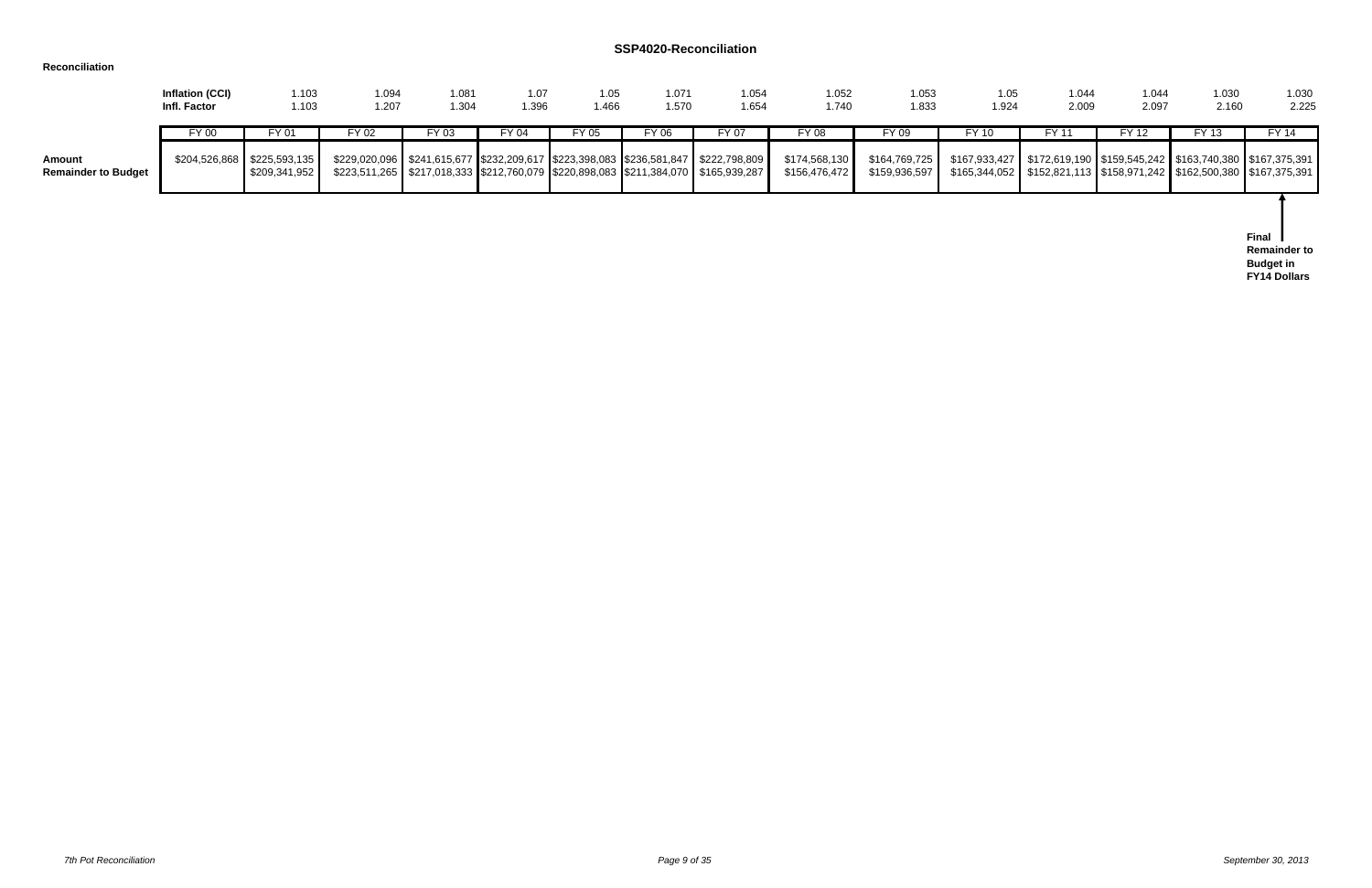## **SSP4020-Reconciliation**

#### **Reconciliation**

|                                      | <b>Inflation (CCI)</b><br><b>Infl. Factor</b> | 1.103<br>1.103 | 1.094<br>1.207 | 1.081<br>1.304                                                                              | 1.07<br>1.396 | 1.05<br>1.466 | 1.071<br>1.570 | 1.054<br>1.654                                                                                | 1.052<br>1.740                 | 1.053<br>1.833                 | 1.05<br>1.924 | 1.044<br>2.009 | 1.044<br>2.097 | 1.030<br>2.160 | 1.030<br>2.225                                                                                                                                         |
|--------------------------------------|-----------------------------------------------|----------------|----------------|---------------------------------------------------------------------------------------------|---------------|---------------|----------------|-----------------------------------------------------------------------------------------------|--------------------------------|--------------------------------|---------------|----------------|----------------|----------------|--------------------------------------------------------------------------------------------------------------------------------------------------------|
|                                      | FY 00                                         | FY 01          | $FY$ 02        | FY 03                                                                                       | FY 04         | FY 05         | FY 06          | FY 07                                                                                         | FY 08                          | FY 09                          | FY 10         | FY 11          | FY 12          | FY 13          | FY 14                                                                                                                                                  |
| Amount<br><b>Remainder to Budget</b> | \$204,526,868 \$225,593,135                   | \$209,341,952  |                | \$223,511,265   \$217,018,333  \$212,760,079  \$220,898,083   \$211,384,070   \$165,939,287 |               |               |                | \$229,020,096   \$241,615,677   \$232,209,617   \$223,398,083   \$236,581,847   \$222,798,809 | \$174,568,130<br>\$156,476,472 | \$164,769,725<br>\$159,936,597 |               |                |                |                | \$167,933,427 \$172,619,190 \$159,545,242 \$163,740,380 \$167,375,391<br>\$165,344,052   \$152,821,113   \$158,971,242   \$162,500,380   \$167,375,391 |
|                                      |                                               |                |                |                                                                                             |               |               |                |                                                                                               |                                |                                |               |                |                |                | <b>Final</b><br><b>Remainder to</b><br><b>Budget in</b><br><b>FY14 Dollars</b>                                                                         |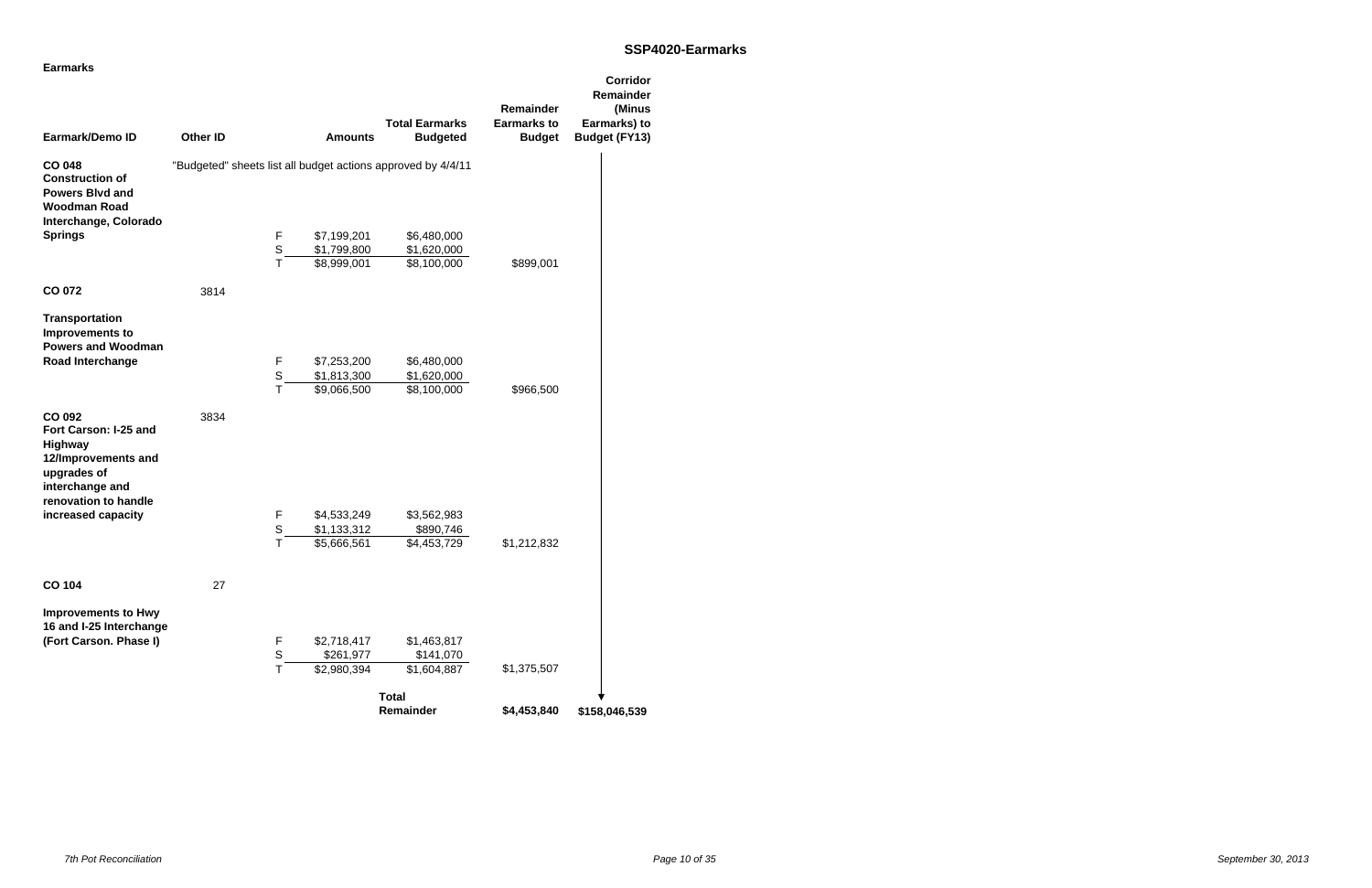## **SSP4020-Earmarks**

| <b>Earmarks</b>                                                                                                                                   |                 |                  |                                           |                                                                             |                                     | <b>Corridor</b>                      |
|---------------------------------------------------------------------------------------------------------------------------------------------------|-----------------|------------------|-------------------------------------------|-----------------------------------------------------------------------------|-------------------------------------|--------------------------------------|
|                                                                                                                                                   |                 |                  |                                           |                                                                             | Remainder                           | Remainder<br>(Minus                  |
| Earmark/Demo ID                                                                                                                                   | <b>Other ID</b> |                  | <b>Amounts</b>                            | <b>Total Earmarks</b><br><b>Budgeted</b>                                    | <b>Earmarks to</b><br><b>Budget</b> | Earmarks) to<br><b>Budget (FY13)</b> |
| <b>CO 048</b><br><b>Construction of</b><br><b>Powers Blvd and</b><br><b>Woodman Road</b><br>Interchange, Colorado<br><b>Springs</b>               |                 | F<br>$\mathsf S$ | \$7,199,201                               | "Budgeted" sheets list all budget actions approved by 4/4/11<br>\$6,480,000 |                                     |                                      |
|                                                                                                                                                   |                 | $\mathsf{T}$     | \$1,799,800<br>$\overline{$8,999,001}$    | \$1,620,000<br>\$8,100,000                                                  | \$899,001                           |                                      |
| <b>CO 072</b>                                                                                                                                     | 3814            |                  |                                           |                                                                             |                                     |                                      |
| <b>Transportation</b><br>Improvements to<br><b>Powers and Woodman</b><br>Road Interchange                                                         |                 | F<br>S<br>т      | \$7,253,200<br>\$1,813,300<br>\$9,066,500 | \$6,480,000<br>\$1,620,000<br>\$8,100,000                                   | \$966,500                           |                                      |
| CO 092<br>Fort Carson: I-25 and<br>Highway<br>12/Improvements and<br>upgrades of<br>interchange and<br>renovation to handle<br>increased capacity | 3834            | F<br>$\mathsf S$ | \$4,533,249                               | \$3,562,983<br>\$890,746                                                    |                                     |                                      |
|                                                                                                                                                   |                 | Т                | \$1,133,312<br>\$5,666,561                | \$4,453,729                                                                 | \$1,212,832                         |                                      |
|                                                                                                                                                   |                 |                  |                                           |                                                                             |                                     |                                      |
| <b>CO 104</b>                                                                                                                                     | 27              |                  |                                           |                                                                             |                                     |                                      |
| <b>Improvements to Hwy</b><br>16 and I-25 Interchange<br>(Fort Carson. Phase I)                                                                   |                 | F<br>S<br>т      | \$2,718,417<br>\$261,977<br>\$2,980,394   | \$1,463,817<br>\$141,070<br>\$1,604,887                                     | \$1,375,507                         |                                      |
|                                                                                                                                                   |                 |                  |                                           | <b>Total</b>                                                                |                                     |                                      |
|                                                                                                                                                   |                 |                  |                                           | Remainder                                                                   | \$4,453,840                         | \$158,046,539                        |

*Page 10 of 35 September 30, 2013*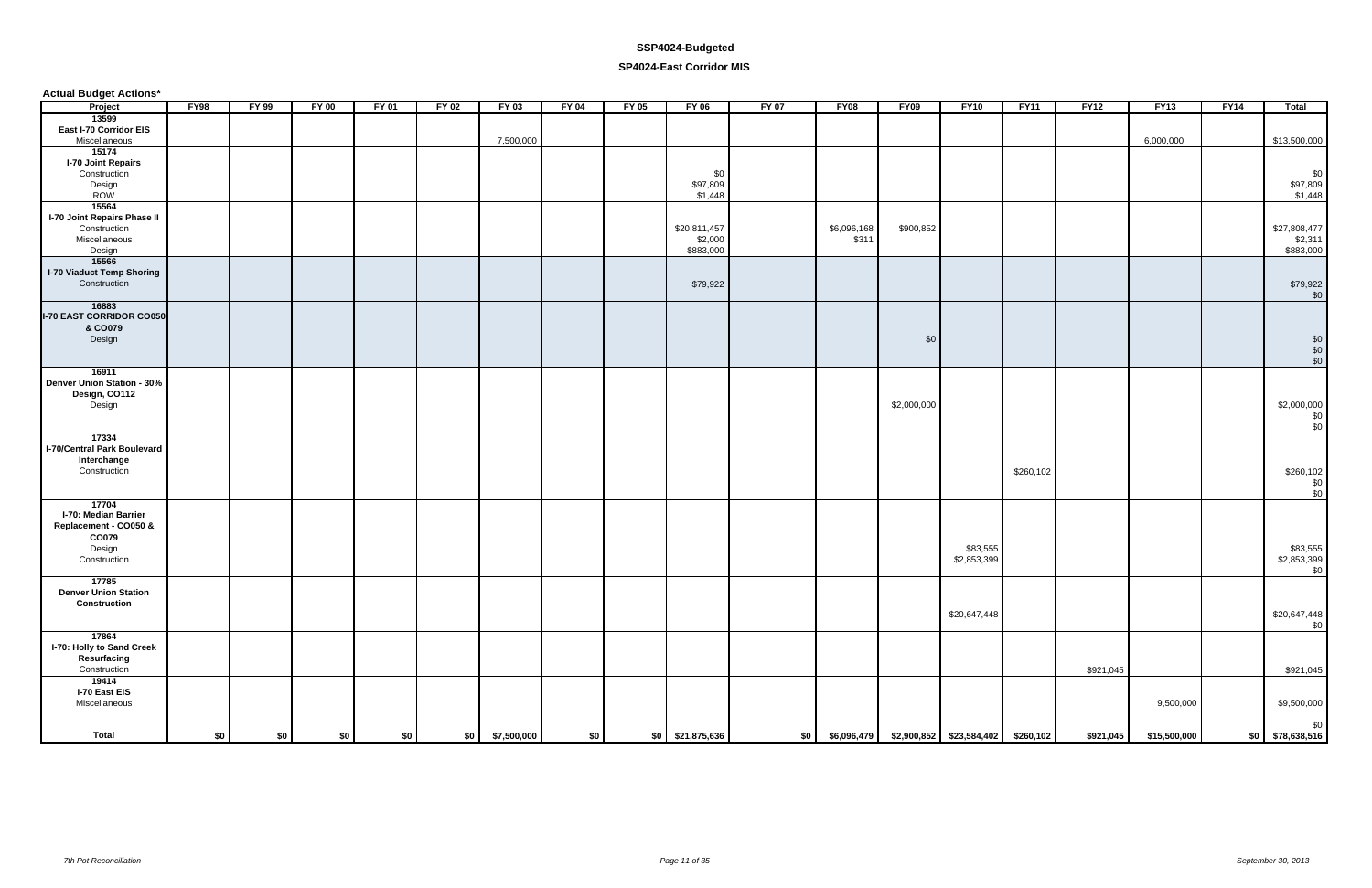**Actual Budget Actions\***

| Project                            | <b>FY98</b> | $FY$ 99 | $FY$ 00 | $FY$ 01 | <b>FY 02</b> | $FY$ 03         | <b>FY 04</b> | $FY$ 05 | $FY$ 06           | <b>FY 07</b> | <b>FY08</b>       | <b>FY09</b> | <b>FY10</b>                        | <b>FY11</b> | FY12      | FY13         | FY14 | <b>Total</b>                                                |
|------------------------------------|-------------|---------|---------|---------|--------------|-----------------|--------------|---------|-------------------|--------------|-------------------|-------------|------------------------------------|-------------|-----------|--------------|------|-------------------------------------------------------------|
| 13599                              |             |         |         |         |              |                 |              |         |                   |              |                   |             |                                    |             |           |              |      |                                                             |
| East I-70 Corridor EIS             |             |         |         |         |              |                 |              |         |                   |              |                   |             |                                    |             |           |              |      |                                                             |
| Miscellaneous                      |             |         |         |         |              | 7,500,000       |              |         |                   |              |                   |             |                                    |             |           | 6,000,000    |      | \$13,500,000                                                |
| 15174                              |             |         |         |         |              |                 |              |         |                   |              |                   |             |                                    |             |           |              |      |                                                             |
| I-70 Joint Repairs                 |             |         |         |         |              |                 |              |         |                   |              |                   |             |                                    |             |           |              |      |                                                             |
| Construction                       |             |         |         |         |              |                 |              |         | \$0               |              |                   |             |                                    |             |           |              |      | \$0                                                         |
| Design                             |             |         |         |         |              |                 |              |         | \$97,809          |              |                   |             |                                    |             |           |              |      | \$97,809                                                    |
| ROW                                |             |         |         |         |              |                 |              |         | \$1,448           |              |                   |             |                                    |             |           |              |      | \$1,448                                                     |
| 15564                              |             |         |         |         |              |                 |              |         |                   |              |                   |             |                                    |             |           |              |      |                                                             |
| I-70 Joint Repairs Phase II        |             |         |         |         |              |                 |              |         |                   |              |                   |             |                                    |             |           |              |      |                                                             |
| Construction                       |             |         |         |         |              |                 |              |         | \$20,811,457      |              | \$6,096,168       | \$900,852   |                                    |             |           |              |      | \$27,808,477                                                |
| Miscellaneous                      |             |         |         |         |              |                 |              |         | \$2,000           |              | \$311             |             |                                    |             |           |              |      | \$2,311                                                     |
| Design                             |             |         |         |         |              |                 |              |         | \$883,000         |              |                   |             |                                    |             |           |              |      | \$883,000                                                   |
| 15566                              |             |         |         |         |              |                 |              |         |                   |              |                   |             |                                    |             |           |              |      |                                                             |
| <b>I-70 Viaduct Temp Shoring</b>   |             |         |         |         |              |                 |              |         |                   |              |                   |             |                                    |             |           |              |      |                                                             |
| Construction                       |             |         |         |         |              |                 |              |         | \$79,922          |              |                   |             |                                    |             |           |              |      |                                                             |
|                                    |             |         |         |         |              |                 |              |         |                   |              |                   |             |                                    |             |           |              |      | $$79,922$<br>$$0$                                           |
| 16883                              |             |         |         |         |              |                 |              |         |                   |              |                   |             |                                    |             |           |              |      |                                                             |
| <b>I-70 EAST CORRIDOR CO050</b>    |             |         |         |         |              |                 |              |         |                   |              |                   |             |                                    |             |           |              |      |                                                             |
| & CO079                            |             |         |         |         |              |                 |              |         |                   |              |                   |             |                                    |             |           |              |      |                                                             |
| Design                             |             |         |         |         |              |                 |              |         |                   |              |                   | \$0         |                                    |             |           |              |      |                                                             |
|                                    |             |         |         |         |              |                 |              |         |                   |              |                   |             |                                    |             |           |              |      | $\begin{array}{c} 0 \\ 0 \\ 0 \\ 0 \\ \hline 0 \end{array}$ |
|                                    |             |         |         |         |              |                 |              |         |                   |              |                   |             |                                    |             |           |              |      |                                                             |
| 16911                              |             |         |         |         |              |                 |              |         |                   |              |                   |             |                                    |             |           |              |      |                                                             |
| Denver Union Station - 30%         |             |         |         |         |              |                 |              |         |                   |              |                   |             |                                    |             |           |              |      |                                                             |
| Design, CO112                      |             |         |         |         |              |                 |              |         |                   |              |                   |             |                                    |             |           |              |      |                                                             |
| Design                             |             |         |         |         |              |                 |              |         |                   |              |                   | \$2,000,000 |                                    |             |           |              |      |                                                             |
|                                    |             |         |         |         |              |                 |              |         |                   |              |                   |             |                                    |             |           |              |      |                                                             |
|                                    |             |         |         |         |              |                 |              |         |                   |              |                   |             |                                    |             |           |              |      | $$2,000,000$<br>$$0$<br>$$0$                                |
| 17334                              |             |         |         |         |              |                 |              |         |                   |              |                   |             |                                    |             |           |              |      |                                                             |
| <b>I-70/Central Park Boulevard</b> |             |         |         |         |              |                 |              |         |                   |              |                   |             |                                    |             |           |              |      |                                                             |
|                                    |             |         |         |         |              |                 |              |         |                   |              |                   |             |                                    |             |           |              |      |                                                             |
| Interchange                        |             |         |         |         |              |                 |              |         |                   |              |                   |             |                                    |             |           |              |      |                                                             |
| Construction                       |             |         |         |         |              |                 |              |         |                   |              |                   |             |                                    | \$260,102   |           |              |      |                                                             |
|                                    |             |         |         |         |              |                 |              |         |                   |              |                   |             |                                    |             |           |              |      | $$260,102$<br>\$0<br>\$0                                    |
| 17704                              |             |         |         |         |              |                 |              |         |                   |              |                   |             |                                    |             |           |              |      |                                                             |
| I-70: Median Barrier               |             |         |         |         |              |                 |              |         |                   |              |                   |             |                                    |             |           |              |      |                                                             |
|                                    |             |         |         |         |              |                 |              |         |                   |              |                   |             |                                    |             |           |              |      |                                                             |
| Replacement - CO050 &              |             |         |         |         |              |                 |              |         |                   |              |                   |             |                                    |             |           |              |      |                                                             |
| CO079                              |             |         |         |         |              |                 |              |         |                   |              |                   |             |                                    |             |           |              |      |                                                             |
| Design                             |             |         |         |         |              |                 |              |         |                   |              |                   |             | \$83,555                           |             |           |              |      | \$83,555<br>\$2,853,399                                     |
| Construction                       |             |         |         |         |              |                 |              |         |                   |              |                   |             | \$2,853,399                        |             |           |              |      |                                                             |
|                                    |             |         |         |         |              |                 |              |         |                   |              |                   |             |                                    |             |           |              |      | \$0                                                         |
| 17785                              |             |         |         |         |              |                 |              |         |                   |              |                   |             |                                    |             |           |              |      |                                                             |
| <b>Denver Union Station</b>        |             |         |         |         |              |                 |              |         |                   |              |                   |             |                                    |             |           |              |      |                                                             |
| Construction                       |             |         |         |         |              |                 |              |         |                   |              |                   |             |                                    |             |           |              |      |                                                             |
|                                    |             |         |         |         |              |                 |              |         |                   |              |                   |             | \$20,647,448                       |             |           |              |      | $$20,647,448$<br>$$0$                                       |
|                                    |             |         |         |         |              |                 |              |         |                   |              |                   |             |                                    |             |           |              |      |                                                             |
| 17864                              |             |         |         |         |              |                 |              |         |                   |              |                   |             |                                    |             |           |              |      |                                                             |
| I-70: Holly to Sand Creek          |             |         |         |         |              |                 |              |         |                   |              |                   |             |                                    |             |           |              |      |                                                             |
| Resurfacing                        |             |         |         |         |              |                 |              |         |                   |              |                   |             |                                    |             |           |              |      |                                                             |
| Construction                       |             |         |         |         |              |                 |              |         |                   |              |                   |             |                                    |             | \$921,045 |              |      | \$921,045                                                   |
| 19414                              |             |         |         |         |              |                 |              |         |                   |              |                   |             |                                    |             |           |              |      |                                                             |
| I-70 East EIS                      |             |         |         |         |              |                 |              |         |                   |              |                   |             |                                    |             |           |              |      |                                                             |
| Miscellaneous                      |             |         |         |         |              |                 |              |         |                   |              |                   |             |                                    |             |           | 9,500,000    |      | \$9,500,000                                                 |
|                                    |             |         |         |         |              |                 |              |         |                   |              |                   |             |                                    |             |           |              |      |                                                             |
|                                    |             |         |         |         |              |                 |              |         |                   |              |                   |             |                                    |             |           |              |      | \$0                                                         |
| <b>Total</b>                       | \$0         | \$0     | \$0     | \$0     |              | \$0 \$7,500,000 | \$0          |         | $$0$ \$21,875,636 |              | $$0$ $$6,096,479$ |             | \$2,900,852 \$23,584,402 \$260,102 |             | \$921,045 | \$15,500,000 |      | \$0 \$78,638,516                                            |

#### **SP4024-East Corridor MIS**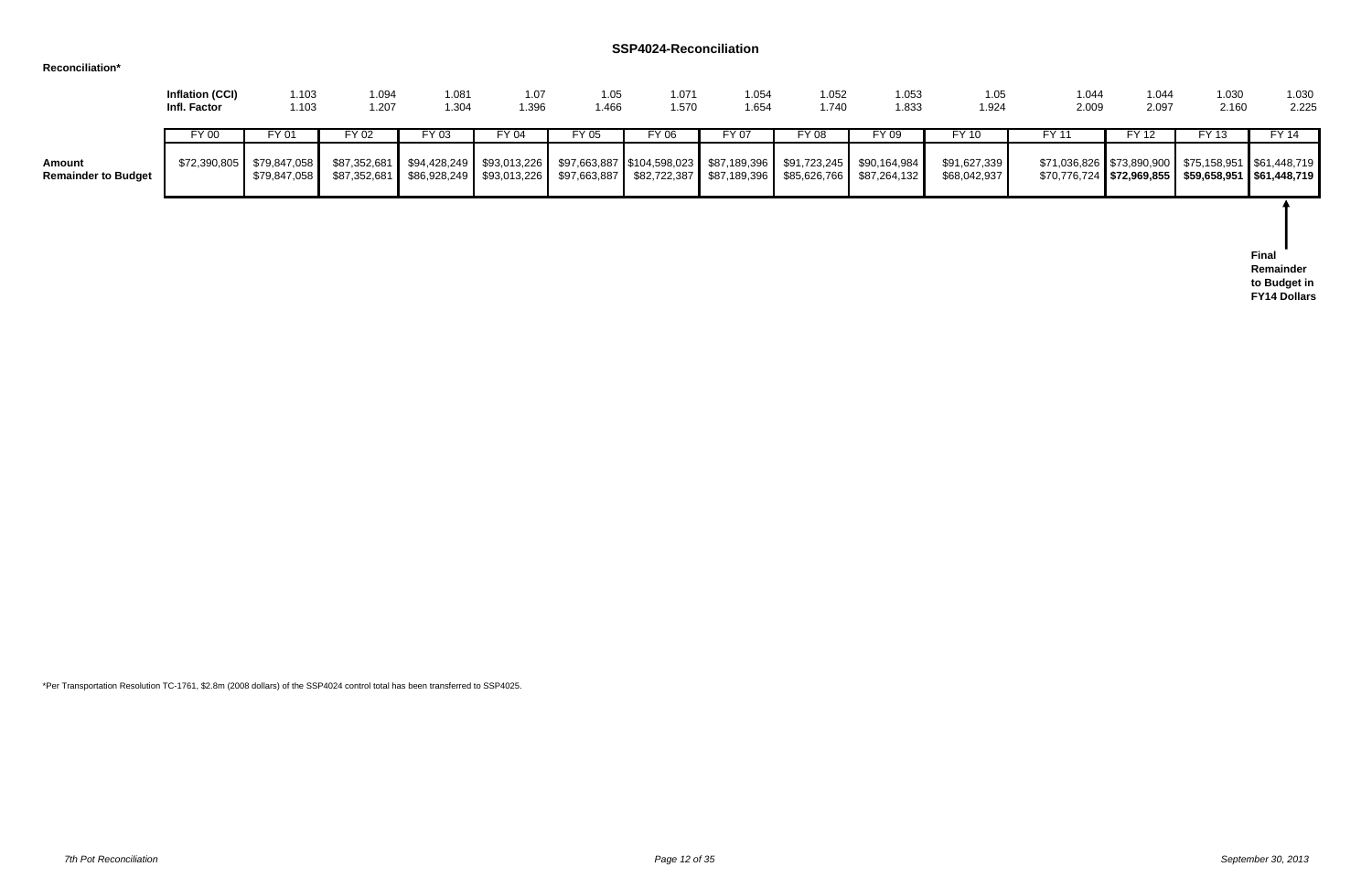## **SSP4024-Reconciliation**

#### **Reconciliation\***

|                                      | <b>Inflation (CCI)</b><br>Infl. Factor | 1.103<br>1.103               | 1.094<br>1.207 | 1.081<br>1.304 | .07<br>1.396 | 1.05<br>1.466 | 1.071<br>1.570 | 1.054<br>1.654 | 1.052<br>1.740 | .053<br>1.833                                                                                                                                                   | 1.05<br>1.924                | 1.044<br>2.009 | 1.044<br>2.097 | 1.030<br>2.160                                          | 1.030<br>2.225 |
|--------------------------------------|----------------------------------------|------------------------------|----------------|----------------|--------------|---------------|----------------|----------------|----------------|-----------------------------------------------------------------------------------------------------------------------------------------------------------------|------------------------------|----------------|----------------|---------------------------------------------------------|----------------|
|                                      | FY 00                                  | FY 01                        | FY 02          | FY 03          | FY 04        | FY 05         | FY 06          | FY 07          | FY 08          | FY 09                                                                                                                                                           | FY 10                        | FY 11          | FY 12          | FY 13                                                   | FY 14          |
| Amount<br><b>Remainder to Budget</b> | \$72,390,805                           | \$79,847,058<br>\$79,847,058 |                |                |              |               |                |                |                | \$87,352,681 \$94,428,249 \$93,013,226 \$97,663,887 \$104,598,023 \$87,189,396 \$91,723,245 \$90,164,984<br>\$82,722,387 \$87,189,396 \$85,626,766 \$87,264,132 | \$91,627,339<br>\$68,042,937 |                |                | $$70,776,724$ $$72,969,855$ $$59,658,951$ $$61,448,719$ |                |

| 1.044        | 1.044        | 1.030        | 1.030                                                            |
|--------------|--------------|--------------|------------------------------------------------------------------|
| 2.009        | 2.097        | 2.160        | 2.225                                                            |
| FY 11        | FY 12        | FY 13        | FY 14                                                            |
| \$71,036,826 | \$73,890,900 | \$75,158,951 | \$61,448,719                                                     |
| \$70,776,724 | \$72,969,855 | \$59,658,951 | \$61,448,719                                                     |
|              |              |              | <b>Final</b><br>Remainder<br>to Budget in<br><b>FY14 Dollars</b> |

\*Per Transportation Resolution TC-1761, \$2.8m (2008 dollars) of the SSP4024 control total has been transferred to SSP4025.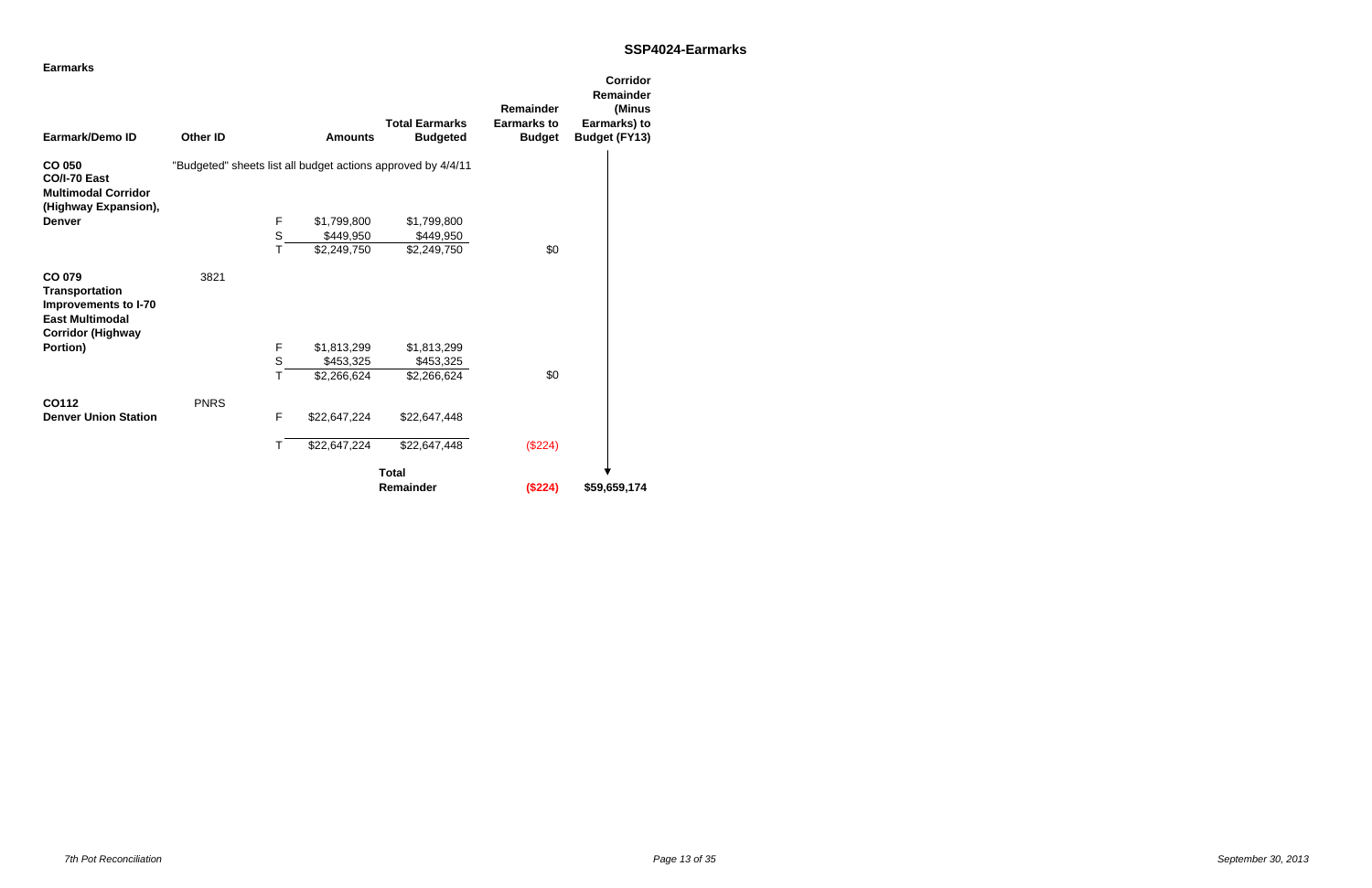| <b>Earmarks</b>                                                                                               |                 |             |                |                                                              |                                                         | <b>Corridor</b>                                             |
|---------------------------------------------------------------------------------------------------------------|-----------------|-------------|----------------|--------------------------------------------------------------|---------------------------------------------------------|-------------------------------------------------------------|
| Earmark/Demo ID                                                                                               | <b>Other ID</b> |             | <b>Amounts</b> | <b>Total Earmarks</b><br><b>Budgeted</b>                     | <b>Remainder</b><br><b>Earmarks to</b><br><b>Budget</b> | Remainder<br>(Minus<br>Earmarks) to<br><b>Budget (FY13)</b> |
| <b>CO 050</b><br>CO/I-70 East<br><b>Multimodal Corridor</b><br>(Highway Expansion),                           |                 |             |                | "Budgeted" sheets list all budget actions approved by 4/4/11 |                                                         |                                                             |
| <b>Denver</b>                                                                                                 |                 | $\mathsf F$ | \$1,799,800    | \$1,799,800                                                  |                                                         |                                                             |
|                                                                                                               |                 | S           | \$449,950      | \$449,950                                                    |                                                         |                                                             |
|                                                                                                               |                 | Т           | \$2,249,750    | \$2,249,750                                                  | \$0                                                     |                                                             |
| CO 079<br><b>Transportation</b><br>Improvements to I-70<br><b>East Multimodal</b><br><b>Corridor (Highway</b> | 3821            |             |                |                                                              |                                                         |                                                             |
| Portion)                                                                                                      |                 | F           | \$1,813,299    | \$1,813,299                                                  |                                                         |                                                             |
|                                                                                                               |                 | $\mathbb S$ | \$453,325      | \$453,325                                                    |                                                         |                                                             |
|                                                                                                               |                 | T           | \$2,266,624    | \$2,266,624                                                  | \$0                                                     |                                                             |
| CO112                                                                                                         | <b>PNRS</b>     |             |                |                                                              |                                                         |                                                             |
| <b>Denver Union Station</b>                                                                                   |                 | F           | \$22,647,224   | \$22,647,448                                                 |                                                         |                                                             |
|                                                                                                               |                 |             | \$22,647,224   | \$22,647,448                                                 | (\$224)                                                 |                                                             |
|                                                                                                               |                 |             |                | <b>Total</b>                                                 |                                                         |                                                             |
|                                                                                                               |                 |             |                | Remainder                                                    | (\$224)                                                 | \$59,659,174                                                |

*Page 13 of 35 September 30, 2013*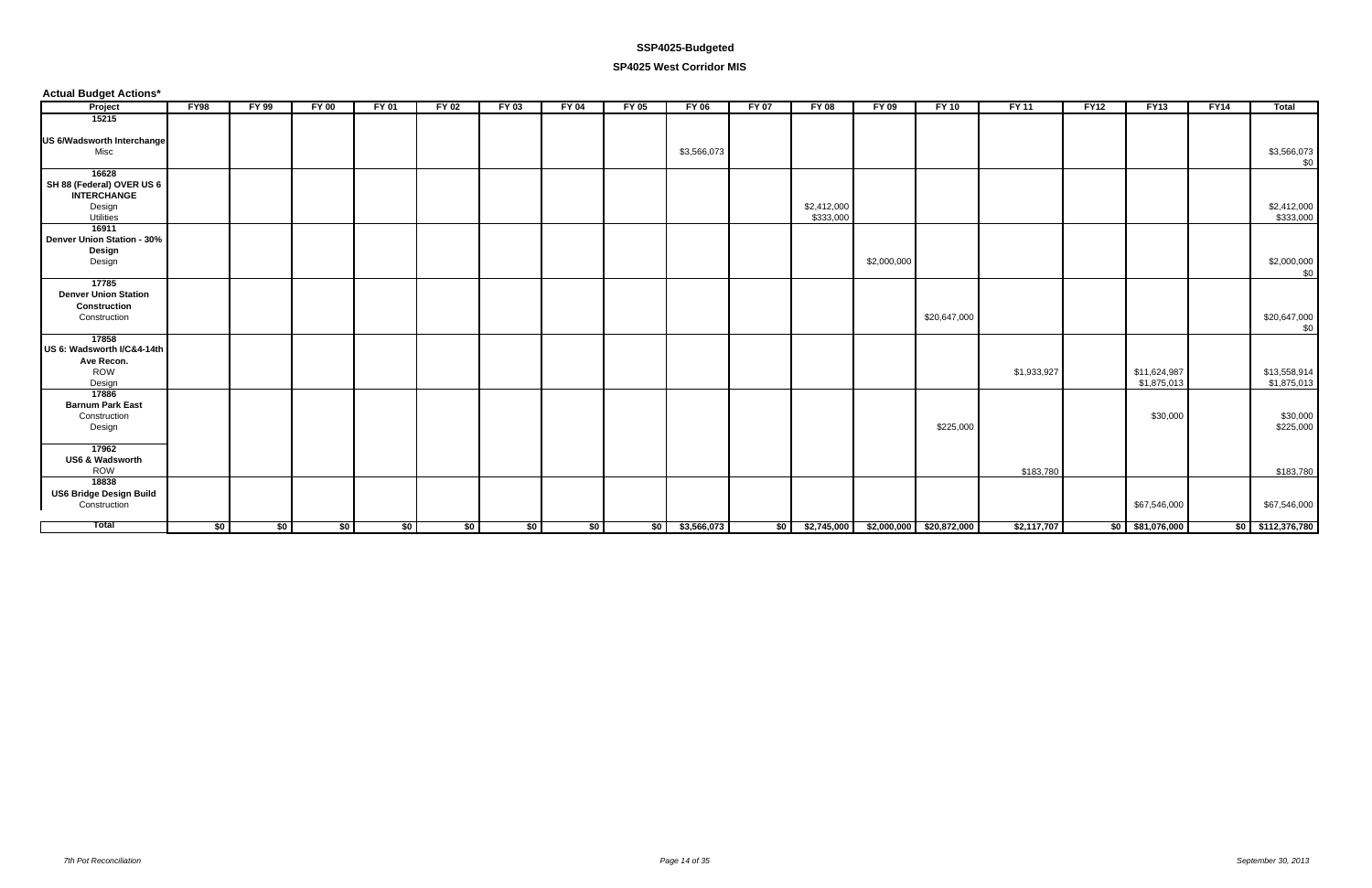**Actual Budget Actions\***

| 15215<br><b>US 6/Wadsworth Interchange</b><br>Misc<br>\$3,566,073                                                                                                    |                       |
|----------------------------------------------------------------------------------------------------------------------------------------------------------------------|-----------------------|
|                                                                                                                                                                      | \$3,566,073<br>\$0    |
|                                                                                                                                                                      |                       |
|                                                                                                                                                                      |                       |
|                                                                                                                                                                      |                       |
| 16628                                                                                                                                                                |                       |
| SH 88 (Federal) OVER US 6                                                                                                                                            |                       |
| <b>INTERCHANGE</b><br>Design<br>\$2,412,000                                                                                                                          | \$2,412,000           |
| \$333,000<br><b>Utilities</b>                                                                                                                                        | \$333,000             |
| 16911                                                                                                                                                                |                       |
| Denver Union Station - 30%                                                                                                                                           |                       |
| Design                                                                                                                                                               |                       |
| Design<br>\$2,000,000                                                                                                                                                | \$2,000,000<br>\$0    |
| 17785                                                                                                                                                                |                       |
| <b>Denver Union Station</b>                                                                                                                                          |                       |
| Construction                                                                                                                                                         |                       |
| Construction<br>\$20,647,000                                                                                                                                         | \$20,647,000<br>\$0   |
| 17858                                                                                                                                                                |                       |
| US 6: Wadsworth I/C&4-14th                                                                                                                                           |                       |
| Ave Recon.                                                                                                                                                           |                       |
| ROW<br>\$1,933,927<br>\$11,624,987<br>Design                                                                                                                         | \$13,558,914          |
| \$1,875,013<br>17886                                                                                                                                                 | \$1,875,013           |
| <b>Barnum Park East</b>                                                                                                                                              |                       |
| Construction<br>\$30,000                                                                                                                                             | \$30,000<br>\$225,000 |
| Design<br>\$225,000                                                                                                                                                  |                       |
| 17962                                                                                                                                                                |                       |
| <b>US6 &amp; Wadsworth</b>                                                                                                                                           |                       |
| <b>ROW</b><br>\$183,780                                                                                                                                              | \$183,780             |
| 18838                                                                                                                                                                |                       |
| <b>US6 Bridge Design Build</b>                                                                                                                                       |                       |
| Construction<br>\$67,546,000                                                                                                                                         | \$67,546,000          |
| \$0<br>\$0<br>\$0<br>$$0$ $$3,566,073$<br><b>Total</b><br>\$0<br>\$0<br>\$0<br>\$0<br>$$0$ \$2,745,000 \$2,000,000 \$20,872,000<br>\$2,117,707<br>$$0$ $$81,076,000$ | \$0 \$112,376,780     |

### **SP4025 West Corridor MIS**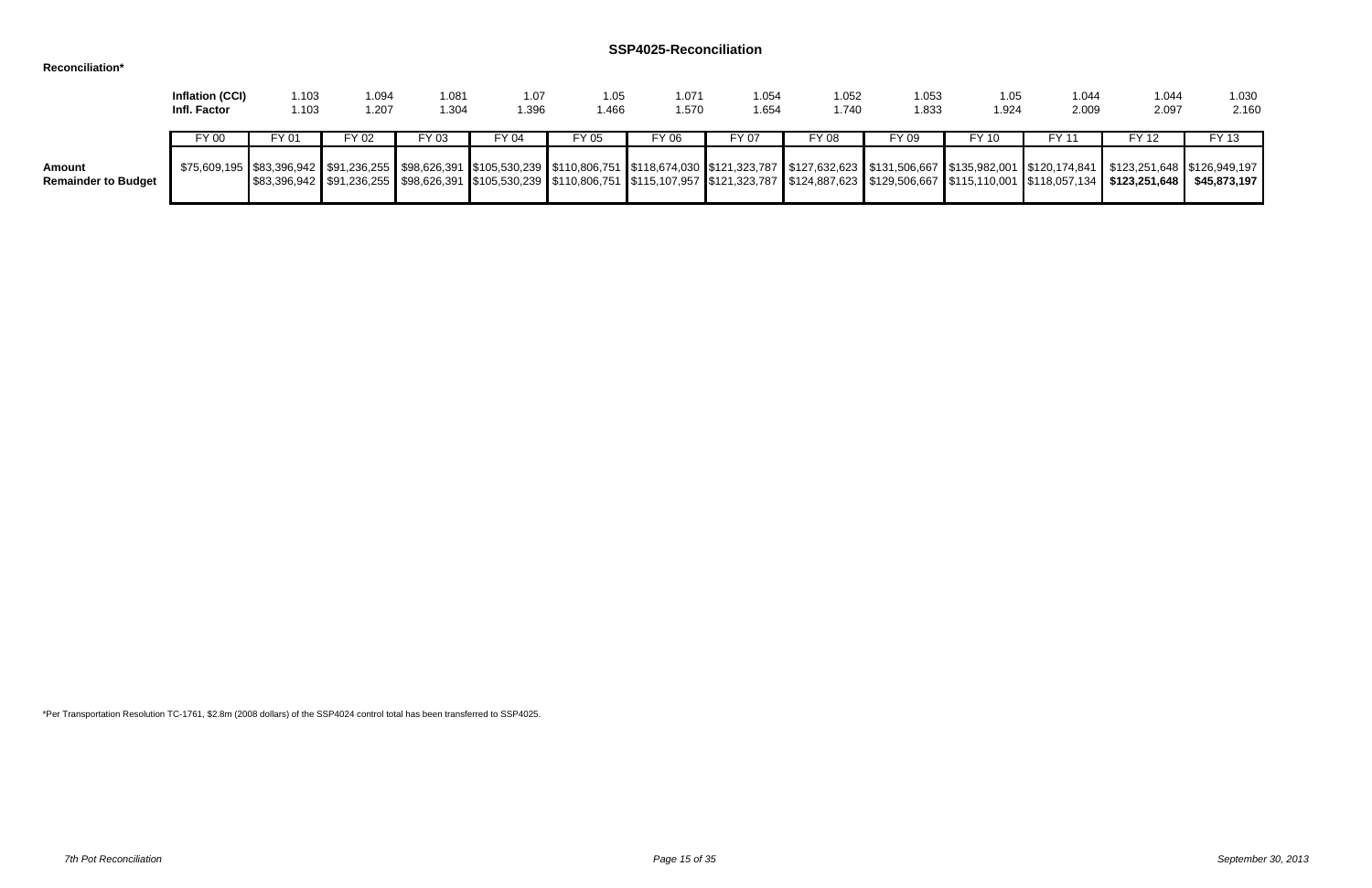## **SSP4025-Reconciliation**

### **Reconciliation\***

|                                             | Inflation (CCI)<br>Infl. Factor | 1.103<br>1.103 | 1.094<br>1.207 | .081<br>.304 | 1.07<br>1.396 | 1.05<br>1.466 | 1.071<br>1.570 | 1.054<br>1.654 | 1.052<br>.740 | 1.053<br>1.833                                                                                                                                                                                                                                                                                                                                                                                | 1.05<br><b>1.924</b> | 1.044<br>2.009 | 1.044<br>2.097 | 1.030<br>2.160 |
|---------------------------------------------|---------------------------------|----------------|----------------|--------------|---------------|---------------|----------------|----------------|---------------|-----------------------------------------------------------------------------------------------------------------------------------------------------------------------------------------------------------------------------------------------------------------------------------------------------------------------------------------------------------------------------------------------|----------------------|----------------|----------------|----------------|
|                                             |                                 | FY 01          | Y 02           | FY 03        | FY 04         | FY 05         | FY 06          | FY 07          | FY 08         | FY 09                                                                                                                                                                                                                                                                                                                                                                                         | FY 10                |                | FY 12          | FY 13          |
| <b>Amount</b><br><b>Remainder to Budget</b> |                                 |                |                |              |               |               |                |                |               | \$75,609,195 \$83,396,942 \$91,236,255 \$98,626,391 \$105,530,239 \$110,806,751 \$118,674,030 \$121,323,787 \$127,632,623 \$131,506,667 \$135,982,001 \$120,174,841 \$123,251,648 \$126,949,197<br><u> \$83,396,942  \$91,236,255  \$98,626,391  \$105,530,239  \$110,806,751  \$115,107,957  \$121,323,787  \$124,887,623  \$129,506,667  \$115,110,001  \$118,057,134   \$123,251,648  </u> |                      |                |                | \$45,873,197   |

\*Per Transportation Resolution TC-1761, \$2.8m (2008 dollars) of the SSP4024 control total has been transferred to SSP4025.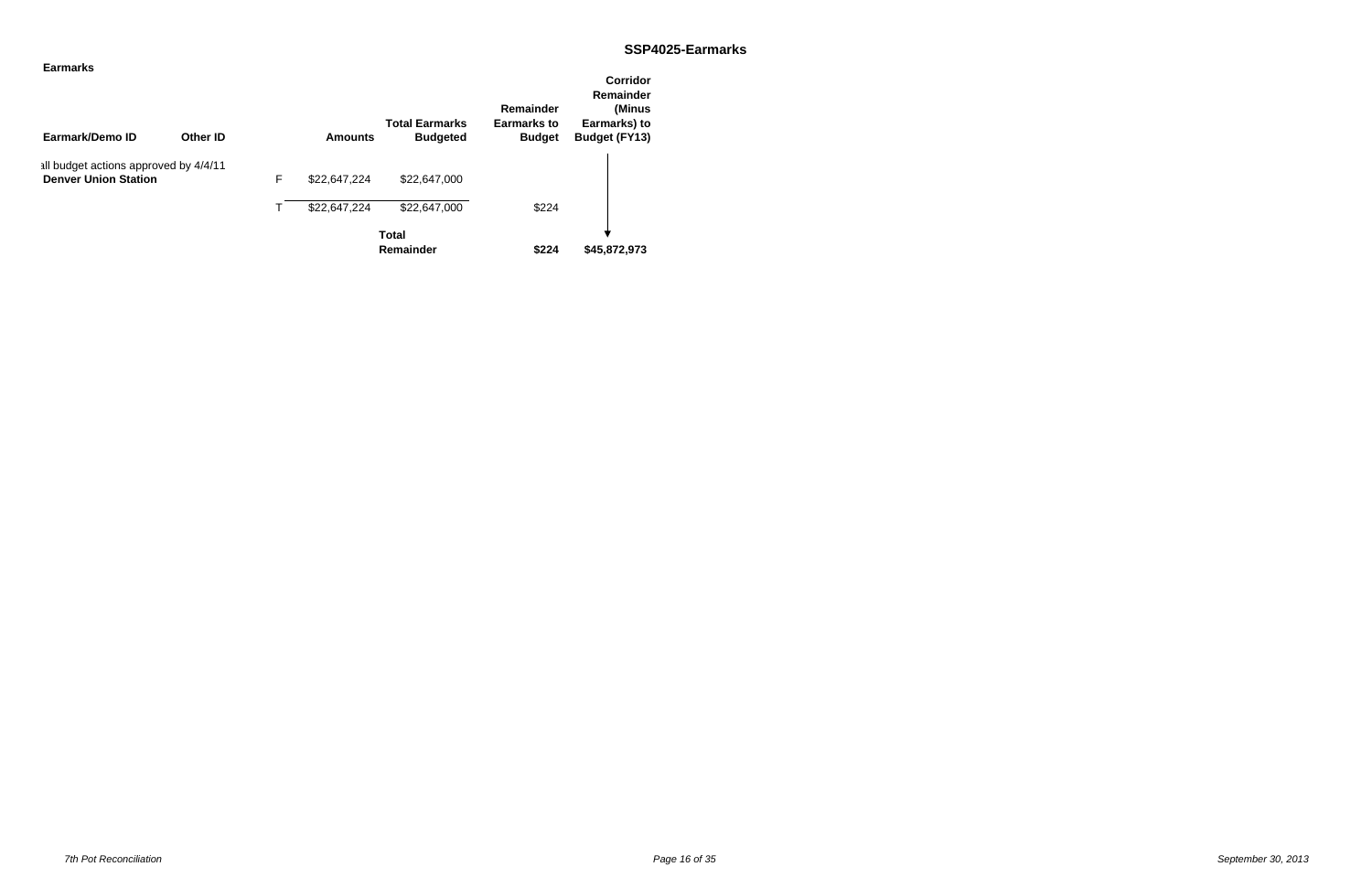| <b>Earmarks</b><br>Earmark/Demo ID                                   | Other ID |   | <b>Amounts</b>               | <b>Total Earmarks</b><br><b>Budgeted</b> | Remainder<br><b>Earmarks to</b><br><b>Budget</b> | Corridor<br>Remainder<br>(Minus<br>Earmarks) to<br><b>Budget (FY13)</b> |
|----------------------------------------------------------------------|----------|---|------------------------------|------------------------------------------|--------------------------------------------------|-------------------------------------------------------------------------|
| all budget actions approved by 4/4/11<br><b>Denver Union Station</b> |          | F | \$22,647,224<br>\$22,647,224 | \$22,647,000<br>\$22,647,000             | \$224                                            |                                                                         |
|                                                                      |          |   |                              | <b>Total</b><br>Remainder                | \$224                                            | \$45,872,973                                                            |

*Page 16 of 35 September 30, 2013*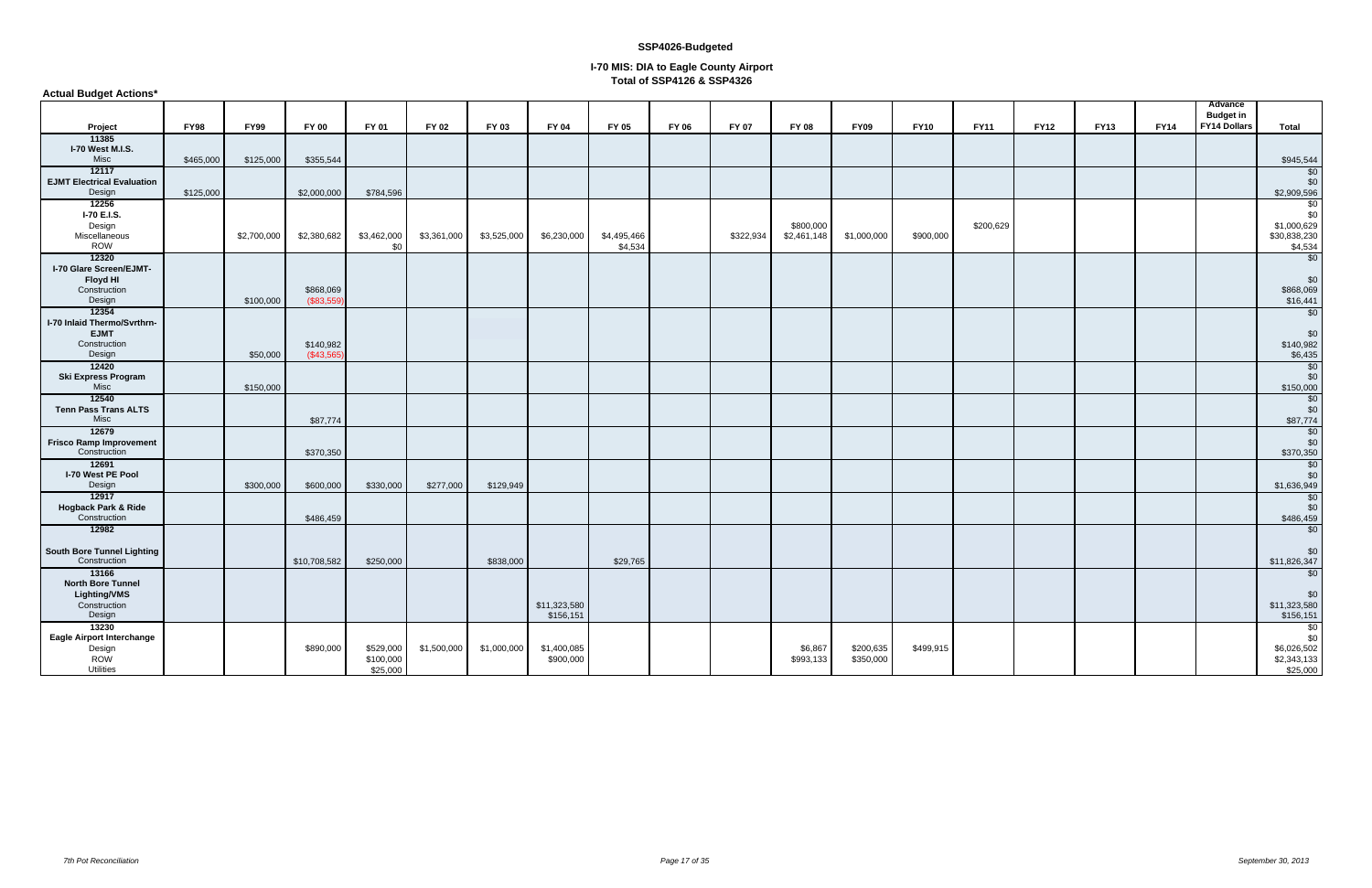| <b>Actual Budget Actions*</b>                                                      |             |             |                        |                                    |             |             |                           |                        |       |              |                          |                        |             |             |             |             |             |                             |                                                                 |
|------------------------------------------------------------------------------------|-------------|-------------|------------------------|------------------------------------|-------------|-------------|---------------------------|------------------------|-------|--------------|--------------------------|------------------------|-------------|-------------|-------------|-------------|-------------|-----------------------------|-----------------------------------------------------------------|
|                                                                                    |             |             |                        |                                    |             |             |                           |                        |       |              |                          |                        |             |             |             |             |             | Advance<br><b>Budget in</b> |                                                                 |
| Project                                                                            | <b>FY98</b> | <b>FY99</b> | <b>FY 00</b>           | FY 01                              | FY 02       | FY 03       | FY 04                     | <b>FY 05</b>           | FY 06 | <b>FY 07</b> | <b>FY 08</b>             | <b>FY09</b>            | <b>FY10</b> | <b>FY11</b> | <b>FY12</b> | <b>FY13</b> | <b>FY14</b> | <b>FY14 Dollars</b>         | <b>Total</b>                                                    |
| 11385<br>I-70 West M.I.S.<br>Misc                                                  | \$465,000   | \$125,000   | \$355,544              |                                    |             |             |                           |                        |       |              |                          |                        |             |             |             |             |             |                             | \$945,544                                                       |
| 12117<br><b>EJMT Electrical Evaluation</b><br>Design                               | \$125,000   |             | \$2,000,000            | \$784,596                          |             |             |                           |                        |       |              |                          |                        |             |             |             |             |             |                             | $\sqrt{50}$<br>\$0<br>\$2,909,596                               |
| 12256<br>I-70 E.I.S.<br>Design<br>Miscellaneous<br>ROW                             |             | \$2,700,000 | \$2,380,682            | \$3,462,000<br>\$0                 | \$3,361,000 | \$3,525,000 | \$6,230,000               | \$4,495,466<br>\$4,534 |       | \$322,934    | \$800,000<br>\$2,461,148 | \$1,000,000            | \$900,000   | \$200,629   |             |             |             |                             | \$0<br>\$0<br>\$1,000,629<br>\$30,838,230<br>\$4,534            |
| 12320<br>I-70 Glare Screen/EJMT-<br>Floyd HI<br>Construction<br>Design             |             | \$100,000   | \$868,069<br>(\$83,559 |                                    |             |             |                           |                        |       |              |                          |                        |             |             |             |             |             |                             | \$0<br>\$0<br>\$868,069<br>\$16,441                             |
| 12354<br>I-70 Inlaid Thermo/Svrthrn-<br><b>EJMT</b><br>Construction<br>Design      |             | \$50,000    | \$140,982<br>(\$43,565 |                                    |             |             |                           |                        |       |              |                          |                        |             |             |             |             |             |                             | \$0<br>\$0<br>\$140,982<br>\$6,435                              |
| 12420<br>Ski Express Program<br>Misc                                               |             | \$150,000   |                        |                                    |             |             |                           |                        |       |              |                          |                        |             |             |             |             |             |                             | \$0<br>\$0<br>\$150,000                                         |
| 12540<br><b>Tenn Pass Trans ALTS</b><br>Misc                                       |             |             | \$87,774               |                                    |             |             |                           |                        |       |              |                          |                        |             |             |             |             |             |                             | \$0<br>\$0<br>\$87,774                                          |
| 12679<br><b>Frisco Ramp Improvement</b><br>Construction<br>12691                   |             |             | \$370,350              |                                    |             |             |                           |                        |       |              |                          |                        |             |             |             |             |             |                             | \$0<br>\$0<br>\$370,350<br>$\sqrt{50}$                          |
| I-70 West PE Pool<br>Design<br>12917                                               |             | \$300,000   | \$600,000              | \$330,000                          | \$277,000   | \$129,949   |                           |                        |       |              |                          |                        |             |             |             |             |             |                             | \$0<br>\$1,636,949<br>\$0                                       |
| <b>Hogback Park &amp; Ride</b><br>Construction<br>12982                            |             |             | \$486,459              |                                    |             |             |                           |                        |       |              |                          |                        |             |             |             |             |             |                             | \$0<br>\$486,459<br>\$0                                         |
| South Bore Tunnel Lighting<br>Construction                                         |             |             | \$10,708,582           | \$250,000                          |             | \$838,000   |                           | \$29,765               |       |              |                          |                        |             |             |             |             |             |                             | \$0<br>\$11,826,347                                             |
| 13166<br><b>North Bore Tunnel</b><br><b>Lighting/VMS</b><br>Construction<br>Design |             |             |                        |                                    |             |             | \$11,323,580<br>\$156,151 |                        |       |              |                          |                        |             |             |             |             |             |                             | \$0<br>\$0<br>\$11,323,580<br>\$156,151                         |
| 13230<br><b>Eagle Airport Interchange</b><br>Design<br>ROW<br><b>Utilities</b>     |             |             | \$890,000              | \$529,000<br>\$100,000<br>\$25,000 | \$1,500,000 | \$1,000,000 | \$1,400,085<br>\$900,000  |                        |       |              | \$6,867<br>\$993,133     | \$200,635<br>\$350,000 | \$499,915   |             |             |             |             |                             | $\frac{1}{20}$<br>\$0<br>\$6,026,502<br>\$2,343,133<br>\$25,000 |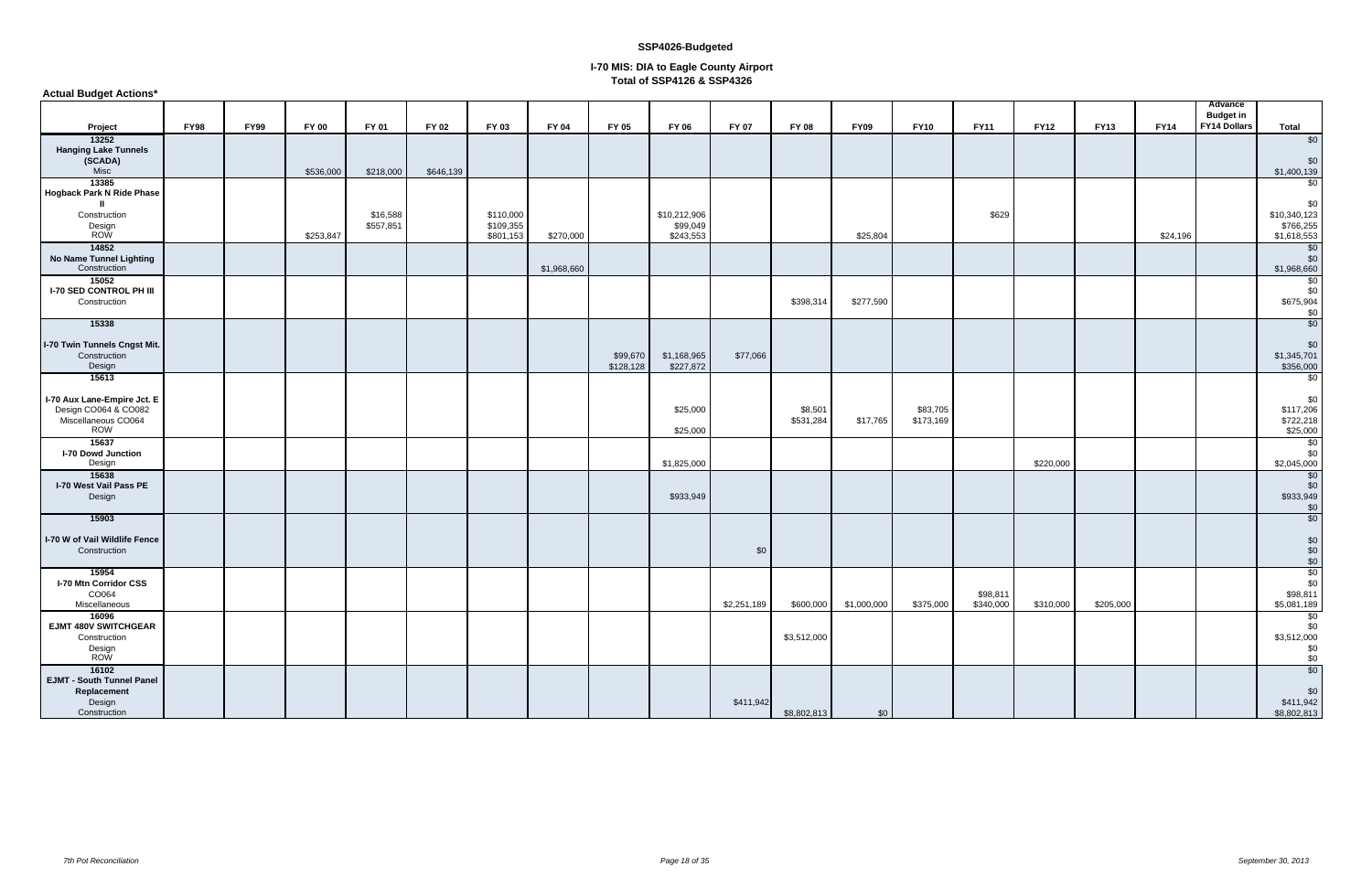## **I-70 MIS: DIA to Eagle County Airport Total of SSP4126 & SSP4326**

| <b>Actual Budget Actions*</b>                  |             |             |              |           |           |           |             |              |              |              |              |             |             |                       |             |             |             |                                                    |                                                                                                    |
|------------------------------------------------|-------------|-------------|--------------|-----------|-----------|-----------|-------------|--------------|--------------|--------------|--------------|-------------|-------------|-----------------------|-------------|-------------|-------------|----------------------------------------------------|----------------------------------------------------------------------------------------------------|
| Project                                        | <b>FY98</b> | <b>FY99</b> | <b>FY 00</b> | FY 01     | FY 02     | FY 03     | FY 04       | <b>FY 05</b> | FY 06        | <b>FY 07</b> | <b>FY 08</b> | <b>FY09</b> | <b>FY10</b> | <b>FY11</b>           | <b>FY12</b> | <b>FY13</b> | <b>FY14</b> | Advance<br><b>Budget in</b><br><b>FY14 Dollars</b> | <b>Total</b>                                                                                       |
| 13252                                          |             |             |              |           |           |           |             |              |              |              |              |             |             |                       |             |             |             |                                                    | $\sqrt{60}$                                                                                        |
| <b>Hanging Lake Tunnels</b>                    |             |             |              |           |           |           |             |              |              |              |              |             |             |                       |             |             |             |                                                    |                                                                                                    |
| (SCADA)<br>Misc                                |             |             | \$536,000    | \$218,000 | \$646,139 |           |             |              |              |              |              |             |             |                       |             |             |             |                                                    | \$0<br>\$1,400,139                                                                                 |
| 13385                                          |             |             |              |           |           |           |             |              |              |              |              |             |             |                       |             |             |             |                                                    | \$0                                                                                                |
| <b>Hogback Park N Ride Phase</b>               |             |             |              |           |           |           |             |              |              |              |              |             |             |                       |             |             |             |                                                    |                                                                                                    |
| Construction                                   |             |             |              | \$16,588  |           | \$110,000 |             |              | \$10,212,906 |              |              |             |             | \$629                 |             |             |             |                                                    | \$0<br>\$10,340,123                                                                                |
| Design<br>ROW                                  |             |             |              | \$557,851 |           | \$109,355 |             |              | \$99,049     |              |              |             |             |                       |             |             |             |                                                    | \$766,255                                                                                          |
|                                                |             |             | \$253,847    |           |           | \$801,153 | \$270,000   |              | \$243,553    |              |              | \$25,804    |             |                       |             |             | \$24,196    |                                                    | \$1,618,553                                                                                        |
| 14852<br>No Name Tunnel Lighting               |             |             |              |           |           |           |             |              |              |              |              |             |             |                       |             |             |             |                                                    | \$0<br>\$0                                                                                         |
| Construction                                   |             |             |              |           |           |           | \$1,968,660 |              |              |              |              |             |             |                       |             |             |             |                                                    | \$1,968,660                                                                                        |
| 15052                                          |             |             |              |           |           |           |             |              |              |              |              |             |             |                       |             |             |             |                                                    | \$0                                                                                                |
| <b>I-70 SED CONTROL PH III</b><br>Construction |             |             |              |           |           |           |             |              |              |              | \$398,314    | \$277,590   |             |                       |             |             |             |                                                    | \$0<br>\$675,904                                                                                   |
|                                                |             |             |              |           |           |           |             |              |              |              |              |             |             |                       |             |             |             |                                                    | \$0                                                                                                |
| 15338                                          |             |             |              |           |           |           |             |              |              |              |              |             |             |                       |             |             |             |                                                    | \$0                                                                                                |
| I-70 Twin Tunnels Cngst Mit.                   |             |             |              |           |           |           |             |              |              |              |              |             |             |                       |             |             |             |                                                    | \$0                                                                                                |
| Construction                                   |             |             |              |           |           |           |             | \$99,670     | \$1,168,965  | \$77,066     |              |             |             |                       |             |             |             |                                                    | \$1,345,701                                                                                        |
| Design                                         |             |             |              |           |           |           |             | \$128,128    | \$227,872    |              |              |             |             |                       |             |             |             |                                                    | \$356,000                                                                                          |
| 15613                                          |             |             |              |           |           |           |             |              |              |              |              |             |             |                       |             |             |             |                                                    | \$0                                                                                                |
| I-70 Aux Lane-Empire Jct. E                    |             |             |              |           |           |           |             |              |              |              |              |             |             |                       |             |             |             |                                                    | \$0                                                                                                |
| Design CO064 & CO082                           |             |             |              |           |           |           |             |              | \$25,000     |              | \$8,501      |             | \$83,705    |                       |             |             |             |                                                    | \$117,206                                                                                          |
| Miscellaneous CO064<br>ROW                     |             |             |              |           |           |           |             |              | \$25,000     |              | \$531,284    | \$17,765    | \$173,169   |                       |             |             |             |                                                    | \$722,218<br>\$25,000                                                                              |
| 15637                                          |             |             |              |           |           |           |             |              |              |              |              |             |             |                       |             |             |             |                                                    | \$0                                                                                                |
| I-70 Dowd Junction                             |             |             |              |           |           |           |             |              |              |              |              |             |             |                       |             |             |             |                                                    | \$0                                                                                                |
| Design<br>15638                                |             |             |              |           |           |           |             |              | \$1,825,000  |              |              |             |             |                       | \$220,000   |             |             |                                                    | \$2,045,000                                                                                        |
| I-70 West Vail Pass PE                         |             |             |              |           |           |           |             |              |              |              |              |             |             |                       |             |             |             |                                                    | $\sqrt{50}$<br>\$0                                                                                 |
| Design                                         |             |             |              |           |           |           |             |              | \$933,949    |              |              |             |             |                       |             |             |             |                                                    | \$933,949                                                                                          |
| 15903                                          |             |             |              |           |           |           |             |              |              |              |              |             |             |                       |             |             |             |                                                    | \$0<br>\$0                                                                                         |
|                                                |             |             |              |           |           |           |             |              |              |              |              |             |             |                       |             |             |             |                                                    |                                                                                                    |
| I-70 W of Vail Wildlife Fence                  |             |             |              |           |           |           |             |              |              |              |              |             |             |                       |             |             |             |                                                    |                                                                                                    |
| Construction                                   |             |             |              |           |           |           |             |              |              | \$0          |              |             |             |                       |             |             |             |                                                    |                                                                                                    |
| 15954                                          |             |             |              |           |           |           |             |              |              |              |              |             |             |                       |             |             |             |                                                    | $\begin{array}{c} 0 \\ 0 \\ 0 \\ 0 \\ \hline 0 \\ 0 \\ \hline 0 \\ \hline 0 \\ \hline \end{array}$ |
| I-70 Mtn Corridor CSS                          |             |             |              |           |           |           |             |              |              |              |              |             |             |                       |             |             |             |                                                    | \$0                                                                                                |
| CO064<br>Miscellaneous                         |             |             |              |           |           |           |             |              |              | \$2,251,189  |              | \$1,000,000 | \$375,000   | \$98,811<br>\$340,000 | \$310,000   | \$205,000   |             |                                                    | \$98,811<br>\$5,081,189                                                                            |
| 16096                                          |             |             |              |           |           |           |             |              |              |              | \$600,000    |             |             |                       |             |             |             |                                                    | \$0                                                                                                |
| <b>EJMT 480V SWITCHGEAR</b>                    |             |             |              |           |           |           |             |              |              |              |              |             |             |                       |             |             |             |                                                    | \$0                                                                                                |
| Construction                                   |             |             |              |           |           |           |             |              |              |              | \$3,512,000  |             |             |                       |             |             |             |                                                    | \$3,512,000                                                                                        |
| Design<br>ROW                                  |             |             |              |           |           |           |             |              |              |              |              |             |             |                       |             |             |             |                                                    | $$0$<br>\$0                                                                                        |
| 16102                                          |             |             |              |           |           |           |             |              |              |              |              |             |             |                       |             |             |             |                                                    | \$0                                                                                                |
| <b>EJMT - South Tunnel Panel</b>               |             |             |              |           |           |           |             |              |              |              |              |             |             |                       |             |             |             |                                                    |                                                                                                    |
| Replacement<br>Design                          |             |             |              |           |           |           |             |              |              | \$411,942    |              |             |             |                       |             |             |             |                                                    | \$0<br>\$411,942                                                                                   |
| Construction                                   |             |             |              |           |           |           |             |              |              |              | \$8,802,813  | \$0         |             |                       |             |             |             |                                                    | \$8,802,813                                                                                        |

 *7th Pot Reconciliation*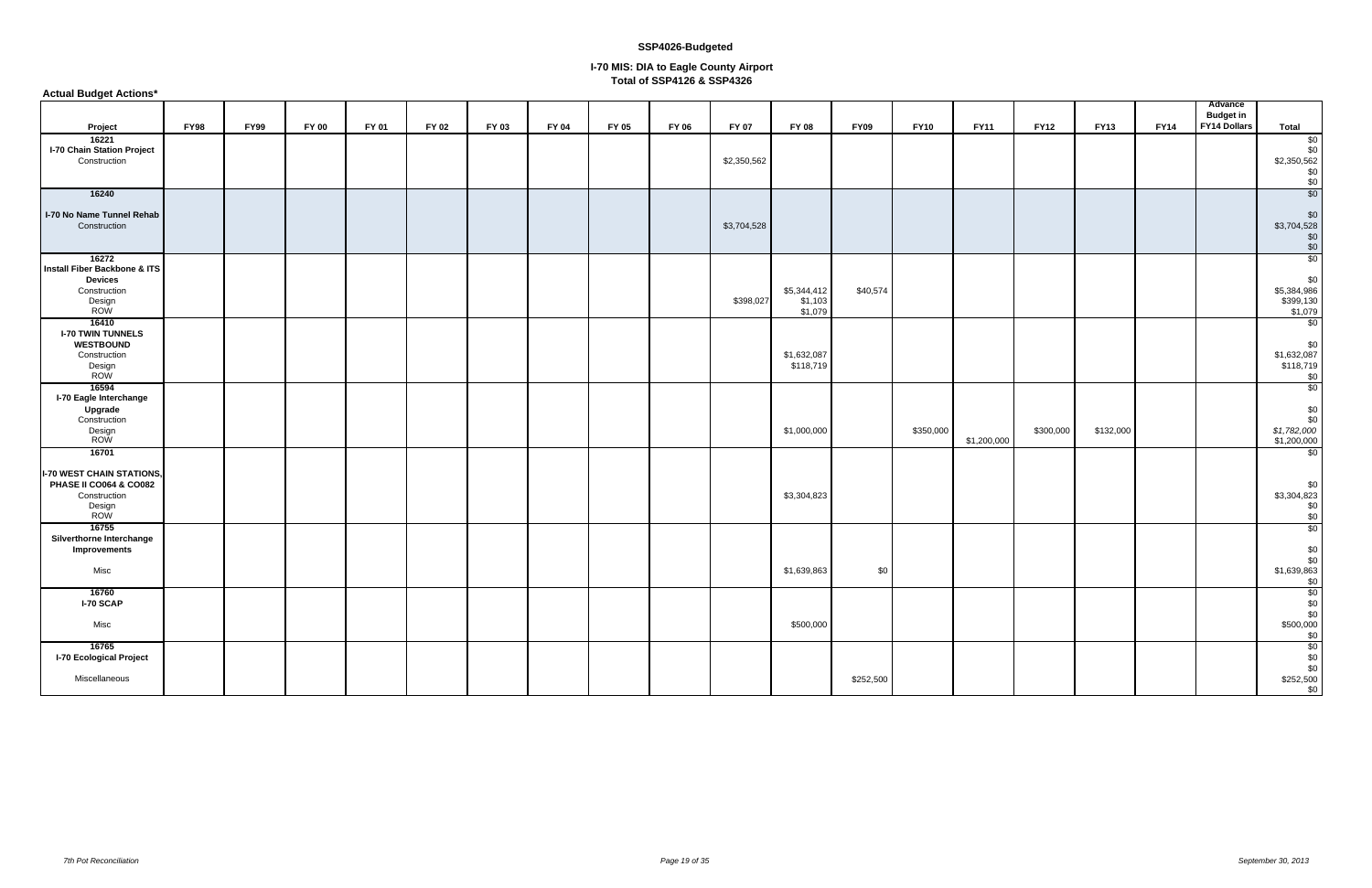| <b>Actual Budget Actions*</b>                                                                                   |             |             |              |       |              |       |              |              |              |              |                                   |             |             |             |             |             |             |                                                    |                                                                         |
|-----------------------------------------------------------------------------------------------------------------|-------------|-------------|--------------|-------|--------------|-------|--------------|--------------|--------------|--------------|-----------------------------------|-------------|-------------|-------------|-------------|-------------|-------------|----------------------------------------------------|-------------------------------------------------------------------------|
| Project                                                                                                         | <b>FY98</b> | <b>FY99</b> | <b>FY 00</b> | FY 01 | <b>FY 02</b> | FY 03 | <b>FY 04</b> | <b>FY 05</b> | <b>FY 06</b> | <b>FY 07</b> | <b>FY 08</b>                      | <b>FY09</b> | <b>FY10</b> | <b>FY11</b> | <b>FY12</b> | <b>FY13</b> | <b>FY14</b> | Advance<br><b>Budget in</b><br><b>FY14 Dollars</b> | <b>Total</b>                                                            |
| 16221<br>I-70 Chain Station Project<br>Construction                                                             |             |             |              |       |              |       |              |              |              | \$2,350,562  |                                   |             |             |             |             |             |             |                                                    | \$0<br>\$0<br>\$2,350,562<br>$$^{6}_{\$0}$$                             |
| 16240<br>I-70 No Name Tunnel Rehab<br>Construction                                                              |             |             |              |       |              |       |              |              |              | \$3,704,528  |                                   |             |             |             |             |             |             |                                                    | \$0<br>\$0<br>\$3,704,528<br>$\begin{array}{c} 0 \\ 0 \\ 0 \end{array}$ |
| 16272<br>Install Fiber Backbone & ITS<br><b>Devices</b><br>Construction<br>Design<br>ROW                        |             |             |              |       |              |       |              |              |              | \$398,027    | \$5,344,412<br>\$1,103<br>\$1,079 | \$40,574    |             |             |             |             |             |                                                    | \$0<br>\$0<br>\$5,384,986<br>\$399,130<br>\$1,079                       |
| 16410<br><b>I-70 TWIN TUNNELS</b><br><b>WESTBOUND</b><br>Construction<br>Design<br>ROW                          |             |             |              |       |              |       |              |              |              |              | \$1,632,087<br>\$118,719          |             |             |             |             |             |             |                                                    | \$0<br>\$0<br>\$1,632,087<br>\$118,719<br>\$0                           |
| 16594<br>I-70 Eagle Interchange<br>Upgrade<br>Construction<br>Design<br>ROW                                     |             |             |              |       |              |       |              |              |              |              | \$1,000,000                       |             | \$350,000   | \$1,200,000 | \$300,000   | \$132,000   |             |                                                    | \$0<br>\$0<br>\$0<br>\$1,782,000<br>\$1,200,000                         |
| 16701<br><b>I-70 WEST CHAIN STATIONS,</b><br><b>PHASE II CO064 &amp; CO082</b><br>Construction<br>Design<br>ROW |             |             |              |       |              |       |              |              |              |              | \$3,304,823                       |             |             |             |             |             |             |                                                    | \$0<br>\$0<br>$$3,304,823$<br>\$0<br>\$0                                |
| 16755<br>Silverthorne Interchange<br>Improvements<br>Misc                                                       |             |             |              |       |              |       |              |              |              |              | \$1,639,863                       | \$0         |             |             |             |             |             |                                                    | \$0<br>\$0<br>\$0<br>$$1,639,863$<br>$$0$                               |
| 16760<br>I-70 SCAP<br>Misc                                                                                      |             |             |              |       |              |       |              |              |              |              | \$500,000                         |             |             |             |             |             |             |                                                    | $\begin{array}{c} 10 \\ 20 \end{array}$<br>\$0<br>\$500,000<br>\$0      |
| 16765<br><b>I-70 Ecological Project</b><br>Miscellaneous                                                        |             |             |              |       |              |       |              |              |              |              |                                   | \$252,500   |             |             |             |             |             |                                                    | $$^{6}_{60}$<br>$$^{6}_{60}$<br>\$252,500<br>\$0                        |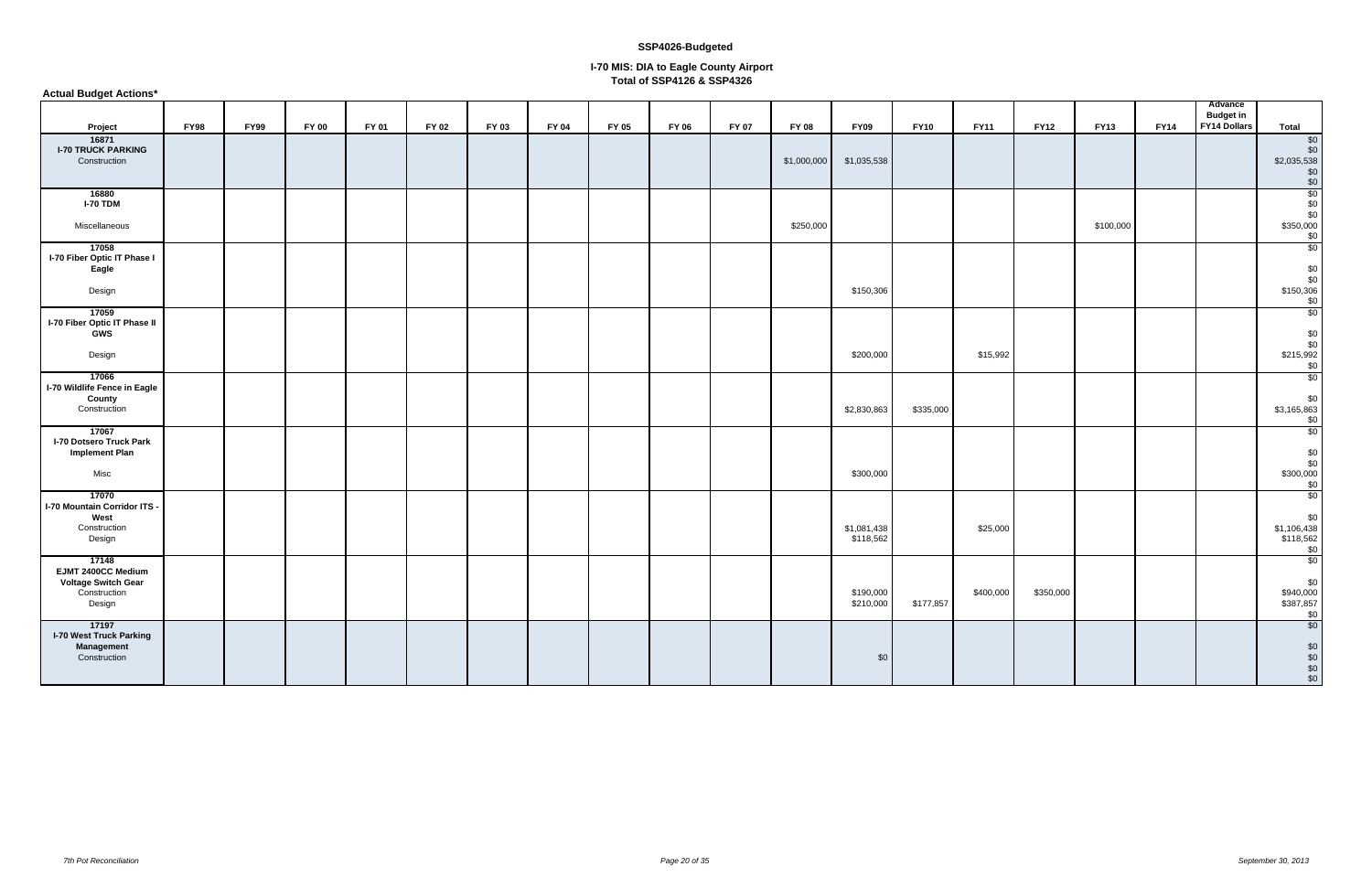**Actual Budget Actions\***

| Project                                          | <b>FY98</b> | <b>FY99</b> | <b>FY 00</b> | FY 01 | FY 02 | FY 03 | <b>FY 04</b> | FY 05 | <b>FY 06</b> | FY 07 | <b>FY 08</b> | <b>FY09</b>            | <b>FY10</b> | <b>FY11</b> | <b>FY12</b> | <b>FY13</b> | <b>FY14</b> | Advance<br><b>Budget in</b><br><b>FY14 Dollars</b> | <b>Total</b>                                                                        |
|--------------------------------------------------|-------------|-------------|--------------|-------|-------|-------|--------------|-------|--------------|-------|--------------|------------------------|-------------|-------------|-------------|-------------|-------------|----------------------------------------------------|-------------------------------------------------------------------------------------|
| 16871                                            |             |             |              |       |       |       |              |       |              |       |              |                        |             |             |             |             |             |                                                    | \$0                                                                                 |
| <b>I-70 TRUCK PARKING</b><br>Construction        |             |             |              |       |       |       |              |       |              |       | \$1,000,000  | \$1,035,538            |             |             |             |             |             |                                                    | \$0<br>\$2,035,538                                                                  |
|                                                  |             |             |              |       |       |       |              |       |              |       |              |                        |             |             |             |             |             |                                                    | \$0<br>$\overline{\$0}$                                                             |
| 16880<br><b>I-70 TDM</b>                         |             |             |              |       |       |       |              |       |              |       |              |                        |             |             |             |             |             |                                                    | $\overline{30}$<br>\$0                                                              |
|                                                  |             |             |              |       |       |       |              |       |              |       |              |                        |             |             |             |             |             |                                                    | \$0                                                                                 |
| Miscellaneous                                    |             |             |              |       |       |       |              |       |              |       | \$250,000    |                        |             |             |             | \$100,000   |             |                                                    | \$350,000<br>\$0                                                                    |
| 17058<br>I-70 Fiber Optic IT Phase I             |             |             |              |       |       |       |              |       |              |       |              |                        |             |             |             |             |             |                                                    | \$0                                                                                 |
| Eagle                                            |             |             |              |       |       |       |              |       |              |       |              |                        |             |             |             |             |             |                                                    | $$^{6}_{\color{red}30}$                                                             |
| Design                                           |             |             |              |       |       |       |              |       |              |       |              | \$150,306              |             |             |             |             |             |                                                    | \$150,306                                                                           |
| 17059                                            |             |             |              |       |       |       |              |       |              |       |              |                        |             |             |             |             |             |                                                    | $$0$<br>\$0                                                                         |
| I-70 Fiber Optic IT Phase II<br><b>GWS</b>       |             |             |              |       |       |       |              |       |              |       |              |                        |             |             |             |             |             |                                                    | \$0                                                                                 |
| Design                                           |             |             |              |       |       |       |              |       |              |       |              | \$200,000              |             | \$15,992    |             |             |             |                                                    | \$0<br>\$215,992                                                                    |
| 17066                                            |             |             |              |       |       |       |              |       |              |       |              |                        |             |             |             |             |             |                                                    | \$0<br>$\sqrt[6]{60}$                                                               |
| I-70 Wildlife Fence in Eagle                     |             |             |              |       |       |       |              |       |              |       |              |                        |             |             |             |             |             |                                                    |                                                                                     |
| County<br>Construction                           |             |             |              |       |       |       |              |       |              |       |              | \$2,830,863            | \$335,000   |             |             |             |             |                                                    | \$0<br>\$3,165,863                                                                  |
| 17067                                            |             |             |              |       |       |       |              |       |              |       |              |                        |             |             |             |             |             |                                                    | \$0<br>\$0                                                                          |
| I-70 Dotsero Truck Park<br><b>Implement Plan</b> |             |             |              |       |       |       |              |       |              |       |              |                        |             |             |             |             |             |                                                    | \$0                                                                                 |
|                                                  |             |             |              |       |       |       |              |       |              |       |              |                        |             |             |             |             |             |                                                    | \$0                                                                                 |
| Misc                                             |             |             |              |       |       |       |              |       |              |       |              | \$300,000              |             |             |             |             |             |                                                    | \$300,000<br>\$0                                                                    |
| 17070<br>I-70 Mountain Corridor ITS              |             |             |              |       |       |       |              |       |              |       |              |                        |             |             |             |             |             |                                                    | $\sqrt[6]{50}$                                                                      |
| West<br>Construction                             |             |             |              |       |       |       |              |       |              |       |              | \$1,081,438            |             | \$25,000    |             |             |             |                                                    | \$0<br>\$1,106,438                                                                  |
| Design                                           |             |             |              |       |       |       |              |       |              |       |              | \$118,562              |             |             |             |             |             |                                                    | \$118,562<br>\$0                                                                    |
| 17148                                            |             |             |              |       |       |       |              |       |              |       |              |                        |             |             |             |             |             |                                                    | $\sqrt[6]{60}$                                                                      |
| EJMT 2400CC Medium<br><b>Voltage Switch Gear</b> |             |             |              |       |       |       |              |       |              |       |              |                        |             |             |             |             |             |                                                    | \$0                                                                                 |
| Construction<br>Design                           |             |             |              |       |       |       |              |       |              |       |              | \$190,000<br>\$210,000 | \$177,857   | \$400,000   | \$350,000   |             |             |                                                    | \$940,000<br>\$387,857                                                              |
| 17197                                            |             |             |              |       |       |       |              |       |              |       |              |                        |             |             |             |             |             |                                                    | \$0<br>$\overline{\$0}$                                                             |
| <b>I-70 West Truck Parking</b>                   |             |             |              |       |       |       |              |       |              |       |              |                        |             |             |             |             |             |                                                    |                                                                                     |
| Management<br>Construction                       |             |             |              |       |       |       |              |       |              |       |              | \$0                    |             |             |             |             |             |                                                    | $\begin{array}{c} \text{\$0} \\ \text{\$0} \\ \text{\$0} \\ \text{\$0} \end{array}$ |
|                                                  |             |             |              |       |       |       |              |       |              |       |              |                        |             |             |             |             |             |                                                    | $\overline{\$0}$                                                                    |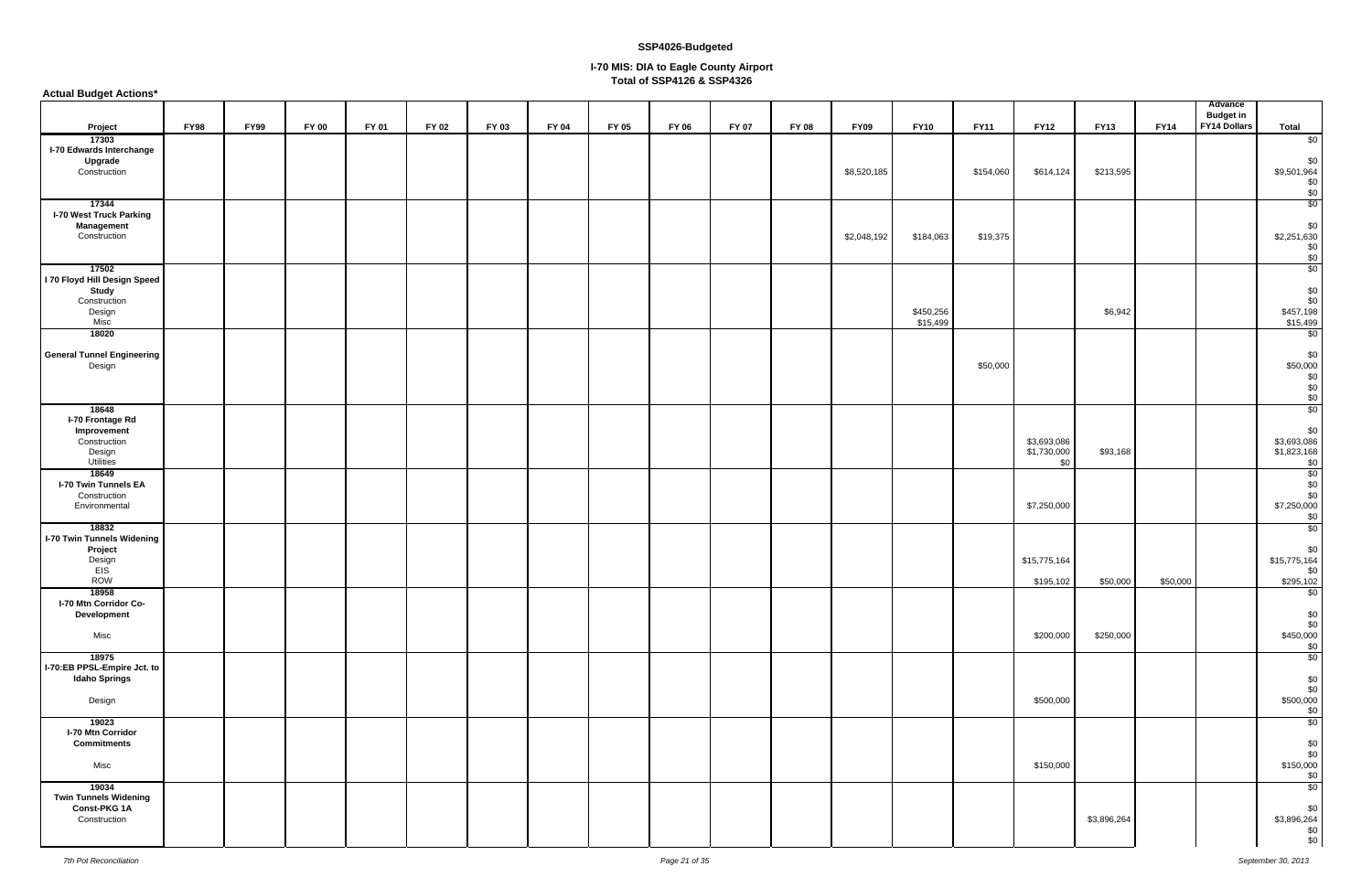| <b>Actual Budget Actions*</b>                                                           |             |             |              |              |       |       |              |              |              |       |              |             |                       |             |                                   |             |             |                             |                                                                                    |
|-----------------------------------------------------------------------------------------|-------------|-------------|--------------|--------------|-------|-------|--------------|--------------|--------------|-------|--------------|-------------|-----------------------|-------------|-----------------------------------|-------------|-------------|-----------------------------|------------------------------------------------------------------------------------|
|                                                                                         |             |             |              |              |       |       |              |              |              |       |              |             |                       |             |                                   |             |             | Advance<br><b>Budget in</b> |                                                                                    |
| Project                                                                                 | <b>FY98</b> | <b>FY99</b> | <b>FY 00</b> | <b>FY 01</b> | FY 02 | FY 03 | <b>FY 04</b> | <b>FY 05</b> | <b>FY 06</b> | FY 07 | <b>FY 08</b> | <b>FY09</b> | <b>FY10</b>           | <b>FY11</b> | <b>FY12</b>                       | <b>FY13</b> | <b>FY14</b> | <b>FY14 Dollars</b>         | <b>Total</b>                                                                       |
| 17303<br><b>I-70 Edwards Interchange</b><br>Upgrade<br>Construction                     |             |             |              |              |       |       |              |              |              |       |              | \$8,520,185 |                       | \$154,060   | \$614,124                         | \$213,595   |             |                             | $\frac{1}{20}$<br>\$0<br>\$9,501,964<br>$\begin{array}{c} 0 \\ 0 \\ 0 \end{array}$ |
| 17344<br><b>I-70 West Truck Parking</b><br>Management<br>Construction                   |             |             |              |              |       |       |              |              |              |       |              | \$2,048,192 | \$184,063             | \$19,375    |                                   |             |             |                             | \$0<br>\$0<br>$$2,251,630$<br>\$0<br>\$0                                           |
| 17502<br>I 70 Floyd Hill Design Speed<br><b>Study</b><br>Construction<br>Design<br>Misc |             |             |              |              |       |       |              |              |              |       |              |             | \$450,256<br>\$15,499 |             |                                   | \$6,942     |             |                             | $\overline{\$0}$<br>\$0<br>\$0<br>\$457,198<br>\$15,499                            |
| 18020<br><b>General Tunnel Engineering</b><br>Design                                    |             |             |              |              |       |       |              |              |              |       |              |             |                       | \$50,000    |                                   |             |             |                             | \$0<br>\$0<br>$$50,000$<br>$$0$<br>$$0$<br>$$0$<br>$$0$<br>$$0$                    |
| 18648<br>I-70 Frontage Rd<br>Improvement<br>Construction<br>Design<br>Utilities         |             |             |              |              |       |       |              |              |              |       |              |             |                       |             | \$3,693,086<br>\$1,730,000<br>\$0 | \$93,168    |             |                             | \$0<br>\$3,693,086<br>$$1,823,168$<br>$$0$                                         |
| 18649<br>I-70 Twin Tunnels EA<br>Construction<br>Environmental<br>18832                 |             |             |              |              |       |       |              |              |              |       |              |             |                       |             | \$7,250,000                       |             |             |                             | \$0<br>\$0<br>\$0<br>\$7,250,000<br>\$0<br>$\overline{\$0}$                        |
| <b>I-70 Twin Tunnels Widening</b><br>Project<br>Design<br>EIS<br>ROW                    |             |             |              |              |       |       |              |              |              |       |              |             |                       |             | \$15,775,164<br>\$195,102         | \$50,000    | \$50,000    |                             | \$0<br>\$15,775,164<br>\$0<br>\$295,102                                            |
| 18958<br>I-70 Mtn Corridor Co-<br>Development<br>Misc                                   |             |             |              |              |       |       |              |              |              |       |              |             |                       |             | \$200,000                         | \$250,000   |             |                             | \$0<br>\$0<br>\$0<br>\$450,000                                                     |
| 18975<br>I-70:EB PPSL-Empire Jct. to<br><b>Idaho Springs</b><br>Design                  |             |             |              |              |       |       |              |              |              |       |              |             |                       |             | \$500,000                         |             |             |                             | $\frac{$0}{$0}$<br>\$0<br>\$0<br>\$500,000                                         |
| 19023<br>I-70 Mtn Corridor<br><b>Commitments</b><br>Misc                                |             |             |              |              |       |       |              |              |              |       |              |             |                       |             | \$150,000                         |             |             |                             | \$0<br>\$0<br>\$0<br>\$150,000<br>$\frac{1}{20}$                                   |
| 19034<br><b>Twin Tunnels Widening</b><br>Const-PKG 1A<br>Construction                   |             |             |              |              |       |       |              |              |              |       |              |             |                       |             |                                   | \$3,896,264 |             |                             | \$0<br>\$0<br>\$3,896,264<br>$\begin{array}{c} 0 \\ 0 \\ 0 \end{array}$            |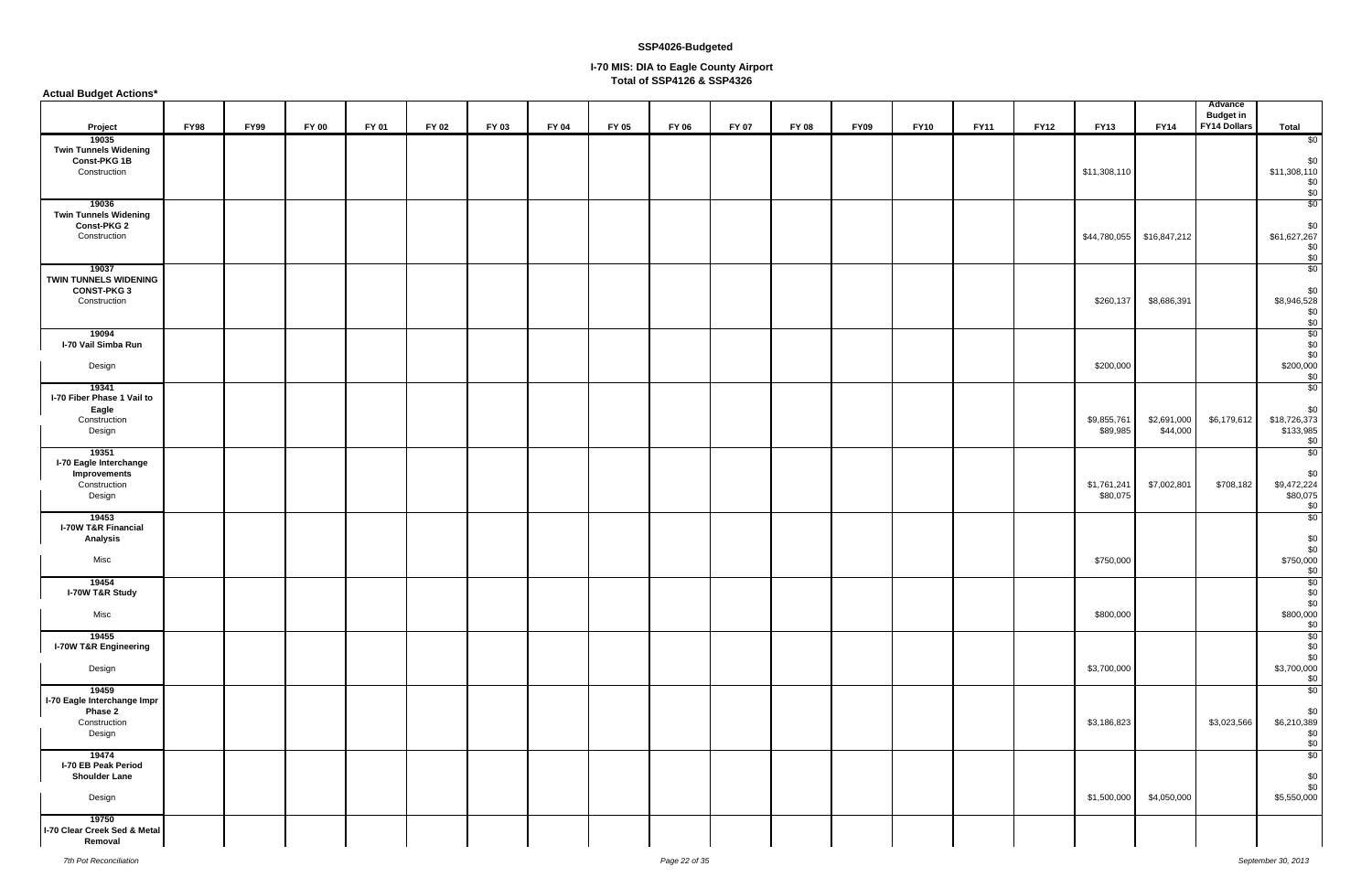**Actual Budget Actions\***

|                                                                             |             |             |              |              |              |       |              |              |              |       |              |             |             |             |             |                         |                           | Advance<br><b>Budget in</b> |                                                              |
|-----------------------------------------------------------------------------|-------------|-------------|--------------|--------------|--------------|-------|--------------|--------------|--------------|-------|--------------|-------------|-------------|-------------|-------------|-------------------------|---------------------------|-----------------------------|--------------------------------------------------------------|
| Project<br>19035                                                            | <b>FY98</b> | <b>FY99</b> | <b>FY 00</b> | <b>FY 01</b> | <b>FY 02</b> | FY 03 | <b>FY 04</b> | <b>FY 05</b> | <b>FY 06</b> | FY 07 | <b>FY 08</b> | <b>FY09</b> | <b>FY10</b> | <b>FY11</b> | <b>FY12</b> | <b>FY13</b>             | <b>FY14</b>               | <b>FY14 Dollars</b>         | <b>Total</b><br>\$0                                          |
| <b>Twin Tunnels Widening</b><br>Const-PKG 1B<br>Construction                |             |             |              |              |              |       |              |              |              |       |              |             |             |             |             | \$11,308,110            |                           |                             | \$0<br>\$11,308,110<br>$\frac{$0}{$0}$<br>$\frac{$0}{$0}$    |
| 19036<br><b>Twin Tunnels Widening</b><br><b>Const-PKG 2</b><br>Construction |             |             |              |              |              |       |              |              |              |       |              |             |             |             |             |                         | \$44,780,055 \$16,847,212 |                             | \$0<br>$$61,627,267$<br>\$0<br>\$0                           |
| 19037<br>TWIN TUNNELS WIDENING<br><b>CONST-PKG 3</b><br>Construction        |             |             |              |              |              |       |              |              |              |       |              |             |             |             |             | \$260,137               | \$8,686,391               |                             | $\overline{\$0}$<br>\$0<br>\$8,946,528<br>$\frac{$0}{$0}$    |
| 19094<br>I-70 Vail Simba Run<br>Design                                      |             |             |              |              |              |       |              |              |              |       |              |             |             |             |             | \$200,000               |                           |                             | \$0<br>\$0<br>$$200,000$<br>$$0$                             |
| 19341<br>I-70 Fiber Phase 1 Vail to<br>Eagle<br>Construction<br>Design      |             |             |              |              |              |       |              |              |              |       |              |             |             |             |             | \$9,855,761<br>\$89,985 | \$2,691,000<br>\$44,000   | \$6,179,612                 | \$0<br>\$0<br>\$18,726,373<br>\$133,985<br>\$0               |
| 19351<br>I-70 Eagle Interchange<br>Improvements<br>Construction<br>Design   |             |             |              |              |              |       |              |              |              |       |              |             |             |             |             | \$1,761,241<br>\$80,075 | \$7,002,801               | \$708,182                   | $\sqrt{$0}$<br>\$0<br>\$9,472,224<br>$$80,075$<br>$$0$       |
| 19453<br><b>I-70W T&amp;R Financial</b><br>Analysis<br>Misc                 |             |             |              |              |              |       |              |              |              |       |              |             |             |             |             | \$750,000               |                           |                             | \$0<br>\$0<br>\$0                                            |
| 19454<br>I-70W T&R Study<br>Misc                                            |             |             |              |              |              |       |              |              |              |       |              |             |             |             |             | \$800,000               |                           |                             | $$750,000$<br>$$0$<br>$$0$<br>\$0<br>\$0<br>\$800,000<br>\$0 |
| 19455<br>I-70W T&R Engineering<br>Design                                    |             |             |              |              |              |       |              |              |              |       |              |             |             |             |             | \$3,700,000             |                           |                             | \$0<br>\$0<br>\$0<br>\$3,700,000<br>$\int$ \$0               |
| 19459<br>I-70 Eagle Interchange Impr<br>Phase 2<br>Construction<br>Design   |             |             |              |              |              |       |              |              |              |       |              |             |             |             |             | \$3,186,823             |                           | \$3,023,566                 | \$0<br>\$0<br>\$6,210,389<br>\$0<br>\$0                      |
| 19474<br>I-70 EB Peak Period<br><b>Shoulder Lane</b><br>Design              |             |             |              |              |              |       |              |              |              |       |              |             |             |             |             | \$1,500,000             | \$4,050,000               |                             | \$0<br>\$0<br>\$0<br>\$5,550,000                             |
| 19750<br>I-70 Clear Creek Sed & Metal<br>Removal                            |             |             |              |              |              |       |              |              |              |       |              |             |             |             |             |                         |                           |                             |                                                              |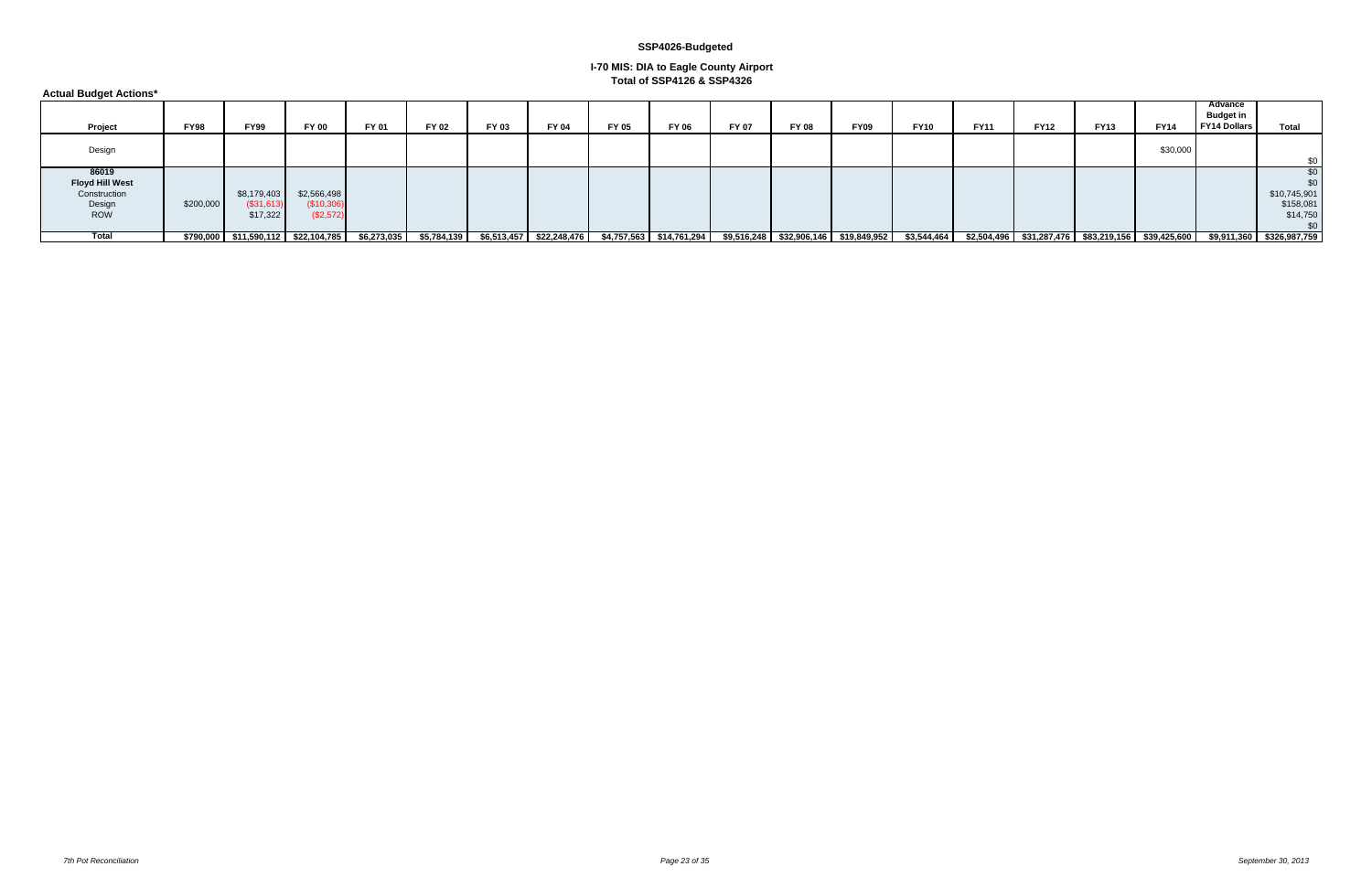**Actual Budget Actions\***

| Project                                                                 | <b>FY98</b> | <b>FY99</b>                             | <b>FY 00</b>                           | FY 01 | FY 02                                                | FY 03 | FY 04 | FY 05 | <b>FY 06</b>               | FY 07 | <b>FY 08</b> | <b>FY09</b>                              | <b>FY10</b> | <b>FY11</b> | <b>FY12</b> | <b>FY13</b>                                            | <b>FY14</b> | Advance<br><b>Budget in</b><br><b>FY14 Dollars</b> | Total                                 |
|-------------------------------------------------------------------------|-------------|-----------------------------------------|----------------------------------------|-------|------------------------------------------------------|-------|-------|-------|----------------------------|-------|--------------|------------------------------------------|-------------|-------------|-------------|--------------------------------------------------------|-------------|----------------------------------------------------|---------------------------------------|
| Design                                                                  |             |                                         |                                        |       |                                                      |       |       |       |                            |       |              |                                          |             |             |             |                                                        | \$30,000    |                                                    | .ፍስ                                   |
| 86019<br><b>Floyd Hill West</b><br>Construction<br>Design<br><b>ROW</b> | \$200,000   | \$8,179,403<br>( \$31, 613)<br>\$17,322 | \$2,566,498<br>(\$10,306)<br>(\$2,572) |       |                                                      |       |       |       |                            |       |              |                                          |             |             |             |                                                        |             |                                                    | \$10,745,901<br>\$158,081<br>\$14,750 |
| <b>Total</b>                                                            |             | $$790,000$ \$11,590,112 \$22,104,785    |                                        |       | $$6,273,035$ $$5,784,139$ $$6,513,457$ $$22,248,476$ |       |       |       | $$4,757,563$ $$14,761,294$ |       |              | $$9,516,248$ $$32,906,146$ $$19,849,952$ | \$3,544,464 |             |             | $$2,504,496$ $$31,287,476$ $$83,219,156$ $$39,425,600$ |             |                                                    | \$9,911,360 \$326,987,759             |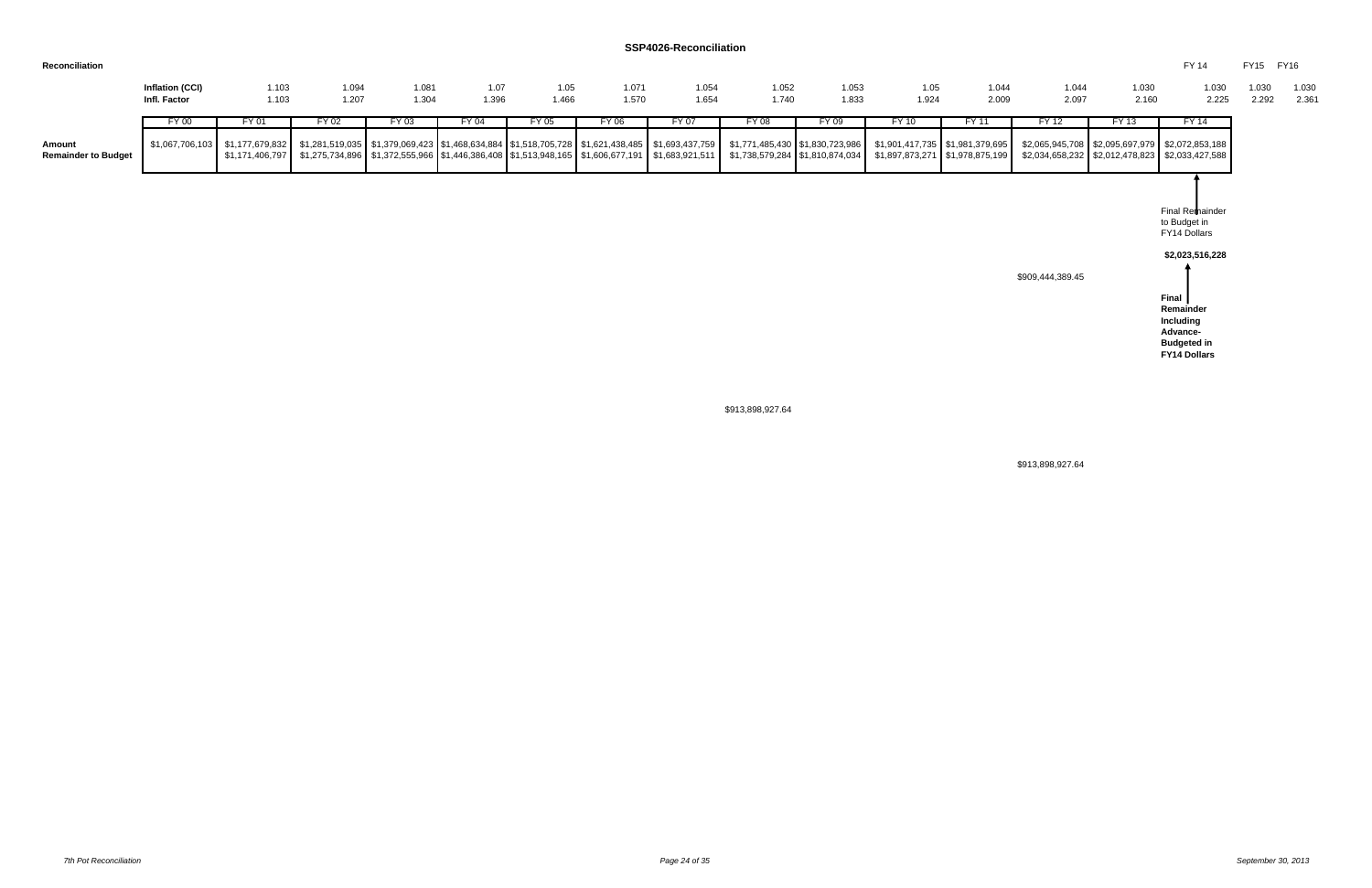#### **SSP4026-Reconciliation**

#### **Reconciliation**FY 14 FY15 FY16

|                                      | Inflation (CCI)<br>Infl. Factor | .103<br>1.103 | 1.094<br>1.207 | 1.081<br>1.304 | 1.07<br>1.396 | 1.05<br>1.466 | 1.07<br>1.570 | 1.054<br>1.654 | 1.052<br>1.740 | 1.053<br>1.833 | 1.05<br>1.924                                                                                                                                                                                                                                                                                                                                                                                                                                                                     | 1.044<br>2.009 | 1.044<br>2.097 | 1.03<br>2.160 | 1.030<br>2.225 | 1.030<br>2.292 | 1.030<br>2.36' |
|--------------------------------------|---------------------------------|---------------|----------------|----------------|---------------|---------------|---------------|----------------|----------------|----------------|-----------------------------------------------------------------------------------------------------------------------------------------------------------------------------------------------------------------------------------------------------------------------------------------------------------------------------------------------------------------------------------------------------------------------------------------------------------------------------------|----------------|----------------|---------------|----------------|----------------|----------------|
|                                      | FY 00                           | FY 01         |                | Y 03           | FY 04         | FY 05         | FY 06         |                | 5Y 08          | FY 09          | °Y 10                                                                                                                                                                                                                                                                                                                                                                                                                                                                             |                |                | FY 13         | <b>FY 14</b>   |                |                |
| Amount<br><b>Remainder to Budget</b> |                                 |               |                |                |               |               |               |                |                |                | \$1,067,706,103 \$1,177,679,832 \$1,281,519,035 \$1,379,069,423 \$1,468,634,884 \$1,518,705,728 \$1,621,438,485 \$1,693,437,759 \$1,771,485,430 \$1,830,723,986 \$1,901,417,735 \$1,981,379,695 \$2,065,945,708 \$2,095,697,979 \$2,072,853,18<br>\$1,171,406,797 \$1,275,734,896 \$1,372,555,966 \$1,446,386,408 \$1,513,948,165 \$1,606,677,191 \$1,683,921,511 \$1,738,579,284 \$1,810,874,034 \$1,897,873,271 \$1,978,875,199 \$2,034,658,232 \$2,012,478,823 \$2,033,427,588 |                |                |               |                |                |                |

| 4<br>Э | 1.044<br>2.097                     | 1.030<br>2.160                     | 1.030<br>2.225                                                                                                                                                               | 1.030<br>2.292 | 1.030<br>2.361 |
|--------|------------------------------------|------------------------------------|------------------------------------------------------------------------------------------------------------------------------------------------------------------------------|----------------|----------------|
|        | <b>FY 12</b>                       | <b>FY 13</b>                       | <b>FY 14</b>                                                                                                                                                                 |                |                |
|        | \$2,065,945,708<br>\$2,034,658,232 | \$2,095,697,979<br>\$2,012,478,823 | \$2,072,853,188<br>\$2,033,427,588                                                                                                                                           |                |                |
|        | \$909,444,389.45                   |                                    | Final Remainder<br>to Budget in<br><b>FY14 Dollars</b><br>\$2,023,516,228<br><b>Final</b><br>Remainder<br>Including<br>Advance-<br><b>Budgeted in</b><br><b>FY14 Dollars</b> |                |                |

\$913,898,927.64

\$913,898,927.64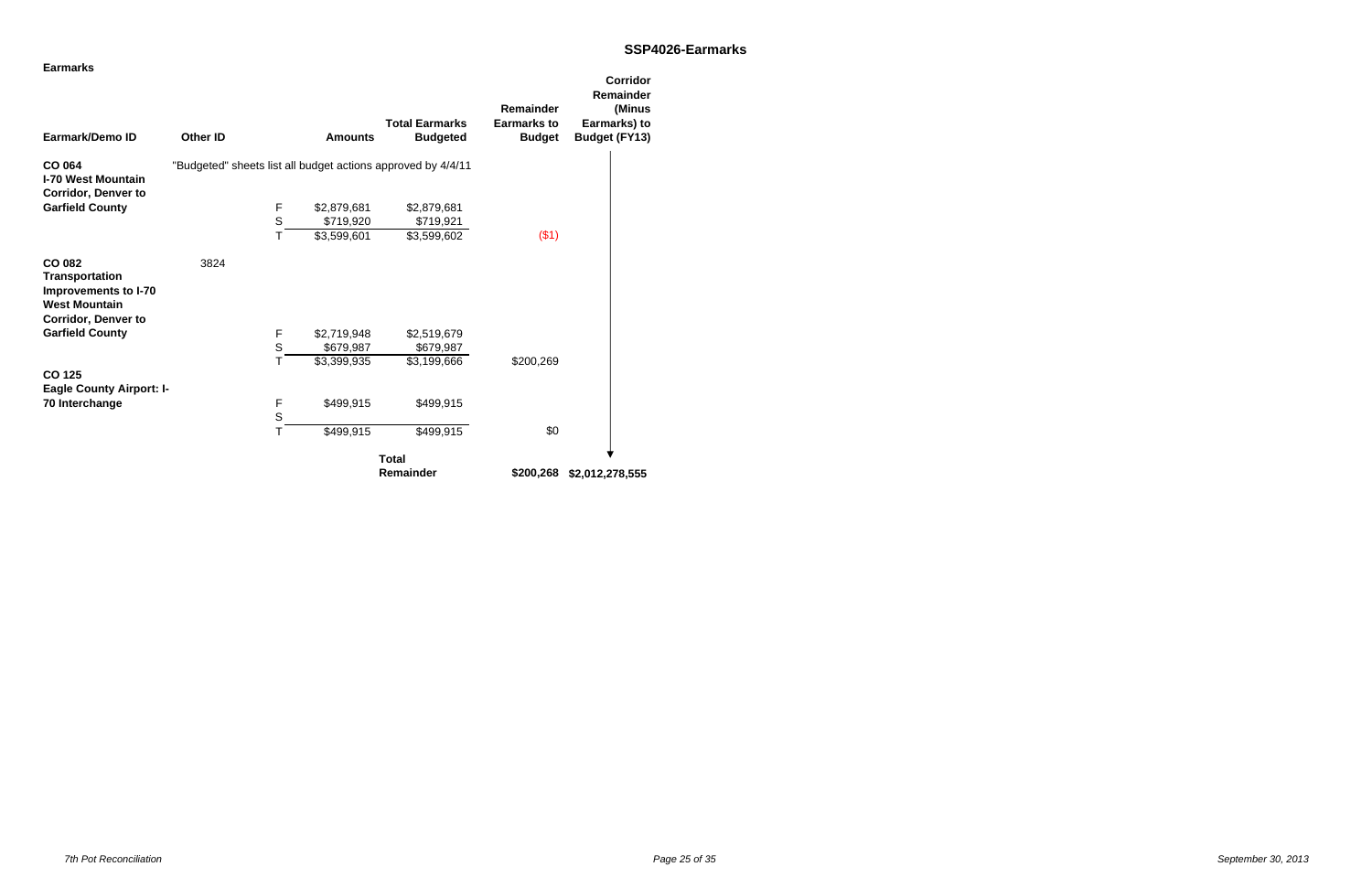| <b>Earmarks</b>                                                                                                      |                 |                  |                        |                                                              |                    |                                               |
|----------------------------------------------------------------------------------------------------------------------|-----------------|------------------|------------------------|--------------------------------------------------------------|--------------------|-----------------------------------------------|
|                                                                                                                      |                 |                  |                        |                                                              | Remainder          | <b>Corridor</b><br><b>Remainder</b><br>(Minus |
|                                                                                                                      |                 |                  |                        | <b>Total Earmarks</b>                                        | <b>Earmarks to</b> | Earmarks) to                                  |
| <b>Earmark/Demo ID</b>                                                                                               | <b>Other ID</b> |                  | <b>Amounts</b>         | <b>Budgeted</b>                                              | <b>Budget</b>      | <b>Budget (FY13)</b>                          |
| CO 064<br><b>I-70 West Mountain</b><br><b>Corridor, Denver to</b>                                                    |                 |                  |                        | "Budgeted" sheets list all budget actions approved by 4/4/11 |                    |                                               |
| <b>Garfield County</b>                                                                                               |                 | F                | \$2,879,681            | \$2,879,681                                                  |                    |                                               |
|                                                                                                                      |                 | $\mathsf S$      | \$719,920              | \$719,921                                                    |                    |                                               |
|                                                                                                                      |                 |                  | \$3,599,601            | \$3,599,602                                                  | (\$1)              |                                               |
| CO 082<br><b>Transportation</b><br><b>Improvements to I-70</b><br><b>West Mountain</b><br><b>Corridor, Denver to</b> | 3824            |                  |                        |                                                              |                    |                                               |
| <b>Garfield County</b>                                                                                               |                 | F                | \$2,719,948            | \$2,519,679                                                  |                    |                                               |
|                                                                                                                      |                 | S                | \$679,987              | \$679,987                                                    |                    |                                               |
|                                                                                                                      |                 |                  | $\overline{3,}399,935$ | \$3,199,666                                                  | \$200,269          |                                               |
| CO 125<br><b>Eagle County Airport: I-</b>                                                                            |                 |                  |                        |                                                              |                    |                                               |
| 70 Interchange                                                                                                       |                 | $\mathsf F$<br>S | \$499,915              | \$499,915                                                    |                    |                                               |
|                                                                                                                      |                 |                  | \$499,915              | \$499,915                                                    | \$0                |                                               |
|                                                                                                                      |                 |                  |                        | <b>Total</b>                                                 |                    |                                               |
|                                                                                                                      |                 |                  |                        | Remainder                                                    | \$200,268          | \$2,012,278,555                               |

*Page 25 of 35 September 30, 2013*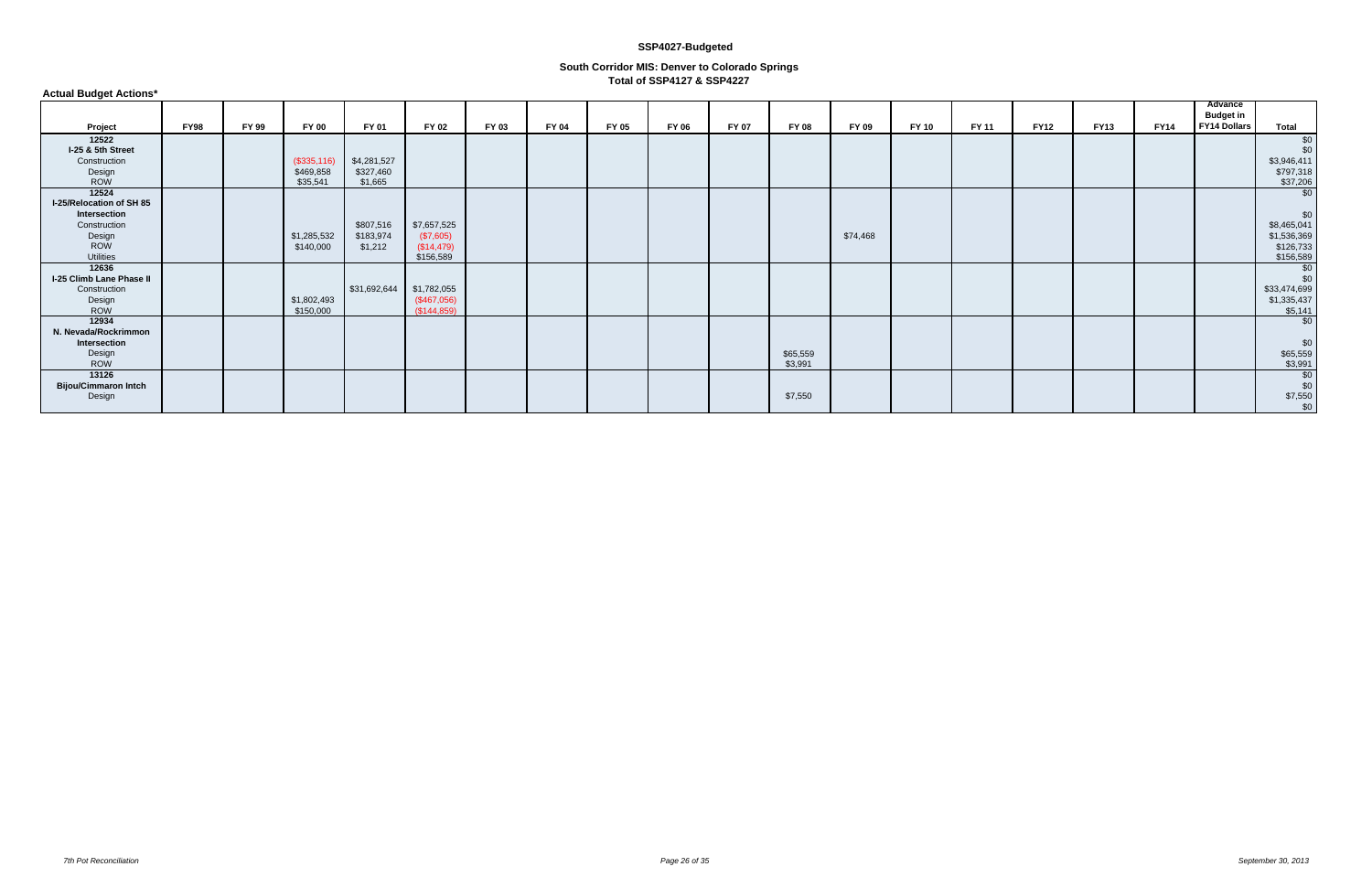| <b>Actual Budget Actions*</b> |             |       |              |              |             |       |       |       |       |       |          |          |              |              |             |             |             |                                                    |              |
|-------------------------------|-------------|-------|--------------|--------------|-------------|-------|-------|-------|-------|-------|----------|----------|--------------|--------------|-------------|-------------|-------------|----------------------------------------------------|--------------|
| Project                       | <b>FY98</b> | FY 99 | <b>FY 00</b> | FY 01        | FY 02       | FY 03 | FY 04 | FY 05 | FY 06 | FY 07 | FY 08    | FY 09    | <b>FY 10</b> | <b>FY 11</b> | <b>FY12</b> | <b>FY13</b> | <b>FY14</b> | Advance<br><b>Budget in</b><br><b>FY14 Dollars</b> | <b>Total</b> |
| 12522                         |             |       |              |              |             |       |       |       |       |       |          |          |              |              |             |             |             |                                                    | \$0          |
| I-25 & 5th Street             |             |       |              |              |             |       |       |       |       |       |          |          |              |              |             |             |             |                                                    | \$0          |
| Construction                  |             |       | (\$335,116)  | \$4,281,527  |             |       |       |       |       |       |          |          |              |              |             |             |             |                                                    | \$3,946,411  |
| Design                        |             |       | \$469,858    | \$327,460    |             |       |       |       |       |       |          |          |              |              |             |             |             |                                                    | \$797,318    |
| <b>ROW</b>                    |             |       | \$35,541     | \$1,665      |             |       |       |       |       |       |          |          |              |              |             |             |             |                                                    | \$37,206     |
| 12524                         |             |       |              |              |             |       |       |       |       |       |          |          |              |              |             |             |             |                                                    | $\sqrt{60}$  |
| I-25/Relocation of SH 85      |             |       |              |              |             |       |       |       |       |       |          |          |              |              |             |             |             |                                                    |              |
| Intersection                  |             |       |              |              |             |       |       |       |       |       |          |          |              |              |             |             |             |                                                    | \$0          |
| Construction                  |             |       |              | \$807,516    | \$7,657,525 |       |       |       |       |       |          |          |              |              |             |             |             |                                                    | \$8,465,041  |
| Design                        |             |       | \$1,285,532  | \$183,974    | (\$7,605)   |       |       |       |       |       |          | \$74,468 |              |              |             |             |             |                                                    | \$1,536,369  |
| <b>ROW</b>                    |             |       | \$140,000    | \$1,212      | (\$14,479)  |       |       |       |       |       |          |          |              |              |             |             |             |                                                    | \$126,733    |
| <b>Utilities</b>              |             |       |              |              | \$156,589   |       |       |       |       |       |          |          |              |              |             |             |             |                                                    | \$156,589    |
| 12636                         |             |       |              |              |             |       |       |       |       |       |          |          |              |              |             |             |             |                                                    | \$0          |
| I-25 Climb Lane Phase II      |             |       |              |              |             |       |       |       |       |       |          |          |              |              |             |             |             |                                                    | \$0          |
| Construction                  |             |       |              | \$31,692,644 | \$1,782,055 |       |       |       |       |       |          |          |              |              |             |             |             |                                                    | \$33,474,699 |
| Design                        |             |       | \$1,802,493  |              | (\$467,056) |       |       |       |       |       |          |          |              |              |             |             |             |                                                    | \$1,335,437  |
| <b>ROW</b>                    |             |       | \$150,000    |              | (\$144,859) |       |       |       |       |       |          |          |              |              |             |             |             |                                                    | \$5,141      |
| 12934                         |             |       |              |              |             |       |       |       |       |       |          |          |              |              |             |             |             |                                                    | \$0          |
| N. Nevada/Rockrimmon          |             |       |              |              |             |       |       |       |       |       |          |          |              |              |             |             |             |                                                    |              |
| Intersection                  |             |       |              |              |             |       |       |       |       |       |          |          |              |              |             |             |             |                                                    | \$0          |
| Design                        |             |       |              |              |             |       |       |       |       |       | \$65,559 |          |              |              |             |             |             |                                                    | \$65,559     |
| <b>ROW</b>                    |             |       |              |              |             |       |       |       |       |       | \$3,991  |          |              |              |             |             |             |                                                    | \$3,991      |
| 13126                         |             |       |              |              |             |       |       |       |       |       |          |          |              |              |             |             |             |                                                    | $\sqrt{60}$  |
| <b>Bijou/Cimmaron Intch</b>   |             |       |              |              |             |       |       |       |       |       |          |          |              |              |             |             |             |                                                    | \$0          |
| Design                        |             |       |              |              |             |       |       |       |       |       | \$7,550  |          |              |              |             |             |             |                                                    | \$7,550      |
|                               |             |       |              |              |             |       |       |       |       |       |          |          |              |              |             |             |             |                                                    | \$0          |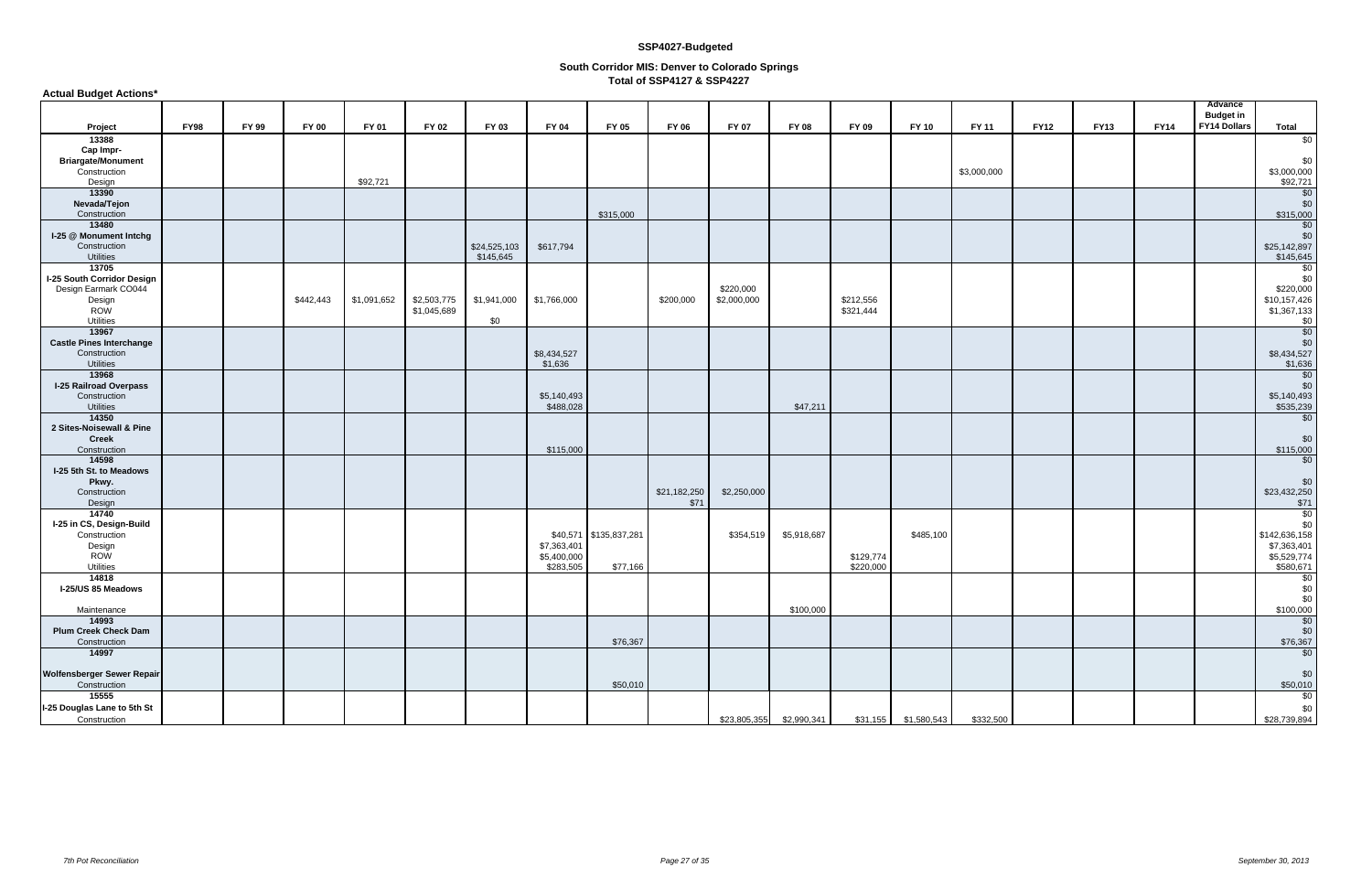| <b>Actual Budget Actions*</b>              |             |       |              |              |             |              |                        |                        |              |             |                          |           |                      |              |             |             |             |                             |                            |
|--------------------------------------------|-------------|-------|--------------|--------------|-------------|--------------|------------------------|------------------------|--------------|-------------|--------------------------|-----------|----------------------|--------------|-------------|-------------|-------------|-----------------------------|----------------------------|
|                                            |             |       |              |              |             |              |                        |                        |              |             |                          |           |                      |              |             |             |             | Advance<br><b>Budget in</b> |                            |
| Project                                    | <b>FY98</b> | FY 99 | <b>FY 00</b> | <b>FY 01</b> | FY 02       | FY 03        | FY 04                  | FY 05                  | <b>FY 06</b> | FY 07       | <b>FY 08</b>             | FY 09     | <b>FY 10</b>         | <b>FY 11</b> | <b>FY12</b> | <b>FY13</b> | <b>FY14</b> | <b>FY14 Dollars</b>         | <b>Total</b>               |
| 13388                                      |             |       |              |              |             |              |                        |                        |              |             |                          |           |                      |              |             |             |             |                             | \$0                        |
| Cap Impr-                                  |             |       |              |              |             |              |                        |                        |              |             |                          |           |                      |              |             |             |             |                             |                            |
| <b>Briargate/Monument</b>                  |             |       |              |              |             |              |                        |                        |              |             |                          |           |                      |              |             |             |             |                             | \$0                        |
| Construction<br>Design                     |             |       |              |              |             |              |                        |                        |              |             |                          |           |                      | \$3,000,000  |             |             |             |                             | \$3,000,000<br>\$92,721    |
| 13390                                      |             |       |              | \$92,721     |             |              |                        |                        |              |             |                          |           |                      |              |             |             |             |                             | \$0                        |
| Nevada/Tejon                               |             |       |              |              |             |              |                        |                        |              |             |                          |           |                      |              |             |             |             |                             | \$0                        |
| Construction                               |             |       |              |              |             |              |                        | \$315,000              |              |             |                          |           |                      |              |             |             |             |                             | \$315,000                  |
| 13480                                      |             |       |              |              |             |              |                        |                        |              |             |                          |           |                      |              |             |             |             |                             | \$0                        |
| I-25 @ Monument Intchg                     |             |       |              |              |             |              |                        |                        |              |             |                          |           |                      |              |             |             |             |                             | \$0                        |
| Construction                               |             |       |              |              |             | \$24,525,103 | \$617,794              |                        |              |             |                          |           |                      |              |             |             |             |                             | \$25,142,897               |
| <b>Utilities</b><br>13705                  |             |       |              |              |             | \$145,645    |                        |                        |              |             |                          |           |                      |              |             |             |             |                             | \$145,645<br>\$0           |
| I-25 South Corridor Design                 |             |       |              |              |             |              |                        |                        |              |             |                          |           |                      |              |             |             |             |                             | \$0                        |
| Design Earmark CO044                       |             |       |              |              |             |              |                        |                        |              | \$220,000   |                          |           |                      |              |             |             |             |                             | \$220,000                  |
| Design                                     |             |       | \$442,443    | \$1,091,652  | \$2,503,775 | \$1,941,000  | \$1,766,000            |                        | \$200,000    | \$2,000,000 |                          | \$212,556 |                      |              |             |             |             |                             | \$10,157,426               |
| ROW                                        |             |       |              |              | \$1,045,689 |              |                        |                        |              |             |                          | \$321,444 |                      |              |             |             |             |                             | \$1,367,133                |
| <b>Utilities</b>                           |             |       |              |              |             | \$0          |                        |                        |              |             |                          |           |                      |              |             |             |             |                             | \$0                        |
| 13967                                      |             |       |              |              |             |              |                        |                        |              |             |                          |           |                      |              |             |             |             |                             | \$0                        |
| <b>Castle Pines Interchange</b>            |             |       |              |              |             |              |                        |                        |              |             |                          |           |                      |              |             |             |             |                             | \$0                        |
| Construction<br>Utilities                  |             |       |              |              |             |              | \$8,434,527<br>\$1,636 |                        |              |             |                          |           |                      |              |             |             |             |                             | \$8,434,527<br>\$1,636     |
| 13968                                      |             |       |              |              |             |              |                        |                        |              |             |                          |           |                      |              |             |             |             |                             | $\sqrt{60}$                |
| <b>I-25 Railroad Overpass</b>              |             |       |              |              |             |              |                        |                        |              |             |                          |           |                      |              |             |             |             |                             | \$0                        |
| Construction                               |             |       |              |              |             |              | \$5,140,493            |                        |              |             |                          |           |                      |              |             |             |             |                             | \$5,140,493                |
| Utilities                                  |             |       |              |              |             |              | \$488,028              |                        |              |             | \$47,211                 |           |                      |              |             |             |             |                             | \$535,239                  |
| 14350                                      |             |       |              |              |             |              |                        |                        |              |             |                          |           |                      |              |             |             |             |                             | $\sqrt{6}$                 |
| 2 Sites-Noisewall & Pine                   |             |       |              |              |             |              |                        |                        |              |             |                          |           |                      |              |             |             |             |                             |                            |
| <b>Creek</b><br>Construction               |             |       |              |              |             |              | \$115,000              |                        |              |             |                          |           |                      |              |             |             |             |                             | \$0<br>\$115,000           |
| 14598                                      |             |       |              |              |             |              |                        |                        |              |             |                          |           |                      |              |             |             |             |                             | \$0                        |
| I-25 5th St. to Meadows                    |             |       |              |              |             |              |                        |                        |              |             |                          |           |                      |              |             |             |             |                             |                            |
| Pkwy.                                      |             |       |              |              |             |              |                        |                        |              |             |                          |           |                      |              |             |             |             |                             | \$0                        |
| Construction                               |             |       |              |              |             |              |                        |                        | \$21,182,250 | \$2,250,000 |                          |           |                      |              |             |             |             |                             | \$23,432,250               |
| Design                                     |             |       |              |              |             |              |                        |                        | \$71         |             |                          |           |                      |              |             |             |             |                             | \$71                       |
| 14740                                      |             |       |              |              |             |              |                        |                        |              |             |                          |           |                      |              |             |             |             |                             | \$0                        |
| I-25 in CS, Design-Build<br>Construction   |             |       |              |              |             |              |                        | \$40,571 \$135,837,281 |              | \$354,519   | \$5,918,687              |           | \$485,100            |              |             |             |             |                             | \$0<br>\$142,636,158       |
| Design                                     |             |       |              |              |             |              | \$7,363,401            |                        |              |             |                          |           |                      |              |             |             |             |                             | \$7,363,401                |
| ROW                                        |             |       |              |              |             |              | \$5,400,000            |                        |              |             |                          | \$129,774 |                      |              |             |             |             |                             | \$5,529,774                |
| Utilities                                  |             |       |              |              |             |              | \$283,505              | \$77,166               |              |             |                          | \$220,000 |                      |              |             |             |             |                             | \$580,671                  |
| 14818                                      |             |       |              |              |             |              |                        |                        |              |             |                          |           |                      |              |             |             |             |                             | \$0                        |
| I-25/US 85 Meadows                         |             |       |              |              |             |              |                        |                        |              |             |                          |           |                      |              |             |             |             |                             | \$0                        |
| Maintenance                                |             |       |              |              |             |              |                        |                        |              |             | \$100,000                |           |                      |              |             |             |             |                             | \$0<br>\$100,000           |
| 14993                                      |             |       |              |              |             |              |                        |                        |              |             |                          |           |                      |              |             |             |             |                             | \$0                        |
| <b>Plum Creek Check Dam</b>                |             |       |              |              |             |              |                        |                        |              |             |                          |           |                      |              |             |             |             |                             | \$0                        |
| Construction                               |             |       |              |              |             |              |                        | \$76,367               |              |             |                          |           |                      |              |             |             |             |                             | \$76,367                   |
| 14997                                      |             |       |              |              |             |              |                        |                        |              |             |                          |           |                      |              |             |             |             |                             | \$0                        |
|                                            |             |       |              |              |             |              |                        |                        |              |             |                          |           |                      |              |             |             |             |                             |                            |
| Wolfensberger Sewer Repair<br>Construction |             |       |              |              |             |              |                        |                        |              |             |                          |           |                      |              |             |             |             |                             | \$0                        |
| 15555                                      |             |       |              |              |             |              |                        | \$50,010               |              |             |                          |           |                      |              |             |             |             |                             | \$50,010<br>$\frac{1}{20}$ |
| I-25 Douglas Lane to 5th St                |             |       |              |              |             |              |                        |                        |              |             |                          |           |                      |              |             |             |             |                             | \$0                        |
| Construction                               |             |       |              |              |             |              |                        |                        |              |             | \$23,805,355 \$2,990,341 |           | \$31,155 \$1,580,543 | \$332,500    |             |             |             |                             | \$28,739,894               |
|                                            |             |       |              |              |             |              |                        |                        |              |             |                          |           |                      |              |             |             |             |                             |                            |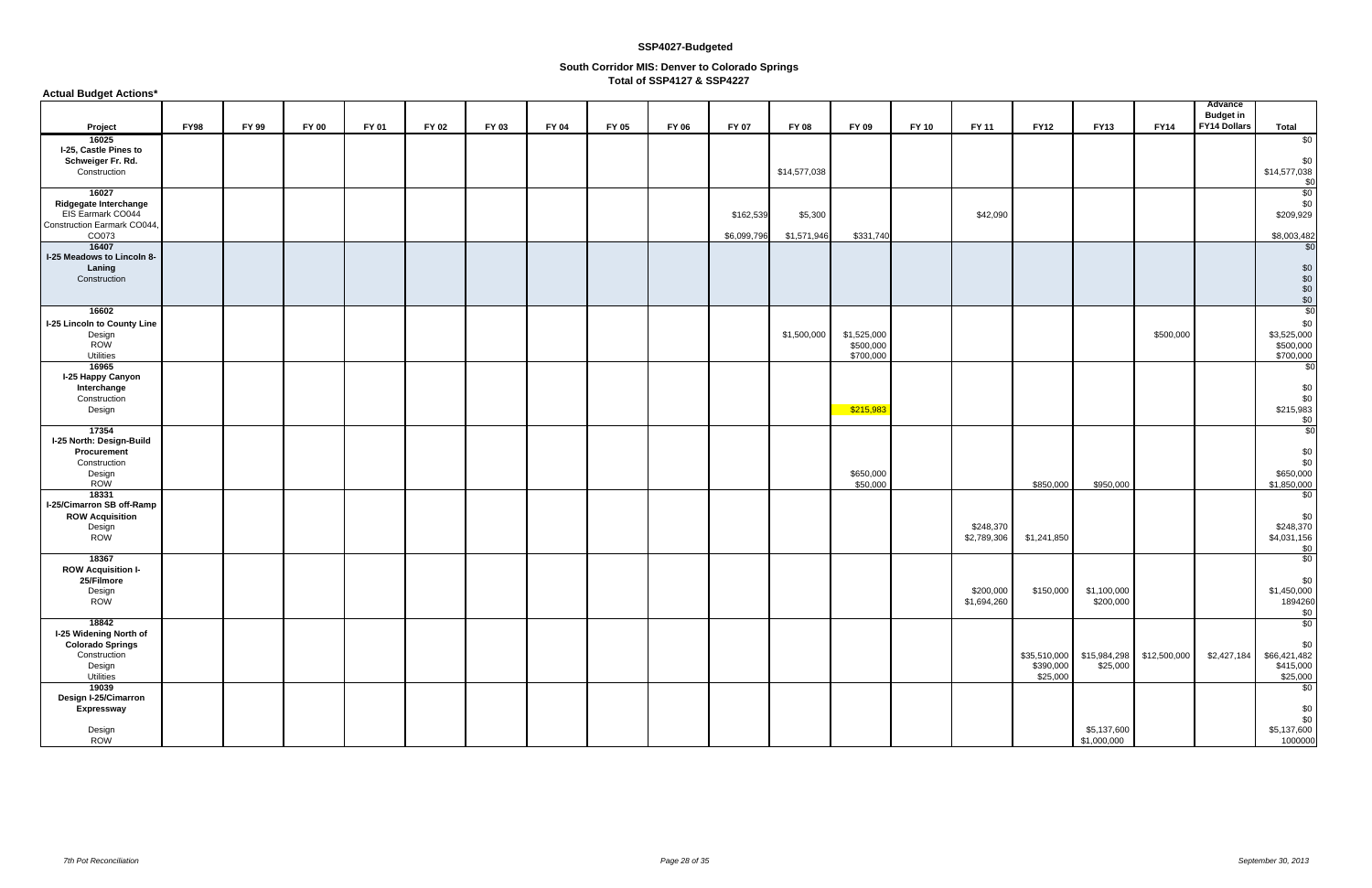| <b>Actual Budget Actions*</b>                                    |             |       |              |       |       |       |       |       |              |              |              |                                       |              |                          |                                       |                                              |              |                                                    |                                              |
|------------------------------------------------------------------|-------------|-------|--------------|-------|-------|-------|-------|-------|--------------|--------------|--------------|---------------------------------------|--------------|--------------------------|---------------------------------------|----------------------------------------------|--------------|----------------------------------------------------|----------------------------------------------|
| Project                                                          | <b>FY98</b> | FY 99 | <b>FY 00</b> | FY 01 | FY 02 | FY 03 | FY 04 | FY 05 | <b>FY 06</b> | <b>FY 07</b> | <b>FY 08</b> | FY 09                                 | <b>FY 10</b> | <b>FY 11</b>             | <b>FY12</b>                           | <b>FY13</b>                                  | <b>FY14</b>  | Advance<br><b>Budget in</b><br><b>FY14 Dollars</b> | <b>Total</b>                                 |
| 16025                                                            |             |       |              |       |       |       |       |       |              |              |              |                                       |              |                          |                                       |                                              |              |                                                    | $\frac{1}{20}$                               |
| I-25, Castle Pines to<br>Schweiger Fr. Rd.                       |             |       |              |       |       |       |       |       |              |              |              |                                       |              |                          |                                       |                                              |              |                                                    | \$0                                          |
| Construction                                                     |             |       |              |       |       |       |       |       |              |              | \$14,577,038 |                                       |              |                          |                                       |                                              |              |                                                    | \$14,577,038<br>\$0<br>$\overline{50}$       |
| 16027<br>Ridgegate Interchange<br>EIS Earmark CO044              |             |       |              |       |       |       |       |       |              | \$162,539    | \$5,300      |                                       |              | \$42,090                 |                                       |                                              |              |                                                    | \$0<br>\$209,929                             |
| Construction Earmark CO044,<br>CO073                             |             |       |              |       |       |       |       |       |              | \$6,099,796  | \$1,571,946  | \$331,740                             |              |                          |                                       |                                              |              |                                                    | \$8,003,482                                  |
| 16407<br>I-25 Meadows to Lincoln 8-<br>Laning                    |             |       |              |       |       |       |       |       |              |              |              |                                       |              |                          |                                       |                                              |              |                                                    | \$0<br>\$0                                   |
| Construction                                                     |             |       |              |       |       |       |       |       |              |              |              |                                       |              |                          |                                       |                                              |              |                                                    | $$0$<br>\$0<br>\$0                           |
| 16602                                                            |             |       |              |       |       |       |       |       |              |              |              |                                       |              |                          |                                       |                                              |              |                                                    | $\overline{30}$                              |
| I-25 Lincoln to County Line<br>Design<br><b>ROW</b><br>Utilities |             |       |              |       |       |       |       |       |              |              | \$1,500,000  | \$1,525,000<br>\$500,000<br>\$700,000 |              |                          |                                       |                                              | \$500,000    |                                                    | \$0<br>\$3,525,000<br>\$500,000<br>\$700,000 |
| 16965<br>I-25 Happy Canyon<br>Interchange                        |             |       |              |       |       |       |       |       |              |              |              |                                       |              |                          |                                       |                                              |              |                                                    | \$0<br>\$0                                   |
| Construction<br>Design                                           |             |       |              |       |       |       |       |       |              |              |              | \$215,983                             |              |                          |                                       |                                              |              |                                                    | \$0<br>\$215,983<br>\$0                      |
| 17354<br>I-25 North: Design-Build<br>Procurement                 |             |       |              |       |       |       |       |       |              |              |              |                                       |              |                          |                                       |                                              |              |                                                    | \$0<br>\$0                                   |
| Construction<br>Design<br><b>ROW</b>                             |             |       |              |       |       |       |       |       |              |              |              | \$650,000<br>\$50,000                 |              |                          | \$850,000                             | \$950,000                                    |              |                                                    | \$0<br>\$650,000<br>\$1,850,000              |
| 18331<br>I-25/Cimarron SB off-Ramp<br><b>ROW Acquisition</b>     |             |       |              |       |       |       |       |       |              |              |              |                                       |              |                          |                                       |                                              |              |                                                    | \$0<br>\$0                                   |
| Design<br><b>ROW</b>                                             |             |       |              |       |       |       |       |       |              |              |              |                                       |              | \$248,370<br>\$2,789,306 | \$1,241,850                           |                                              |              |                                                    | \$248,370<br>\$4,031,156<br>\$0              |
| 18367<br><b>ROW Acquisition I-</b><br>25/Filmore                 |             |       |              |       |       |       |       |       |              |              |              |                                       |              |                          |                                       |                                              |              |                                                    | \$0<br>\$0                                   |
| Design<br><b>ROW</b>                                             |             |       |              |       |       |       |       |       |              |              |              |                                       |              | \$1,694,260              |                                       | \$200,000 \$150,000 \$1,100,000<br>\$200,000 |              |                                                    | \$1,450,000<br>1894260<br>\$0                |
| 18842<br>I-25 Widening North of<br><b>Colorado Springs</b>       |             |       |              |       |       |       |       |       |              |              |              |                                       |              |                          |                                       |                                              |              |                                                    | \$0<br>\$0                                   |
| Construction<br>Design<br>Utilities                              |             |       |              |       |       |       |       |       |              |              |              |                                       |              |                          | \$35,510,000<br>\$390,000<br>\$25,000 | \$15,984,298<br>\$25,000                     | \$12,500,000 | \$2,427,184                                        | \$66,421,482<br>\$415,000<br>\$25,000        |
| 19039<br>Design I-25/Cimarron                                    |             |       |              |       |       |       |       |       |              |              |              |                                       |              |                          |                                       |                                              |              |                                                    | \$0                                          |
| Expressway                                                       |             |       |              |       |       |       |       |       |              |              |              |                                       |              |                          |                                       |                                              |              |                                                    | \$0<br>\$0                                   |
| Design<br>ROW                                                    |             |       |              |       |       |       |       |       |              |              |              |                                       |              |                          |                                       | \$5,137,600<br>\$1,000,000                   |              |                                                    | \$5,137,600<br>1000000                       |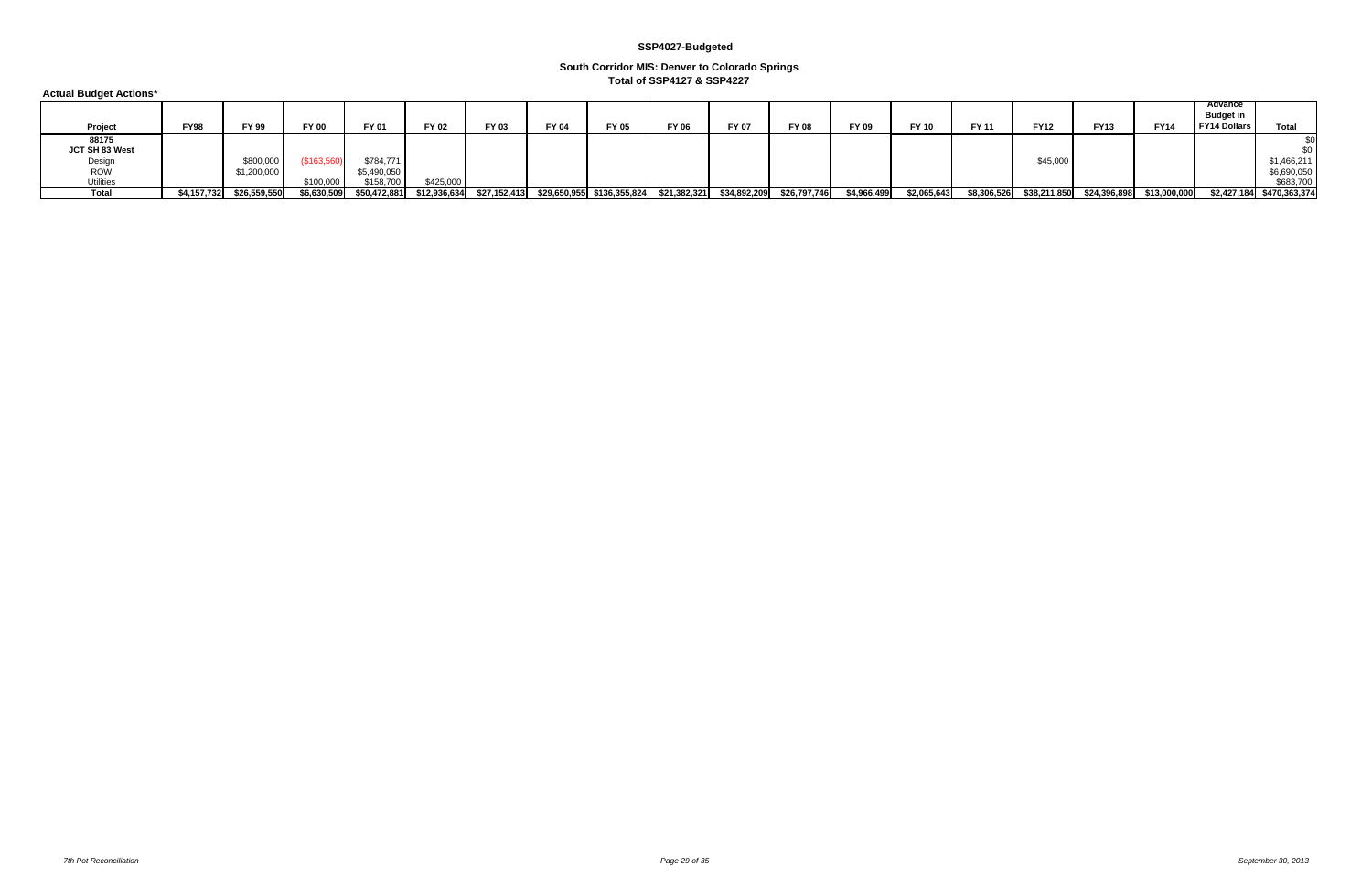**Actual Budget Actions\***

| Project                 | <b>FY98</b> | <b>FY 99</b> | <b>FY 00</b> | FY 01        | FY 02        | FY 03        | FY 04 | FY 05                      | FY 06 | <b>FY 07</b>                | <b>FY 08</b> | FY 09       | <b>FY 10</b> | <b>FY 11</b> | <b>FY12</b>  | <b>FY13</b>  | <b>FY14</b>  | Advance<br><b>Budget in</b><br><b>FY14 Dollars</b> | Total                     |
|-------------------------|-------------|--------------|--------------|--------------|--------------|--------------|-------|----------------------------|-------|-----------------------------|--------------|-------------|--------------|--------------|--------------|--------------|--------------|----------------------------------------------------|---------------------------|
| 88175<br>JCT SH 83 West |             |              |              |              |              |              |       |                            |       |                             |              |             |              |              |              |              |              |                                                    |                           |
| Design                  |             | \$800,000    | (\$163,560   | \$784,771    |              |              |       |                            |       |                             |              |             |              |              | \$45,000     |              |              |                                                    | \$1,466,211               |
| <b>ROW</b>              |             | \$1,200,000  |              | \$5,490,050  |              |              |       |                            |       |                             |              |             |              |              |              |              |              |                                                    | \$6,690,050               |
| Utilities               |             |              | \$100,000    | \$158,700    | \$425,000    |              |       |                            |       |                             |              |             |              |              |              |              |              |                                                    | \$683,700                 |
| Total                   | \$4,157,732 | \$26,559,550 | \$6,630,509  | \$50,472,881 | \$12,936,634 | \$27,152,413 |       | \$29,650,955 \$136,355,824 |       | $$21,382,321$ $$34,892,209$ | \$26,797,746 | \$4,966,499 | \$2,065,643  | \$8,306,526  | \$38,211,850 | \$24,396,898 | \$13,000,000 |                                                    | \$2,427,184 \$470,363,374 |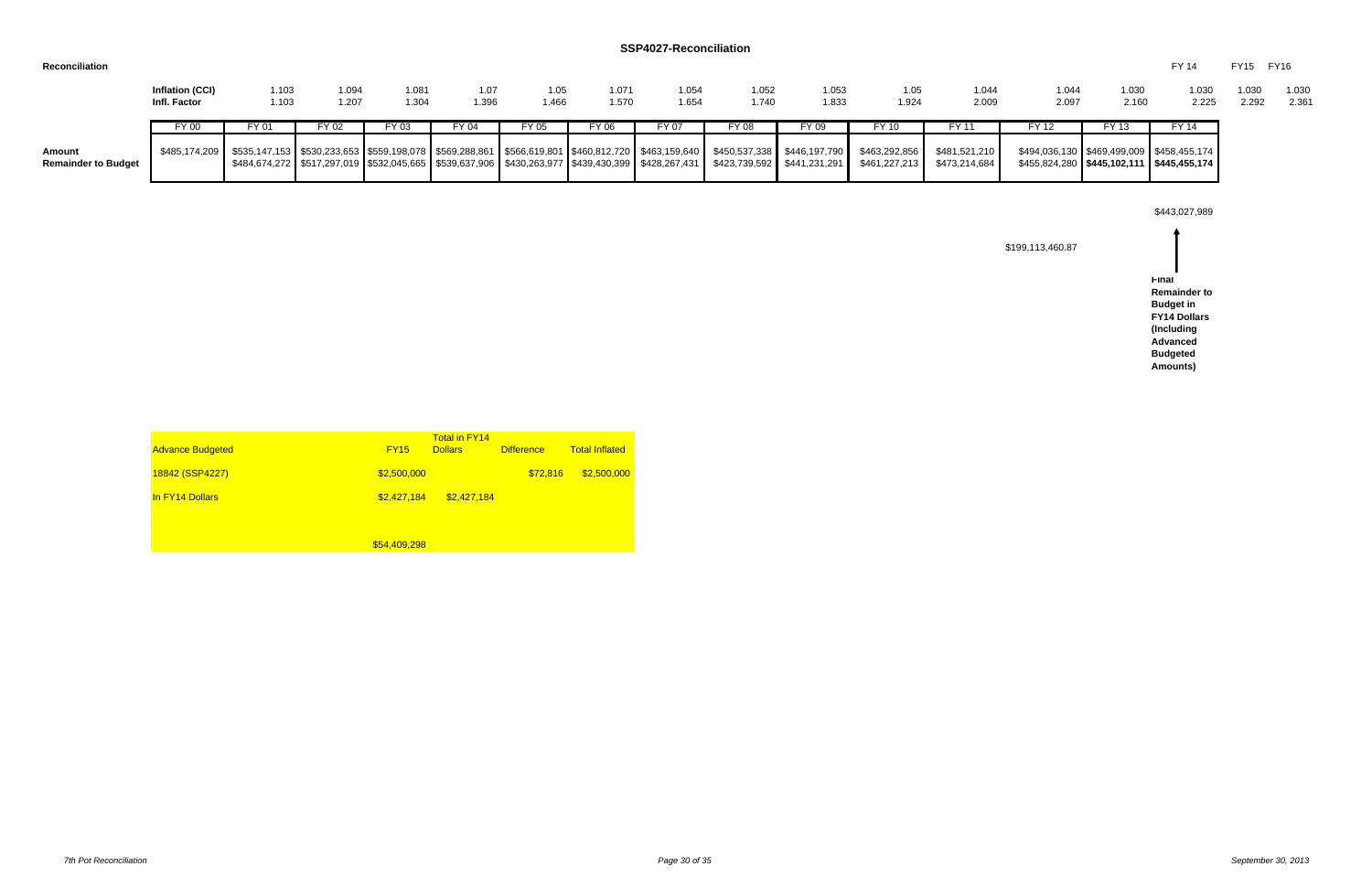#### **SSP4027-Reconciliation**

#### **Reconciliation**

| FY 14 FY 15 FY 16 |  |  |  |  |
|-------------------|--|--|--|--|
|-------------------|--|--|--|--|

| 1.044 | 1.030 | 1.030 | 1.030 | 1.030 |
|-------|-------|-------|-------|-------|
| 2.097 | 2.160 | 2.225 | 2.292 | 2.36' |

|                                      | Inflation (CCI)<br>Infl. Factor | 1.103<br>1.103 | 1.094<br>1.207 | 1.081<br>1.304 | 1.07<br>1.396 | 1.05<br>1.466 | 1.071<br>1.570 | 1.054<br>1.654 | 1.052<br>1.740                                                                                                                                            | 1.053<br>1.833 | .05<br>1.924                                                                                                                                                                 | 1.044<br>2.009 | 1.044<br>2.097 | 1.030<br>2.160 | 1.030<br>2.225                                                                            | 1.030<br>2.292 | 1.030<br>2.36' |
|--------------------------------------|---------------------------------|----------------|----------------|----------------|---------------|---------------|----------------|----------------|-----------------------------------------------------------------------------------------------------------------------------------------------------------|----------------|------------------------------------------------------------------------------------------------------------------------------------------------------------------------------|----------------|----------------|----------------|-------------------------------------------------------------------------------------------|----------------|----------------|
|                                      | FY 00                           | FY 01          | TY 02.         | FY 03          | FY 04         | FY 05         | FY 06          |                | Y 08                                                                                                                                                      | FY 09          | FY 10                                                                                                                                                                        | 'Y 11          |                | FY 13          | FY 14                                                                                     |                |                |
| Amount<br><b>Remainder to Budget</b> |                                 |                |                |                |               |               |                |                | \$485,174,209 \$535,147,153 \$530,233,653 \$559,198,078 \$569,288,861 \$566,619,801 \$460,812,720 \$463,159,640 \$450,537,338 \$446,197,790 \$468,197,790 |                | \$463,292,856 ┃<br>\$484,674,272 \$517,297,019 \$532,045,665 \$539,637,906 \$430,263,977 \$439,430,399 \$428,267,431 \$423,739,592 \$441,231,291 \$461,227,213 \$473,214,684 | \$481,521,210  |                |                | \$494,036,130 \$469,499,009 \$458,455,174<br>$$455,824,280$ $$445,102,111$ $$445,455,174$ |                |                |

\$443,027,989

\$199,113,460.87

**Final Remainder to Budget in FY14 Dollars (Including Advanced Budgeted Amounts)**

| <b>Advance Budgeted</b> | <b>FY15</b>  | <b>Total in FY14</b><br><b>Dollars</b> | <b>Difference</b> | <b>Total Inflated</b> |
|-------------------------|--------------|----------------------------------------|-------------------|-----------------------|
| 18842 (SSP4227)         | \$2,500,000  |                                        | \$72,816          | \$2,500,000           |
| In FY14 Dollars         | \$2,427,184  | \$2,427,184                            |                   |                       |
|                         |              |                                        |                   |                       |
|                         | \$54,409,298 |                                        |                   |                       |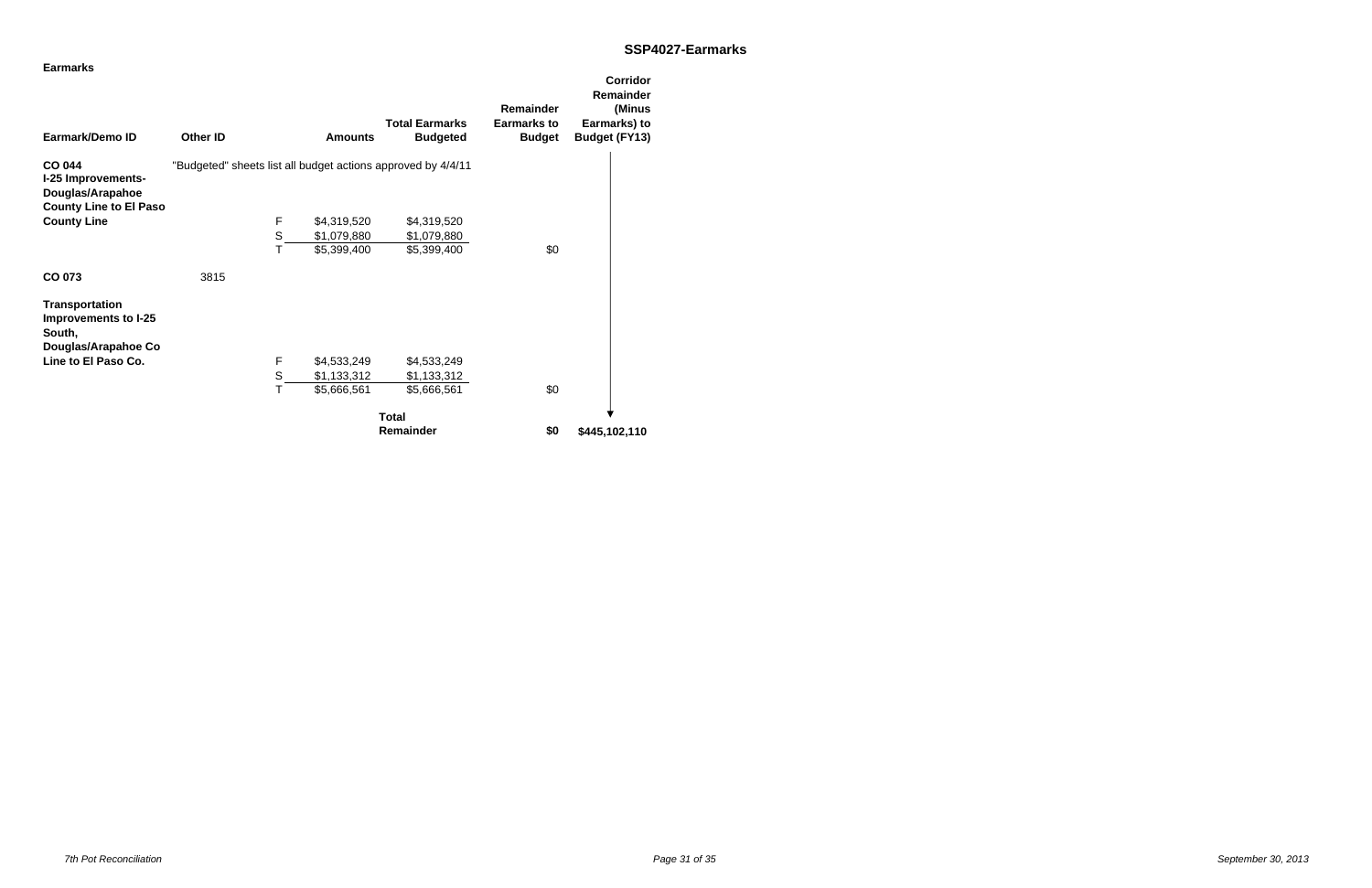| <b>Earmarks</b>                                                                                |                 |                  |                            |                                                              |                                                  |                                                                                       |
|------------------------------------------------------------------------------------------------|-----------------|------------------|----------------------------|--------------------------------------------------------------|--------------------------------------------------|---------------------------------------------------------------------------------------|
| Earmark/Demo ID                                                                                | <b>Other ID</b> |                  | <b>Amounts</b>             | <b>Total Earmarks</b><br><b>Budgeted</b>                     | Remainder<br><b>Earmarks to</b><br><b>Budget</b> | <b>Corridor</b><br><b>Remainder</b><br>(Minus<br>Earmarks) to<br><b>Budget (FY13)</b> |
| <b>CO 044</b><br>I-25 Improvements-<br>Douglas/Arapahoe<br><b>County Line to El Paso</b>       |                 |                  |                            | "Budgeted" sheets list all budget actions approved by 4/4/11 |                                                  |                                                                                       |
| <b>County Line</b>                                                                             |                 | $\mathsf F$      | \$4,319,520                | \$4,319,520                                                  |                                                  |                                                                                       |
|                                                                                                |                 | $\mathsf S$      | \$1,079,880                | \$1,079,880                                                  |                                                  |                                                                                       |
|                                                                                                |                 |                  | \$5,399,400                | \$5,399,400                                                  | \$0                                              |                                                                                       |
| CO 073                                                                                         | 3815            |                  |                            |                                                              |                                                  |                                                                                       |
| Transportation<br>Improvements to I-25<br>South,<br>Douglas/Arapahoe Co<br>Line to El Paso Co. |                 | F<br>$\mathbb S$ | \$4,533,249<br>\$1,133,312 | \$4,533,249<br>\$1,133,312                                   |                                                  |                                                                                       |
|                                                                                                |                 |                  | \$5,666,561                | \$5,666,561                                                  | \$0                                              |                                                                                       |
|                                                                                                |                 |                  |                            |                                                              |                                                  |                                                                                       |
|                                                                                                |                 |                  |                            | <b>Total</b>                                                 |                                                  |                                                                                       |
|                                                                                                |                 |                  |                            | Remainder                                                    | \$0                                              | \$445,102,110                                                                         |

*Page 31 of 35 September 30, 2013*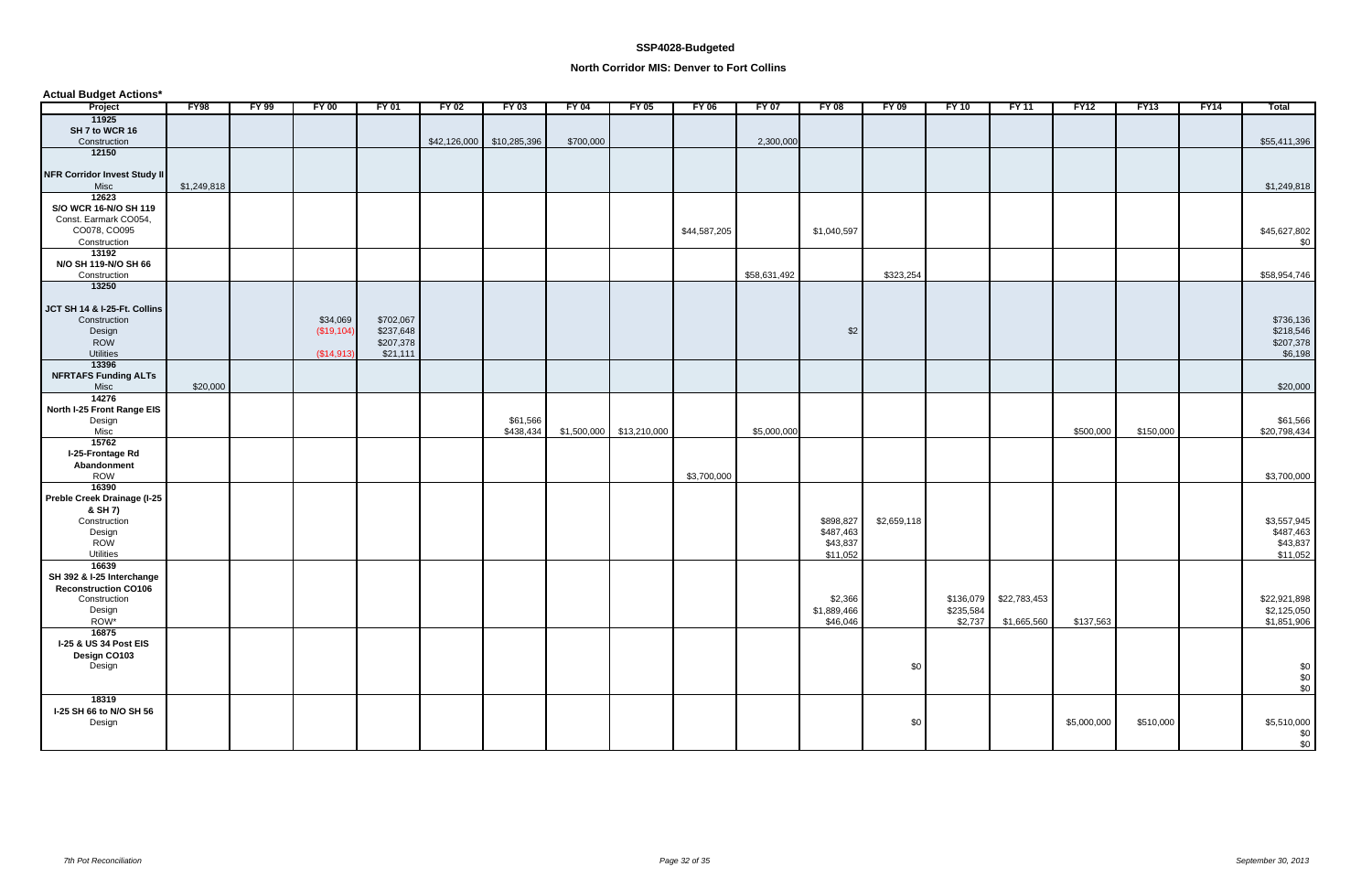**Actual Budget Actions\***

| Project                             | FY98        | $FY$ 99 | $FY$ 00      | $FY$ 01   | $FY$ 02 | $FY$ 03                   | $FY$ 04   | $FY$ 05                  | $FY$ 06      | <b>FY 07</b> | $FY$ 08     | $FY$ 09     | <b>FY 10</b> | <b>FY 11</b>           | <b>FY12</b> | FY13      | FY14 | <b>Total</b> |
|-------------------------------------|-------------|---------|--------------|-----------|---------|---------------------------|-----------|--------------------------|--------------|--------------|-------------|-------------|--------------|------------------------|-------------|-----------|------|--------------|
| 11925                               |             |         |              |           |         |                           |           |                          |              |              |             |             |              |                        |             |           |      |              |
| SH 7 to WCR 16                      |             |         |              |           |         |                           |           |                          |              |              |             |             |              |                        |             |           |      |              |
| Construction                        |             |         |              |           |         | \$42,126,000 \$10,285,396 | \$700,000 |                          |              | 2,300,000    |             |             |              |                        |             |           |      | \$55,411,396 |
| 12150                               |             |         |              |           |         |                           |           |                          |              |              |             |             |              |                        |             |           |      |              |
|                                     |             |         |              |           |         |                           |           |                          |              |              |             |             |              |                        |             |           |      |              |
| <b>NFR Corridor Invest Study II</b> |             |         |              |           |         |                           |           |                          |              |              |             |             |              |                        |             |           |      |              |
| Misc                                | \$1,249,818 |         |              |           |         |                           |           |                          |              |              |             |             |              |                        |             |           |      | \$1,249,818  |
| 12623                               |             |         |              |           |         |                           |           |                          |              |              |             |             |              |                        |             |           |      |              |
| S/O WCR 16-N/O SH 119               |             |         |              |           |         |                           |           |                          |              |              |             |             |              |                        |             |           |      |              |
| Const. Earmark CO054,               |             |         |              |           |         |                           |           |                          |              |              |             |             |              |                        |             |           |      |              |
| CO078, CO095                        |             |         |              |           |         |                           |           |                          | \$44,587,205 |              | \$1,040,597 |             |              |                        |             |           |      | \$45,627,802 |
| Construction                        |             |         |              |           |         |                           |           |                          |              |              |             |             |              |                        |             |           |      | \$0          |
| 13192                               |             |         |              |           |         |                           |           |                          |              |              |             |             |              |                        |             |           |      |              |
| N/O SH 119-N/O SH 66                |             |         |              |           |         |                           |           |                          |              |              |             |             |              |                        |             |           |      |              |
| Construction                        |             |         |              |           |         |                           |           |                          |              | \$58,631,492 |             | \$323,254   |              |                        |             |           |      | \$58,954,746 |
| 13250                               |             |         |              |           |         |                           |           |                          |              |              |             |             |              |                        |             |           |      |              |
|                                     |             |         |              |           |         |                           |           |                          |              |              |             |             |              |                        |             |           |      |              |
| JCT SH 14 & I-25-Ft. Collins        |             |         |              |           |         |                           |           |                          |              |              |             |             |              |                        |             |           |      |              |
| Construction                        |             |         | \$34,069     | \$702,067 |         |                           |           |                          |              |              |             |             |              |                        |             |           |      | \$736,136    |
| Design                              |             |         | ( \$19, 104) | \$237,648 |         |                           |           |                          |              |              | \$2         |             |              |                        |             |           |      | \$218,546    |
| ROW                                 |             |         |              | \$207,378 |         |                           |           |                          |              |              |             |             |              |                        |             |           |      | \$207,378    |
| Utilities                           |             |         | (\$14,913)   | \$21,111  |         |                           |           |                          |              |              |             |             |              |                        |             |           |      | \$6,198      |
| 13396                               |             |         |              |           |         |                           |           |                          |              |              |             |             |              |                        |             |           |      |              |
| <b>NFRTAFS Funding ALTs</b>         |             |         |              |           |         |                           |           |                          |              |              |             |             |              |                        |             |           |      |              |
| Misc                                | \$20,000    |         |              |           |         |                           |           |                          |              |              |             |             |              |                        |             |           |      | \$20,000     |
| 14276                               |             |         |              |           |         |                           |           |                          |              |              |             |             |              |                        |             |           |      |              |
| North I-25 Front Range EIS          |             |         |              |           |         |                           |           |                          |              |              |             |             |              |                        |             |           |      |              |
| Design                              |             |         |              |           |         | \$61,566                  |           |                          |              |              |             |             |              |                        |             |           |      | \$61,566     |
| Misc                                |             |         |              |           |         | \$438,434                 |           | \$1,500,000 \$13,210,000 |              | \$5,000,000  |             |             |              |                        | \$500,000   | \$150,000 |      | \$20,798,434 |
| 15762                               |             |         |              |           |         |                           |           |                          |              |              |             |             |              |                        |             |           |      |              |
| I-25-Frontage Rd                    |             |         |              |           |         |                           |           |                          |              |              |             |             |              |                        |             |           |      |              |
| Abandonment                         |             |         |              |           |         |                           |           |                          |              |              |             |             |              |                        |             |           |      |              |
| <b>ROW</b>                          |             |         |              |           |         |                           |           |                          | \$3,700,000  |              |             |             |              |                        |             |           |      | \$3,700,000  |
| 16390                               |             |         |              |           |         |                           |           |                          |              |              |             |             |              |                        |             |           |      |              |
| Preble Creek Drainage (I-25         |             |         |              |           |         |                           |           |                          |              |              |             |             |              |                        |             |           |      |              |
| & SH 7)                             |             |         |              |           |         |                           |           |                          |              |              |             |             |              |                        |             |           |      |              |
| Construction                        |             |         |              |           |         |                           |           |                          |              |              | \$898,827   | \$2,659,118 |              |                        |             |           |      | \$3,557,945  |
| Design                              |             |         |              |           |         |                           |           |                          |              |              | \$487,463   |             |              |                        |             |           |      | \$487,463    |
| <b>ROW</b>                          |             |         |              |           |         |                           |           |                          |              |              | \$43,837    |             |              |                        |             |           |      | \$43,837     |
| Utilities                           |             |         |              |           |         |                           |           |                          |              |              | \$11,052    |             |              |                        |             |           |      | \$11,052     |
| 16639                               |             |         |              |           |         |                           |           |                          |              |              |             |             |              |                        |             |           |      |              |
| SH 392 & I-25 Interchange           |             |         |              |           |         |                           |           |                          |              |              |             |             |              |                        |             |           |      |              |
| <b>Reconstruction CO106</b>         |             |         |              |           |         |                           |           |                          |              |              |             |             |              |                        |             |           |      |              |
| Construction                        |             |         |              |           |         |                           |           |                          |              |              | \$2,366     |             |              | \$136,079 \$22,783,453 |             |           |      | \$22,921,898 |
| Design                              |             |         |              |           |         |                           |           |                          |              |              | \$1,889,466 |             | \$235,584    |                        |             |           |      | \$2,125,050  |
| ROW*                                |             |         |              |           |         |                           |           |                          |              |              | \$46,046    |             | \$2,737      | \$1,665,560            | \$137,563   |           |      | \$1,851,906  |
| 16875                               |             |         |              |           |         |                           |           |                          |              |              |             |             |              |                        |             |           |      |              |
| I-25 & US 34 Post EIS               |             |         |              |           |         |                           |           |                          |              |              |             |             |              |                        |             |           |      |              |
| Design CO103                        |             |         |              |           |         |                           |           |                          |              |              |             |             |              |                        |             |           |      |              |
| Design                              |             |         |              |           |         |                           |           |                          |              |              |             | \$0         |              |                        |             |           |      |              |
|                                     |             |         |              |           |         |                           |           |                          |              |              |             |             |              |                        |             |           |      | $$0$<br>$$0$ |
|                                     |             |         |              |           |         |                           |           |                          |              |              |             |             |              |                        |             |           |      | \$0          |
| 18319                               |             |         |              |           |         |                           |           |                          |              |              |             |             |              |                        |             |           |      |              |
| I-25 SH 66 to N/O SH 56             |             |         |              |           |         |                           |           |                          |              |              |             |             |              |                        |             |           |      |              |
| Design                              |             |         |              |           |         |                           |           |                          |              |              |             | \$0         |              |                        | \$5,000,000 | \$510,000 |      | \$5,510,000  |
|                                     |             |         |              |           |         |                           |           |                          |              |              |             |             |              |                        |             |           |      | \$0          |
|                                     |             |         |              |           |         |                           |           |                          |              |              |             |             |              |                        |             |           |      | \$0          |
|                                     |             |         |              |           |         |                           |           |                          |              |              |             |             |              |                        |             |           |      |              |

### **North Corridor MIS: Denver to Fort Collins**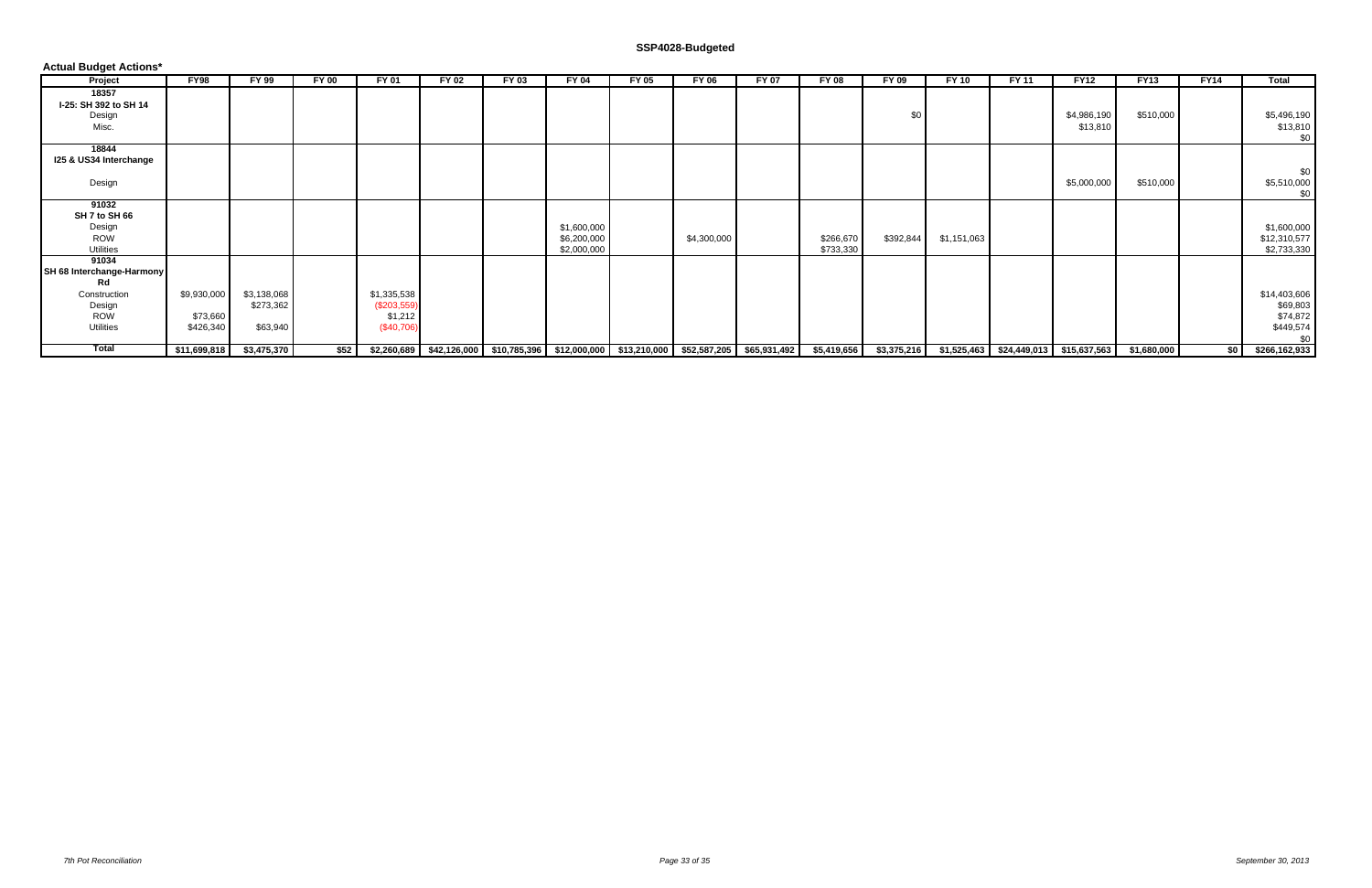| <b>Actual Budget Actions*</b> |              |             |         |              |         |                                                                                                  |              |         |              |              |              |                           |              |              |                                                       |           |             |                            |
|-------------------------------|--------------|-------------|---------|--------------|---------|--------------------------------------------------------------------------------------------------|--------------|---------|--------------|--------------|--------------|---------------------------|--------------|--------------|-------------------------------------------------------|-----------|-------------|----------------------------|
| Project                       | FY98         | FY 99       | $FY$ 00 | <b>FY 01</b> | $FY$ 02 | FY 03                                                                                            | <b>FY 04</b> | $FY$ 05 | <b>FY 06</b> | <b>FY 07</b> | <b>FY 08</b> | $FY$ 09                   | <b>FY 10</b> | <b>FY 11</b> | FY12                                                  | FY13      | <b>FY14</b> | <b>Total</b>               |
| 18357                         |              |             |         |              |         |                                                                                                  |              |         |              |              |              |                           |              |              |                                                       |           |             |                            |
| I-25: SH 392 to SH 14         |              |             |         |              |         |                                                                                                  |              |         |              |              |              |                           |              |              |                                                       |           |             |                            |
| Design                        |              |             |         |              |         |                                                                                                  |              |         |              |              |              | \$0                       |              |              | \$4,986,190                                           | \$510,000 |             | \$5,496,190                |
| Misc.                         |              |             |         |              |         |                                                                                                  |              |         |              |              |              |                           |              |              | \$13,810                                              |           |             | \$13,810                   |
|                               |              |             |         |              |         |                                                                                                  |              |         |              |              |              |                           |              |              |                                                       |           |             | \$0                        |
| 18844                         |              |             |         |              |         |                                                                                                  |              |         |              |              |              |                           |              |              |                                                       |           |             |                            |
| 125 & US34 Interchange        |              |             |         |              |         |                                                                                                  |              |         |              |              |              |                           |              |              |                                                       |           |             |                            |
| Design                        |              |             |         |              |         |                                                                                                  |              |         |              |              |              |                           |              |              |                                                       |           |             | \$0                        |
|                               |              |             |         |              |         |                                                                                                  |              |         |              |              |              |                           |              |              | \$5,000,000                                           | \$510,000 |             | \$5,510,000<br>\$0         |
| 91032                         |              |             |         |              |         |                                                                                                  |              |         |              |              |              |                           |              |              |                                                       |           |             |                            |
| SH 7 to SH 66                 |              |             |         |              |         |                                                                                                  |              |         |              |              |              |                           |              |              |                                                       |           |             |                            |
| Design                        |              |             |         |              |         |                                                                                                  | \$1,600,000  |         |              |              |              |                           |              |              |                                                       |           |             | \$1,600,000                |
| <b>ROW</b>                    |              |             |         |              |         |                                                                                                  | \$6,200,000  |         | \$4,300,000  |              | \$266,670    | \$392,844                 | \$1,151,063  |              |                                                       |           |             | \$12,310,577               |
| <b>Utilities</b>              |              |             |         |              |         |                                                                                                  | \$2,000,000  |         |              |              | \$733,330    |                           |              |              |                                                       |           |             | \$2,733,330                |
| 91034                         |              |             |         |              |         |                                                                                                  |              |         |              |              |              |                           |              |              |                                                       |           |             |                            |
| SH 68 Interchange-Harmony     |              |             |         |              |         |                                                                                                  |              |         |              |              |              |                           |              |              |                                                       |           |             |                            |
| Rd                            |              |             |         |              |         |                                                                                                  |              |         |              |              |              |                           |              |              |                                                       |           |             |                            |
| Construction                  | \$9,930,000  | \$3,138,068 |         | \$1,335,538  |         |                                                                                                  |              |         |              |              |              |                           |              |              |                                                       |           |             | \$14,403,606               |
| Design                        |              | \$273,362   |         | (\$203,559)  |         |                                                                                                  |              |         |              |              |              |                           |              |              |                                                       |           |             | \$69,803                   |
| <b>ROW</b>                    | \$73,660     |             |         | \$1,212      |         |                                                                                                  |              |         |              |              |              |                           |              |              |                                                       |           |             | \$74,872                   |
| <b>Utilities</b>              | \$426,340    | \$63,940    |         | (\$40,706)   |         |                                                                                                  |              |         |              |              |              |                           |              |              |                                                       |           |             | \$449,574                  |
| <b>Total</b>                  | \$11,699,818 | \$3,475,370 | \$52    |              |         | $$2,260,689$ $$42,126,000$ $$10,785,396$ $$12,000,000$ $$13,210,000$ $$52,587,205$ $$65,931,492$ |              |         |              |              |              | $$5,419,656$ $$3,375,216$ |              |              | $$1,525,463$ $$24,449,013$ $$15,637,563$ $$1,680,000$ |           |             | \$0<br>$$0$ $$266,162,933$ |
|                               |              |             |         |              |         |                                                                                                  |              |         |              |              |              |                           |              |              |                                                       |           |             |                            |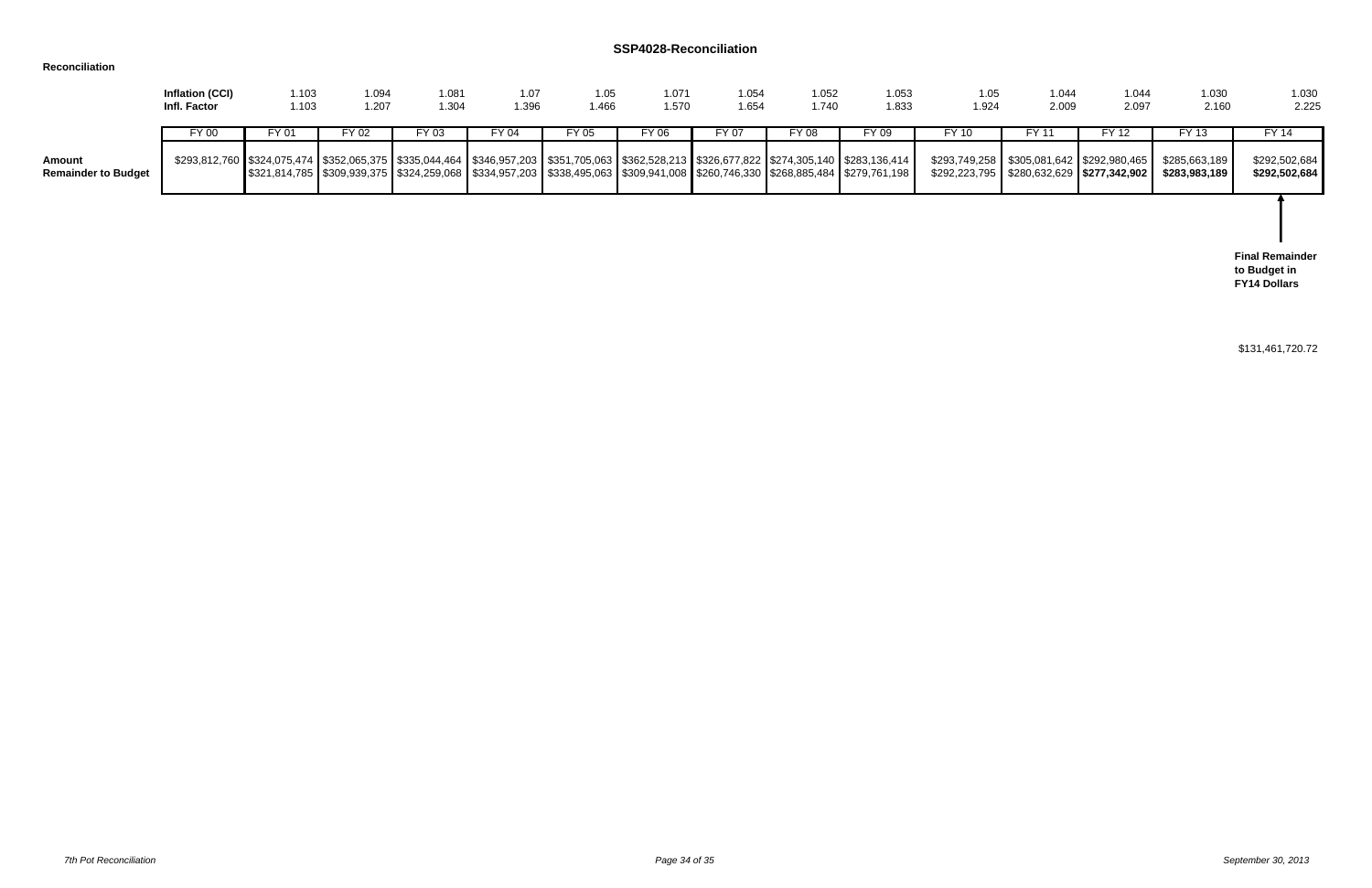## **SSP4028-Reconciliation**

#### **Reconciliation**

|                                      | Inflation (CCI)<br><b>Infl. Factor</b> | 1.103<br>1.103 | 1.094<br>1.207 | 1.081<br>1.304 | 1.07<br>1.396 | 1.05<br>1.466 | 1.071<br>1.570 | 1.054<br>1.654 | 1.052<br>1.740 | 1.053<br>1.833                                                                                                                                                                                                                                                                        | 1.05<br>1.924 | 1.044<br>2.009 | 1.044<br>2.097                                                                               | 1.030<br>2.160                 | 1.030<br>2.225                 |
|--------------------------------------|----------------------------------------|----------------|----------------|----------------|---------------|---------------|----------------|----------------|----------------|---------------------------------------------------------------------------------------------------------------------------------------------------------------------------------------------------------------------------------------------------------------------------------------|---------------|----------------|----------------------------------------------------------------------------------------------|--------------------------------|--------------------------------|
|                                      | FY 00                                  | FY 01          | FY 02          | FY 03          | FY 04         | FY 05         | FY 06          | FY 07          | FY 08          | FY 09                                                                                                                                                                                                                                                                                 | FY 10         | FY 11          | FY 12                                                                                        | FY 13                          | FY 14                          |
| Amount<br><b>Remainder to Budget</b> |                                        |                |                |                |               |               |                |                |                | \$293,812,760 \$324,075,474 \$352,065,375 \$335,044,464 \$346,957,203 \$351,705,063 \$362,528,213 \$326,677,822 \$274,305,140 \$283,136,414<br> \$321,814,785  \$309,939,375  \$324,259,068  \$334,957,203  \$338,495,063  \$309,941,008  \$260,746,330  \$268,885,484  \$279,761,198 |               |                | $$293,749,258$ $$305,081,642$ $$292,980,465$<br>$$292,223,795$ $$280,632,629$ $$277,342,902$ | \$285,663,189<br>\$283,983,189 | \$292,502,684<br>\$292,502,684 |
|                                      |                                        |                |                |                |               |               |                |                |                |                                                                                                                                                                                                                                                                                       |               |                |                                                                                              |                                |                                |

**Final Remainder to Budget in FY14 Dollars**

\$131,461,720.72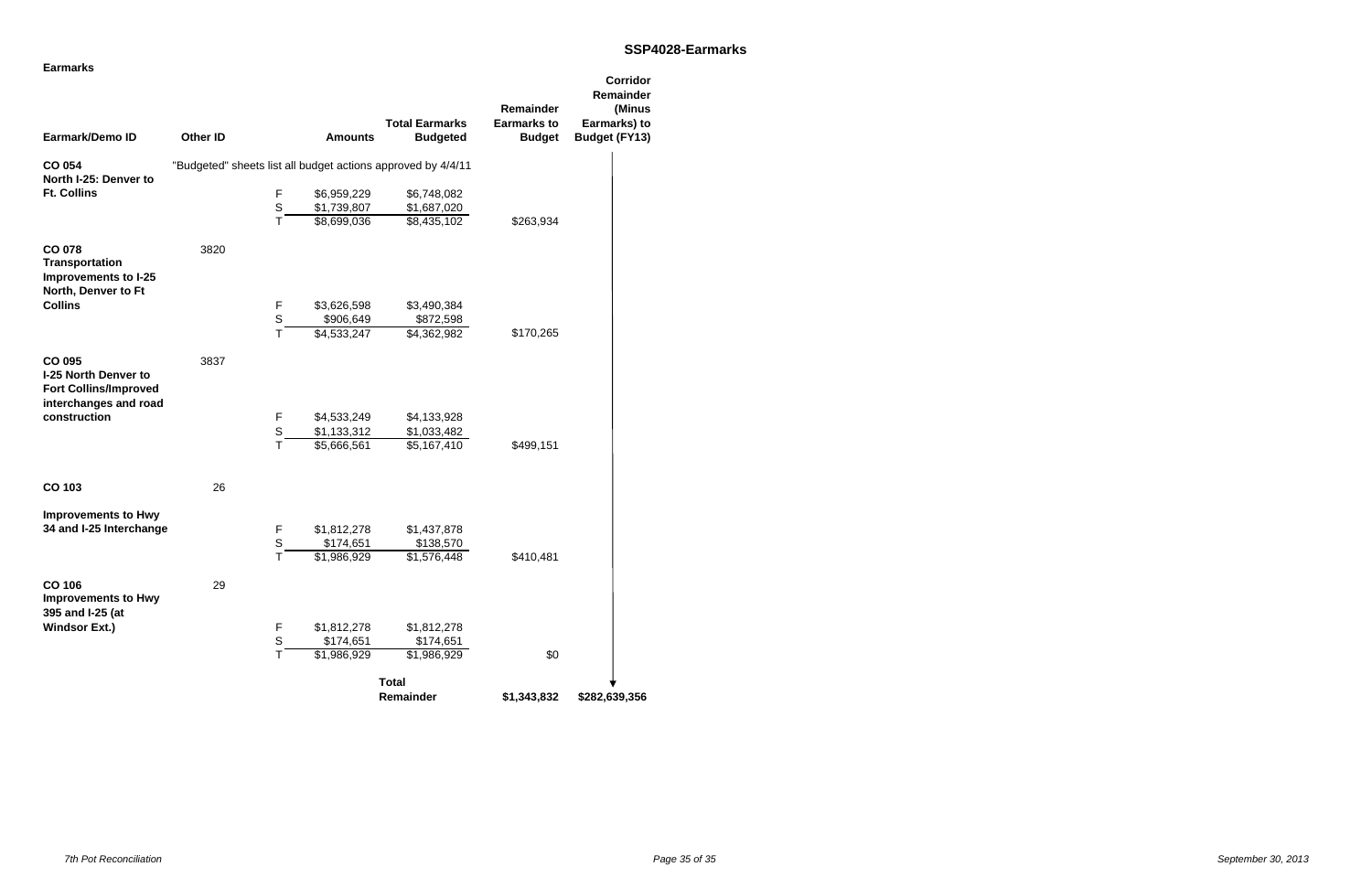| <b>Earmarks</b>                                                                         |                 |                  |                            |                                                              |                                 |                                                        |
|-----------------------------------------------------------------------------------------|-----------------|------------------|----------------------------|--------------------------------------------------------------|---------------------------------|--------------------------------------------------------|
|                                                                                         |                 |                  |                            | <b>Total Earmarks</b>                                        | Remainder<br><b>Earmarks to</b> | <b>Corridor</b><br>Remainder<br>(Minus<br>Earmarks) to |
| Earmark/Demo ID                                                                         | <b>Other ID</b> |                  | <b>Amounts</b>             | <b>Budgeted</b>                                              | <b>Budget</b>                   | <b>Budget (FY13)</b>                                   |
| <b>CO 054</b>                                                                           |                 |                  |                            | "Budgeted" sheets list all budget actions approved by 4/4/11 |                                 |                                                        |
| North I-25: Denver to                                                                   |                 |                  |                            |                                                              |                                 |                                                        |
| <b>Ft. Collins</b>                                                                      |                 | $\mathsf F$<br>S | \$6,959,229<br>\$1,739,807 | \$6,748,082<br>\$1,687,020                                   |                                 |                                                        |
|                                                                                         |                 | Τ                | \$8,699,036                | \$8,435,102                                                  | \$263,934                       |                                                        |
| <b>CO 078</b><br><b>Transportation</b>                                                  | 3820            |                  |                            |                                                              |                                 |                                                        |
| Improvements to I-25<br>North, Denver to Ft                                             |                 |                  |                            |                                                              |                                 |                                                        |
| <b>Collins</b>                                                                          |                 | F                | \$3,626,598                | \$3,490,384                                                  |                                 |                                                        |
|                                                                                         |                 | $\mathsf S$      | \$906,649                  | \$872,598                                                    |                                 |                                                        |
|                                                                                         |                 | T                | \$4,533,247                | \$4,362,982                                                  | \$170,265                       |                                                        |
| CO 095<br>I-25 North Denver to<br><b>Fort Collins/Improved</b><br>interchanges and road | 3837            |                  |                            |                                                              |                                 |                                                        |
| construction                                                                            |                 | F                | \$4,533,249                | \$4,133,928                                                  |                                 |                                                        |
|                                                                                         |                 | S                | \$1,133,312                | \$1,033,482                                                  |                                 |                                                        |
|                                                                                         |                 | T                | \$5,666,561                | \$5,167,410                                                  | \$499,151                       |                                                        |
| CO 103                                                                                  | 26              |                  |                            |                                                              |                                 |                                                        |
| <b>Improvements to Hwy</b>                                                              |                 |                  |                            |                                                              |                                 |                                                        |
| 34 and I-25 Interchange                                                                 |                 | F                | \$1,812,278                | \$1,437,878                                                  |                                 |                                                        |
|                                                                                         |                 | $\mathsf{S}$     | \$174,651                  | \$138,570                                                    |                                 |                                                        |
|                                                                                         |                 | Τ                | \$1,986,929                | \$1,576,448                                                  | \$410,481                       |                                                        |
| <b>CO 106</b><br><b>Improvements to Hwy</b><br>395 and I-25 (at                         | 29              |                  |                            |                                                              |                                 |                                                        |
| <b>Windsor Ext.)</b>                                                                    |                 | F                | \$1,812,278                | \$1,812,278                                                  |                                 |                                                        |
|                                                                                         |                 | $\mathsf S$      | \$174,651                  | \$174,651                                                    |                                 |                                                        |
|                                                                                         |                 | т                | \$1,986,929                | \$1,986,929                                                  | \$0                             |                                                        |
|                                                                                         |                 |                  |                            | <b>Total</b>                                                 |                                 |                                                        |
|                                                                                         |                 |                  |                            | Remainder                                                    | \$1,343,832                     | \$282,639,356                                          |

*Page 35 of 35 September 30, 2013*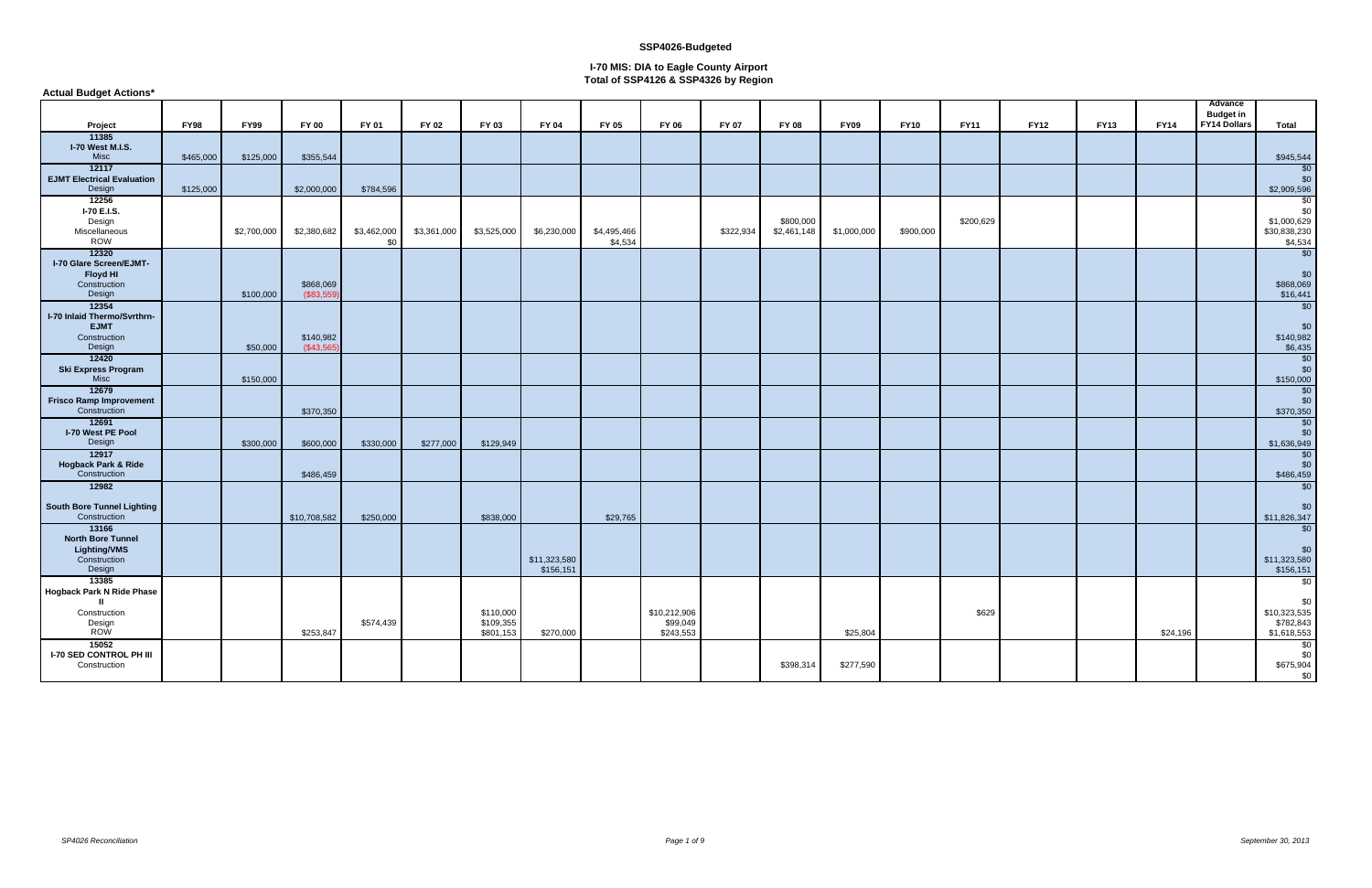| <b>Actual Budget Actions*</b>           |             |             |                        |             |             |                        |              |             |                       |           |              |             |             |             |             |             |             |                             |                          |
|-----------------------------------------|-------------|-------------|------------------------|-------------|-------------|------------------------|--------------|-------------|-----------------------|-----------|--------------|-------------|-------------|-------------|-------------|-------------|-------------|-----------------------------|--------------------------|
|                                         |             |             |                        |             |             |                        |              |             |                       |           |              |             |             |             |             |             |             | Advance<br><b>Budget in</b> |                          |
| Project                                 | <b>FY98</b> | <b>FY99</b> | <b>FY 00</b>           | FY 01       | FY 02       | FY 03                  | FY 04        | FY 05       | FY 06                 | FY 07     | <b>FY 08</b> | <b>FY09</b> | <b>FY10</b> | <b>FY11</b> | <b>FY12</b> | <b>FY13</b> | <b>FY14</b> | <b>FY14 Dollars</b>         | <b>Total</b>             |
| 11385                                   |             |             |                        |             |             |                        |              |             |                       |           |              |             |             |             |             |             |             |                             |                          |
| I-70 West M.I.S.<br>Misc                | \$465,000   | \$125,000   | \$355,544              |             |             |                        |              |             |                       |           |              |             |             |             |             |             |             |                             | \$945,544                |
| 12117                                   |             |             |                        |             |             |                        |              |             |                       |           |              |             |             |             |             |             |             |                             | \$0                      |
| <b>EJMT Electrical Evaluation</b>       |             |             |                        |             |             |                        |              |             |                       |           |              |             |             |             |             |             |             |                             | \$0                      |
| Design                                  | \$125,000   |             | \$2,000,000            | \$784,596   |             |                        |              |             |                       |           |              |             |             |             |             |             |             |                             | \$2,909,596              |
| 12256<br>I-70 E.I.S.                    |             |             |                        |             |             |                        |              |             |                       |           |              |             |             |             |             |             |             |                             | \$0<br>\$0               |
| Design                                  |             |             |                        |             |             |                        |              |             |                       |           | \$800,000    |             |             | \$200,629   |             |             |             |                             | \$1,000,629              |
| Miscellaneous                           |             | \$2,700,000 | \$2,380,682            | \$3,462,000 | \$3,361,000 | \$3,525,000            | \$6,230,000  | \$4,495,466 |                       | \$322,934 | \$2,461,148  | \$1,000,000 | \$900,000   |             |             |             |             |                             | \$30,838,230             |
| <b>ROW</b><br>12320                     |             |             |                        | \$0         |             |                        |              | \$4,534     |                       |           |              |             |             |             |             |             |             |                             | \$4,534<br>\$0           |
| I-70 Glare Screen/EJMT-                 |             |             |                        |             |             |                        |              |             |                       |           |              |             |             |             |             |             |             |                             |                          |
| Floyd HI                                |             |             |                        |             |             |                        |              |             |                       |           |              |             |             |             |             |             |             |                             | \$0                      |
| Construction                            |             |             | \$868,069              |             |             |                        |              |             |                       |           |              |             |             |             |             |             |             |                             | \$868,069                |
| Design<br>12354                         |             | \$100,000   | $($ \$83,559           |             |             |                        |              |             |                       |           |              |             |             |             |             |             |             |                             | \$16,441<br>\$0          |
| I-70 Inlaid Thermo/Svrthrn-             |             |             |                        |             |             |                        |              |             |                       |           |              |             |             |             |             |             |             |                             |                          |
| <b>EJMT</b>                             |             |             |                        |             |             |                        |              |             |                       |           |              |             |             |             |             |             |             |                             | \$0                      |
| Construction<br>Design                  |             | \$50,000    | \$140,982<br>(\$43,565 |             |             |                        |              |             |                       |           |              |             |             |             |             |             |             |                             | \$140,982<br>\$6,435     |
| 12420                                   |             |             |                        |             |             |                        |              |             |                       |           |              |             |             |             |             |             |             |                             | $\sqrt{50}$              |
| Ski Express Program                     |             |             |                        |             |             |                        |              |             |                       |           |              |             |             |             |             |             |             |                             | \$0                      |
| <b>Misc</b>                             |             | \$150,000   |                        |             |             |                        |              |             |                       |           |              |             |             |             |             |             |             |                             | \$150,000                |
| 12679<br><b>Frisco Ramp Improvement</b> |             |             |                        |             |             |                        |              |             |                       |           |              |             |             |             |             |             |             |                             | \$0<br>\$0               |
| Construction                            |             |             | \$370,350              |             |             |                        |              |             |                       |           |              |             |             |             |             |             |             |                             | \$370,350                |
| 12691                                   |             |             |                        |             |             |                        |              |             |                       |           |              |             |             |             |             |             |             |                             | \$0                      |
| <b>I-70 West PE Pool</b><br>Design      |             | \$300,000   | \$600,000              | \$330,000   | \$277,000   | \$129,949              |              |             |                       |           |              |             |             |             |             |             |             |                             | \$0<br>\$1,636,949       |
| 12917                                   |             |             |                        |             |             |                        |              |             |                       |           |              |             |             |             |             |             |             |                             | \$0                      |
| <b>Hogback Park &amp; Ride</b>          |             |             |                        |             |             |                        |              |             |                       |           |              |             |             |             |             |             |             |                             | \$0                      |
| Construction                            |             |             | \$486,459              |             |             |                        |              |             |                       |           |              |             |             |             |             |             |             |                             | \$486,459                |
| 12982                                   |             |             |                        |             |             |                        |              |             |                       |           |              |             |             |             |             |             |             |                             | \$0                      |
| <b>South Bore Tunnel Lighting</b>       |             |             |                        |             |             |                        |              |             |                       |           |              |             |             |             |             |             |             |                             | \$0                      |
| Construction                            |             |             | \$10,708,582           | \$250,000   |             | \$838,000              |              | \$29,765    |                       |           |              |             |             |             |             |             |             |                             | \$11,826,347             |
| 13166<br><b>North Bore Tunnel</b>       |             |             |                        |             |             |                        |              |             |                       |           |              |             |             |             |             |             |             |                             | $\sqrt{60}$              |
| <b>Lighting/VMS</b>                     |             |             |                        |             |             |                        |              |             |                       |           |              |             |             |             |             |             |             |                             | \$0                      |
| Construction                            |             |             |                        |             |             |                        | \$11,323,580 |             |                       |           |              |             |             |             |             |             |             |                             | \$11,323,580             |
| Design<br>13385                         |             |             |                        |             |             |                        | \$156,151    |             |                       |           |              |             |             |             |             |             |             |                             | \$156,151                |
| Hogback Park N Ride Phase               |             |             |                        |             |             |                        |              |             |                       |           |              |             |             |             |             |             |             |                             | \$0                      |
| $\mathbf{u}$                            |             |             |                        |             |             |                        |              |             |                       |           |              |             |             |             |             |             |             |                             | \$0                      |
| Construction                            |             |             |                        |             |             | \$110,000              |              |             | \$10,212,906          |           |              |             |             | \$629       |             |             |             |                             | \$10,323,535             |
| Design<br>ROW                           |             |             | \$253,847              | \$574,439   |             | \$109,355<br>\$801,153 | \$270,000    |             | \$99,049<br>\$243,553 |           |              | \$25,804    |             |             |             |             | \$24,196    |                             | \$782,843<br>\$1,618,553 |
| 15052                                   |             |             |                        |             |             |                        |              |             |                       |           |              |             |             |             |             |             |             |                             | \$0                      |
| <b>I-70 SED CONTROL PH III</b>          |             |             |                        |             |             |                        |              |             |                       |           |              |             |             |             |             |             |             |                             | \$0                      |
| Construction                            |             |             |                        |             |             |                        |              |             |                       |           | \$398,314    | \$277,590   |             |             |             |             |             |                             | \$675,904<br>\$0         |
|                                         |             |             |                        |             |             |                        |              |             |                       |           |              |             |             |             |             |             |             |                             |                          |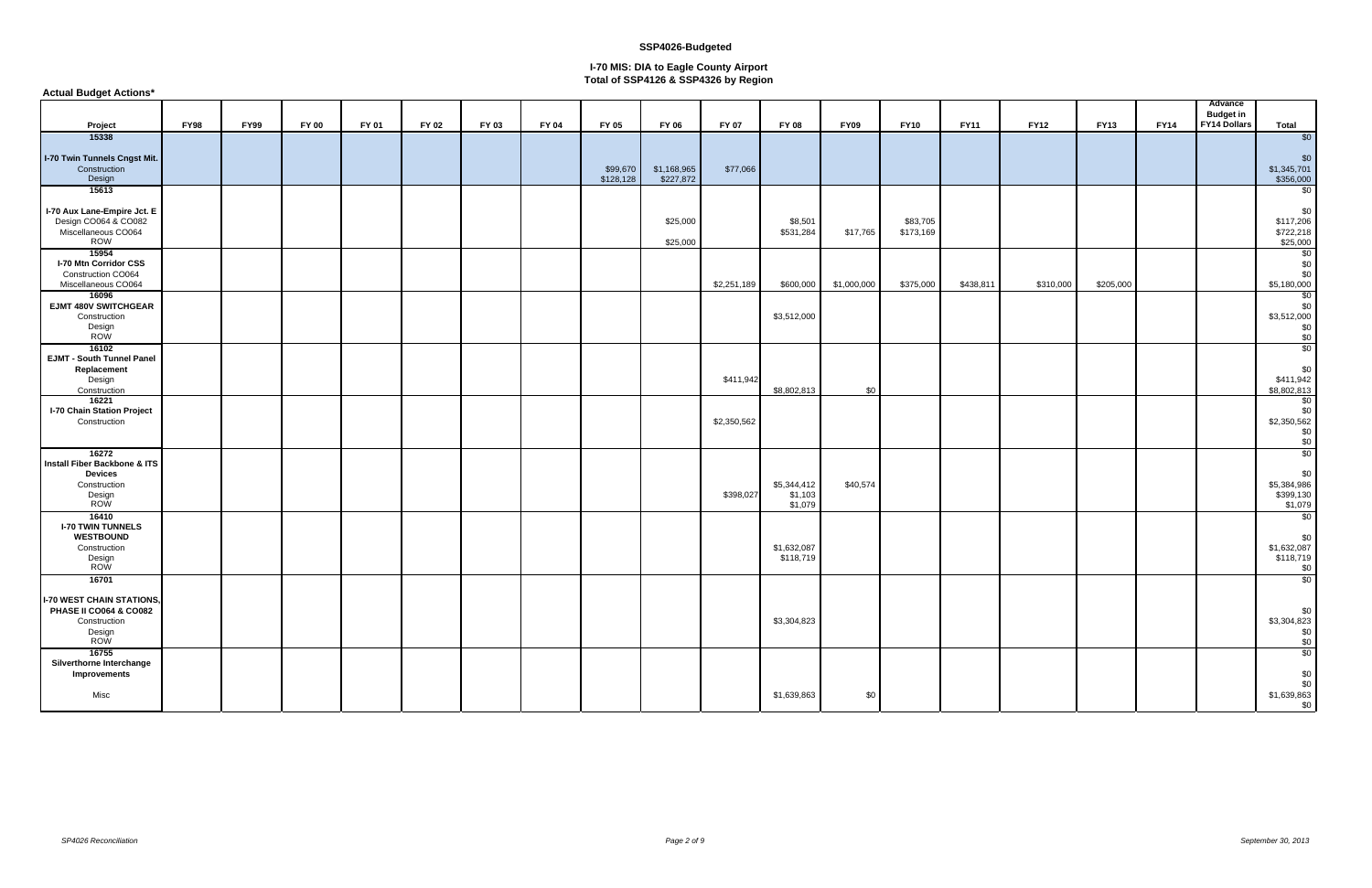| <b>Actual Budget Actions*</b>                       |             |             |              |       |       |       |              |              |             |             |                        |             |             |             |             |             |             |                                                    |                          |
|-----------------------------------------------------|-------------|-------------|--------------|-------|-------|-------|--------------|--------------|-------------|-------------|------------------------|-------------|-------------|-------------|-------------|-------------|-------------|----------------------------------------------------|--------------------------|
| Project                                             | <b>FY98</b> | <b>FY99</b> | <b>FY 00</b> | FY 01 | FY 02 | FY 03 | <b>FY 04</b> | <b>FY 05</b> | FY 06       | FY 07       | <b>FY 08</b>           | <b>FY09</b> | <b>FY10</b> | <b>FY11</b> | <b>FY12</b> | <b>FY13</b> | <b>FY14</b> | Advance<br><b>Budget in</b><br><b>FY14 Dollars</b> | <b>Total</b>             |
| 15338                                               |             |             |              |       |       |       |              |              |             |             |                        |             |             |             |             |             |             |                                                    | \$0                      |
| I-70 Twin Tunnels Cngst Mit.<br>Construction        |             |             |              |       |       |       |              | \$99,670     | \$1,168,965 | \$77,066    |                        |             |             |             |             |             |             |                                                    | \$0<br>\$1,345,701       |
| Design                                              |             |             |              |       |       |       |              | \$128,128    | \$227,872   |             |                        |             |             |             |             |             |             |                                                    | \$356,000                |
| 15613                                               |             |             |              |       |       |       |              |              |             |             |                        |             |             |             |             |             |             |                                                    | \$0                      |
| I-70 Aux Lane-Empire Jct. E<br>Design CO064 & CO082 |             |             |              |       |       |       |              |              | \$25,000    |             | \$8,501                |             | \$83,705    |             |             |             |             |                                                    | \$0<br>\$117,206         |
| Miscellaneous CO064                                 |             |             |              |       |       |       |              |              |             |             | \$531,284              | \$17,765    | \$173,169   |             |             |             |             |                                                    | \$722,218                |
| ROW                                                 |             |             |              |       |       |       |              |              | \$25,000    |             |                        |             |             |             |             |             |             |                                                    | \$25,000                 |
| 15954<br>I-70 Mtn Corridor CSS                      |             |             |              |       |       |       |              |              |             |             |                        |             |             |             |             |             |             |                                                    | \$0<br>\$0               |
| <b>Construction CO064</b>                           |             |             |              |       |       |       |              |              |             |             |                        |             |             |             |             |             |             |                                                    | \$0                      |
| Miscellaneous CO064                                 |             |             |              |       |       |       |              |              |             | \$2,251,189 | \$600,000              | \$1,000,000 | \$375,000   | \$438,811   | \$310,000   | \$205,000   |             |                                                    | \$5,180,000              |
| 16096<br>EJMT 480V SWITCHGEAR                       |             |             |              |       |       |       |              |              |             |             |                        |             |             |             |             |             |             |                                                    | \$0<br>\$0               |
| Construction                                        |             |             |              |       |       |       |              |              |             |             | \$3,512,000            |             |             |             |             |             |             |                                                    | \$3,512,000              |
| Design<br>ROW                                       |             |             |              |       |       |       |              |              |             |             |                        |             |             |             |             |             |             |                                                    | \$0<br>$\$0$             |
| 16102<br><b>EJMT - South Tunnel Panel</b>           |             |             |              |       |       |       |              |              |             |             |                        |             |             |             |             |             |             |                                                    | \$0                      |
| Replacement                                         |             |             |              |       |       |       |              |              |             |             |                        |             |             |             |             |             |             |                                                    | \$0                      |
| Design<br>Construction                              |             |             |              |       |       |       |              |              |             | \$411,942   | \$8,802,813            | \$0         |             |             |             |             |             |                                                    | \$411,942<br>\$8,802,813 |
| 16221                                               |             |             |              |       |       |       |              |              |             |             |                        |             |             |             |             |             |             |                                                    | \$0                      |
| I-70 Chain Station Project<br>Construction          |             |             |              |       |       |       |              |              |             | \$2,350,562 |                        |             |             |             |             |             |             |                                                    | \$0<br>\$2,350,562       |
|                                                     |             |             |              |       |       |       |              |              |             |             |                        |             |             |             |             |             |             |                                                    | $\$0$                    |
|                                                     |             |             |              |       |       |       |              |              |             |             |                        |             |             |             |             |             |             |                                                    | \$0                      |
| 16272<br>Install Fiber Backbone & ITS               |             |             |              |       |       |       |              |              |             |             |                        |             |             |             |             |             |             |                                                    | \$0                      |
| <b>Devices</b>                                      |             |             |              |       |       |       |              |              |             |             |                        |             |             |             |             |             |             |                                                    | \$0                      |
| Construction                                        |             |             |              |       |       |       |              |              |             | \$398,027   | \$5,344,412<br>\$1,103 | \$40,574    |             |             |             |             |             |                                                    | \$5,384,986<br>\$399,130 |
| Design<br>ROW                                       |             |             |              |       |       |       |              |              |             |             | \$1,079                |             |             |             |             |             |             |                                                    | \$1,079                  |
| 16410<br><b>I-70 TWIN TUNNELS</b>                   |             |             |              |       |       |       |              |              |             |             |                        |             |             |             |             |             |             |                                                    | \$0                      |
| <b>WESTBOUND</b>                                    |             |             |              |       |       |       |              |              |             |             |                        |             |             |             |             |             |             |                                                    | \$0                      |
| Construction                                        |             |             |              |       |       |       |              |              |             |             | \$1,632,087            |             |             |             |             |             |             |                                                    | \$1,632,087              |
| Design<br>ROW                                       |             |             |              |       |       |       |              |              |             |             | \$118,719              |             |             |             |             |             |             |                                                    | \$118,719<br>$\$0$       |
| 16701                                               |             |             |              |       |       |       |              |              |             |             |                        |             |             |             |             |             |             |                                                    | \$0                      |
| <b>I-70 WEST CHAIN STATIONS,</b>                    |             |             |              |       |       |       |              |              |             |             |                        |             |             |             |             |             |             |                                                    |                          |
| <b>PHASE II CO064 &amp; CO082</b>                   |             |             |              |       |       |       |              |              |             |             |                        |             |             |             |             |             |             |                                                    | \$0                      |
| Construction                                        |             |             |              |       |       |       |              |              |             |             | \$3,304,823            |             |             |             |             |             |             |                                                    | \$3,304,823              |
| Design<br><b>ROW</b>                                |             |             |              |       |       |       |              |              |             |             |                        |             |             |             |             |             |             |                                                    | \$0<br>\$0               |
| 16755                                               |             |             |              |       |       |       |              |              |             |             |                        |             |             |             |             |             |             |                                                    | \$0                      |
| Silverthorne Interchange                            |             |             |              |       |       |       |              |              |             |             |                        |             |             |             |             |             |             |                                                    |                          |
| Improvements                                        |             |             |              |       |       |       |              |              |             |             |                        |             |             |             |             |             |             |                                                    | \$0<br>\$0               |
| Misc                                                |             |             |              |       |       |       |              |              |             |             | \$1,639,863            | \$0         |             |             |             |             |             |                                                    | \$1,639,863              |
|                                                     |             |             |              |       |       |       |              |              |             |             |                        |             |             |             |             |             |             |                                                    | \$0                      |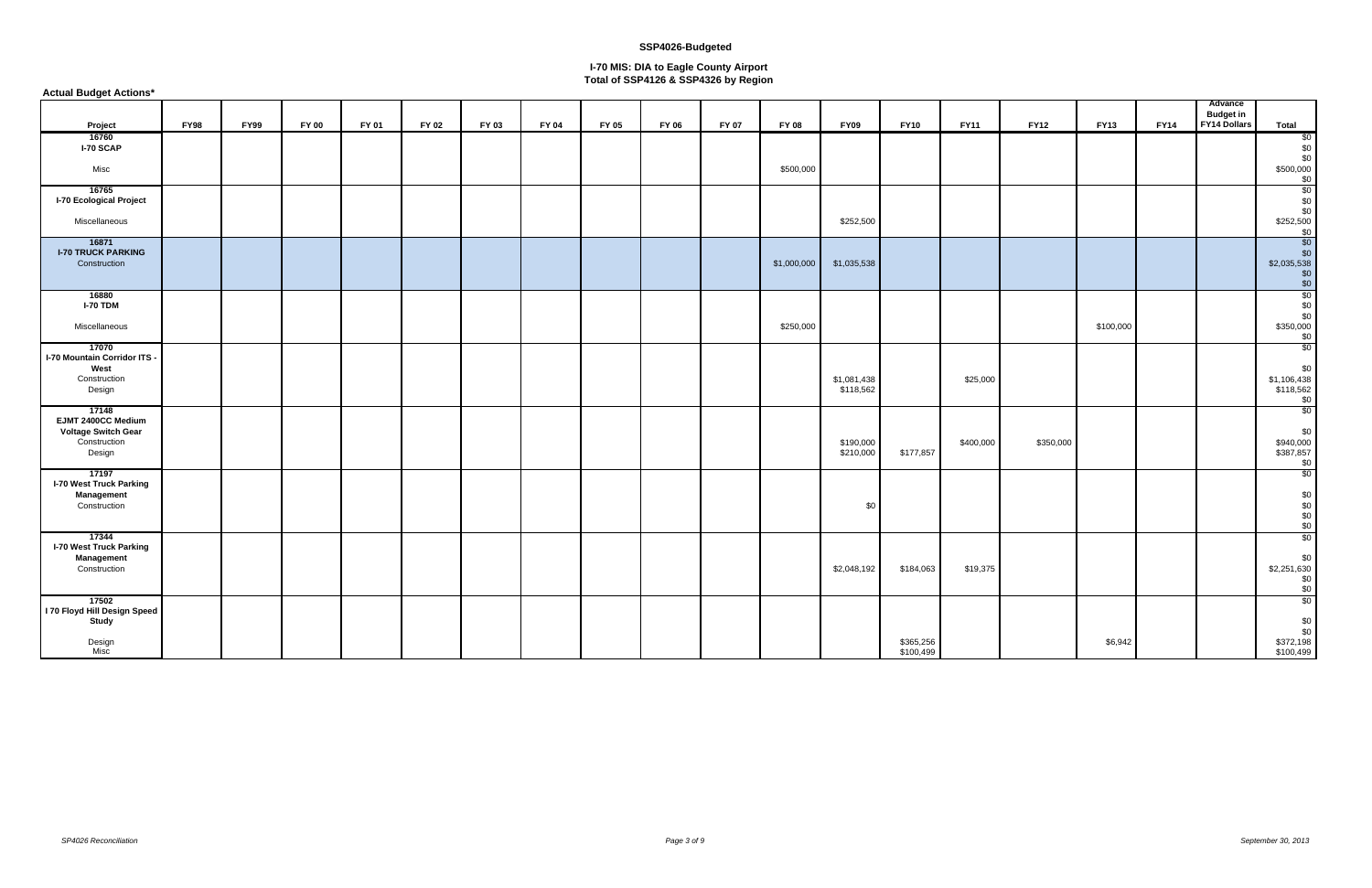| <b>Actual Budget Actions*</b>                                                       |             |             |              |       |              |       |       |       |       | -     |              |                          |                        |             |             |             |             |                                             |                                                      |
|-------------------------------------------------------------------------------------|-------------|-------------|--------------|-------|--------------|-------|-------|-------|-------|-------|--------------|--------------------------|------------------------|-------------|-------------|-------------|-------------|---------------------------------------------|------------------------------------------------------|
| Project                                                                             | <b>FY98</b> | <b>FY99</b> | <b>FY 00</b> | FY 01 | <b>FY 02</b> | FY 03 | FY 04 | FY 05 | FY 06 | FY 07 | <b>FY 08</b> | <b>FY09</b>              | <b>FY10</b>            | <b>FY11</b> | <b>FY12</b> | <b>FY13</b> | <b>FY14</b> | Advance<br><b>Budget in</b><br>FY14 Dollars | <b>Total</b>                                         |
| 16760<br>I-70 SCAP                                                                  |             |             |              |       |              |       |       |       |       |       |              |                          |                        |             |             |             |             |                                             | \$0<br>\$0<br>\$0                                    |
| Misc                                                                                |             |             |              |       |              |       |       |       |       |       | \$500,000    |                          |                        |             |             |             |             |                                             | \$500,000<br>\$0                                     |
| 16765<br>I-70 Ecological Project                                                    |             |             |              |       |              |       |       |       |       |       |              |                          |                        |             |             |             |             |                                             | \$0<br>\$0<br>\$0                                    |
| Miscellaneous                                                                       |             |             |              |       |              |       |       |       |       |       |              | \$252,500                |                        |             |             |             |             |                                             | \$252,500<br>$\frac{$0}{$0}$                         |
| 16871<br><b>I-70 TRUCK PARKING</b><br>Construction                                  |             |             |              |       |              |       |       |       |       |       | \$1,000,000  | \$1,035,538              |                        |             |             |             |             |                                             | \$0<br>\$2,035,538<br>$$^{6}_{\$0}$$                 |
| 16880<br>I-70 TDM<br>Miscellaneous                                                  |             |             |              |       |              |       |       |       |       |       | \$250,000    |                          |                        |             |             | \$100,000   |             |                                             | $\overline{50}$<br>\$0<br>\$0<br>\$350,000           |
| 17070<br>I-70 Mountain Corridor ITS -<br>West<br>Construction<br>Design             |             |             |              |       |              |       |       |       |       |       |              | \$1,081,438<br>\$118,562 |                        | \$25,000    |             |             |             |                                             | \$0<br>\$0<br>\$0<br>\$1,106,438<br>\$118,562<br>\$0 |
| 17148<br>EJMT 2400CC Medium<br><b>Voltage Switch Gear</b><br>Construction<br>Design |             |             |              |       |              |       |       |       |       |       |              | \$190,000<br>\$210,000   | \$177,857              | \$400,000   | \$350,000   |             |             |                                             | \$0<br>\$0<br>\$940,000<br>\$387,857<br>$\$0$        |
| 17197<br><b>I-70 West Truck Parking</b><br>Management<br>Construction               |             |             |              |       |              |       |       |       |       |       |              | \$0                      |                        |             |             |             |             |                                             | \$0<br>\$0<br>$$0$<br>$$0$<br>\$0                    |
| 17344<br><b>I-70 West Truck Parking</b><br>Management<br>Construction               |             |             |              |       |              |       |       |       |       |       |              | \$2,048,192              | \$184,063              | \$19,375    |             |             |             |                                             | \$0<br>\$0<br>\$2,251,630<br>\$0<br>\$0              |
| 17502<br>I 70 Floyd Hill Design Speed<br><b>Study</b><br>Design<br>Misc             |             |             |              |       |              |       |       |       |       |       |              |                          | \$365,256<br>\$100,499 |             |             | \$6,942     |             |                                             | \$0<br>\$0<br>\$0<br>\$372,198<br>\$100,499          |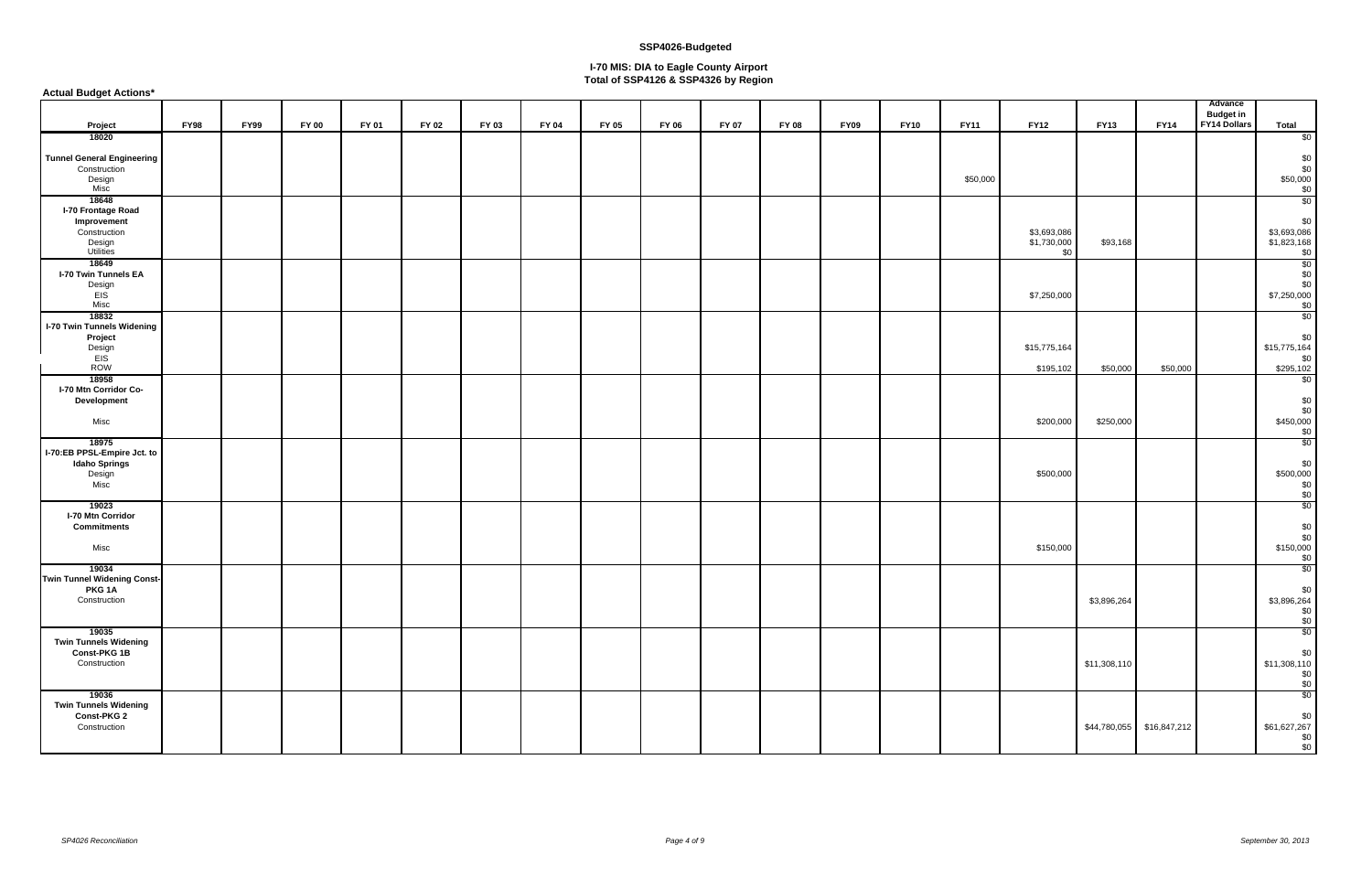| <b>Actual Budget Actions*</b>                                                     |             |             |              |       |       |       |              |       |       |       |              |             |             |             |                                   |              |                           |                                                    |                                                 |
|-----------------------------------------------------------------------------------|-------------|-------------|--------------|-------|-------|-------|--------------|-------|-------|-------|--------------|-------------|-------------|-------------|-----------------------------------|--------------|---------------------------|----------------------------------------------------|-------------------------------------------------|
| Project                                                                           | <b>FY98</b> | <b>FY99</b> | <b>FY 00</b> | FY 01 | FY 02 | FY 03 | <b>FY 04</b> | FY 05 | FY 06 | FY 07 | <b>FY 08</b> | <b>FY09</b> | <b>FY10</b> | <b>FY11</b> | <b>FY12</b>                       | <b>FY13</b>  | <b>FY14</b>               | Advance<br><b>Budget in</b><br><b>FY14 Dollars</b> | <b>Total</b>                                    |
| 18020                                                                             |             |             |              |       |       |       |              |       |       |       |              |             |             |             |                                   |              |                           |                                                    | \$0                                             |
| <b>Tunnel General Engineering</b><br>Construction<br>Design<br>Misc               |             |             |              |       |       |       |              |       |       |       |              |             |             | \$50,000    |                                   |              |                           |                                                    | $$^{\rm 90}_{\rm 50}$<br>\$50,000<br>\$0        |
| 18648<br>I-70 Frontage Road<br>Improvement<br>Construction<br>Design<br>Utilities |             |             |              |       |       |       |              |       |       |       |              |             |             |             | \$3,693,086<br>\$1,730,000<br>\$0 | \$93,168     |                           |                                                    | \$0<br>\$0<br>\$3,693,086<br>\$1,823,168<br>\$0 |
| 18649<br>I-70 Twin Tunnels EA<br>Design<br>EIS<br>Misc<br>18832                   |             |             |              |       |       |       |              |       |       |       |              |             |             |             | \$7,250,000                       |              |                           |                                                    | \$0<br>\$0<br>\$0<br>\$7,250,000<br>\$0<br>\$0  |
| I-70 Twin Tunnels Widening<br>Project<br>Design<br>EIS<br><b>ROW</b>              |             |             |              |       |       |       |              |       |       |       |              |             |             |             | \$15,775,164<br>\$195,102         | \$50,000     | \$50,000                  |                                                    | \$0<br>\$15,775,164<br>\$0<br>\$295,102         |
| 18958<br>I-70 Mtn Corridor Co-<br>Development<br>Misc                             |             |             |              |       |       |       |              |       |       |       |              |             |             |             | \$200,000                         | \$250,000    |                           |                                                    | \$0<br>\$0<br>\$0<br>\$450,000<br>\$0           |
| 18975<br>I-70:EB PPSL-Empire Jct. to<br><b>Idaho Springs</b><br>Design<br>Misc    |             |             |              |       |       |       |              |       |       |       |              |             |             |             | \$500,000                         |              |                           |                                                    | \$0<br>\$0<br>\$500,000<br>$$^{0}_{\text{SO}}$$ |
| 19023<br>I-70 Mtn Corridor<br><b>Commitments</b><br>Misc                          |             |             |              |       |       |       |              |       |       |       |              |             |             |             | \$150,000                         |              |                           |                                                    | \$0<br>\$0<br>$$0$$<br>$$150,000$<br>$$0$       |
| 19034<br>Twin Tunnel Widening Const-<br>PKG 1A<br>Construction                    |             |             |              |       |       |       |              |       |       |       |              |             |             |             |                                   | \$3,896,264  |                           |                                                    | \$0<br>\$0<br>\$3,896,264<br>\$0<br>\$0         |
| 19035<br><b>Twin Tunnels Widening</b><br>Const-PKG 1B<br>Construction             |             |             |              |       |       |       |              |       |       |       |              |             |             |             |                                   | \$11,308,110 |                           |                                                    | \$0<br>\$0<br>\$11,308,110<br>\$0<br>\$0        |
| 19036<br><b>Twin Tunnels Widening</b><br><b>Const-PKG 2</b><br>Construction       |             |             |              |       |       |       |              |       |       |       |              |             |             |             |                                   |              | \$44,780,055 \$16,847,212 |                                                    | \$0<br>\$0<br>\$61,627,267<br>\$0<br>\$0        |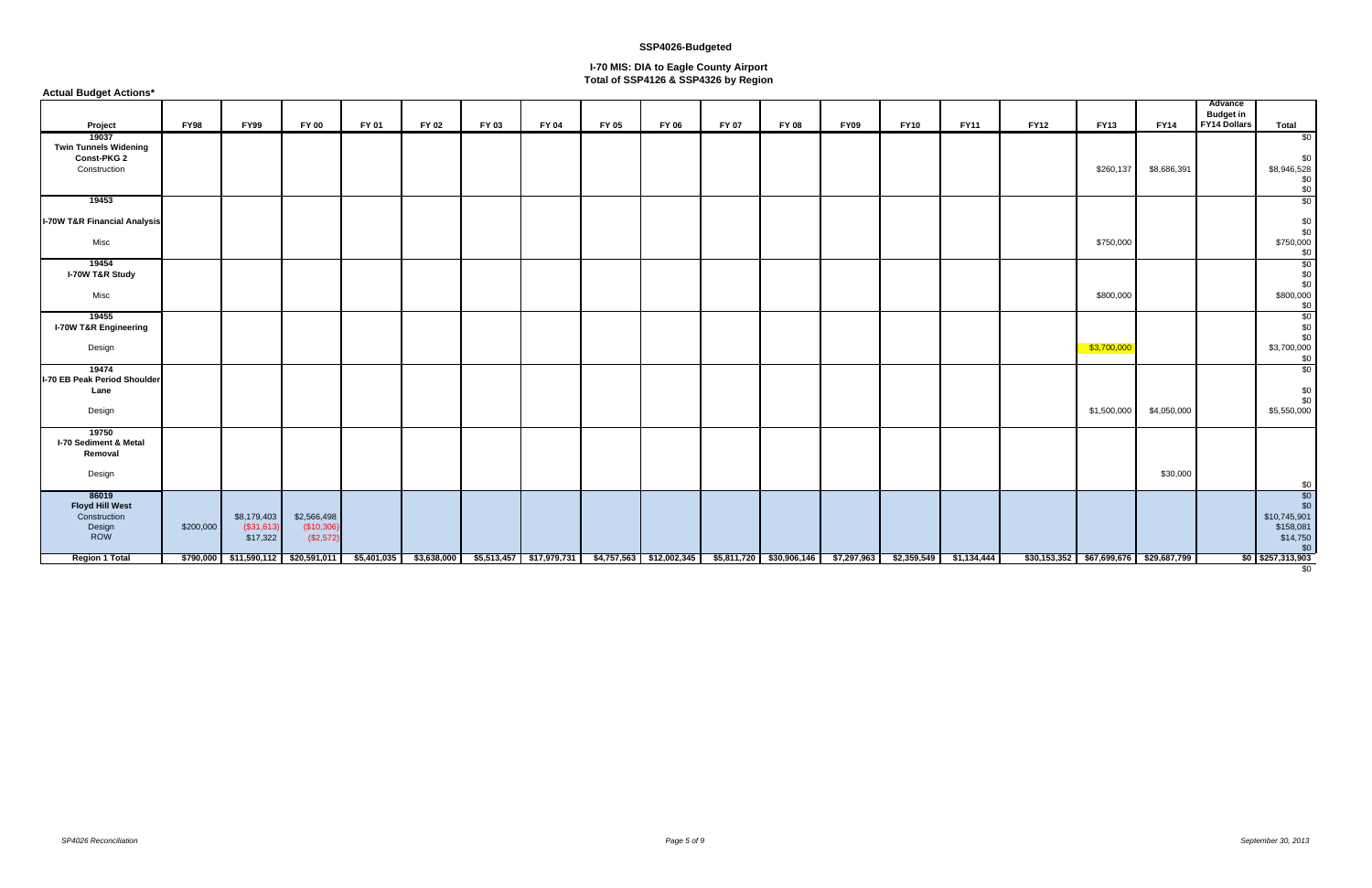## **I-70 MIS: DIA to Eagle County Airport Total of SSP4126 & SSP4326 by Region**

| <b>Actual Budget Actions*</b>                                        |             |                                         |                                        |       |       |       |                                                                                                                |              |       |       |              |             |             |                           |             |             |                                           |                                                    |                                                                         |
|----------------------------------------------------------------------|-------------|-----------------------------------------|----------------------------------------|-------|-------|-------|----------------------------------------------------------------------------------------------------------------|--------------|-------|-------|--------------|-------------|-------------|---------------------------|-------------|-------------|-------------------------------------------|----------------------------------------------------|-------------------------------------------------------------------------|
| Project                                                              | <b>FY98</b> | <b>FY99</b>                             | <b>FY 00</b>                           | FY 01 | FY 02 | FY 03 | FY 04                                                                                                          | <b>FY 05</b> | FY 06 | FY 07 | <b>FY 08</b> | <b>FY09</b> | <b>FY10</b> | <b>FY11</b>               | <b>FY12</b> | <b>FY13</b> | <b>FY14</b>                               | Advance<br><b>Budget in</b><br><b>FY14 Dollars</b> | <b>Total</b>                                                            |
| 19037<br><b>Twin Tunnels Widening</b><br>Const-PKG 2<br>Construction |             |                                         |                                        |       |       |       |                                                                                                                |              |       |       |              |             |             |                           |             | \$260,137   | \$8,686,391                               |                                                    | \$0<br>\$0<br>\$8,946,528<br>\$0                                        |
| 19453<br><b>I-70W T&amp;R Financial Analysis</b><br>Misc             |             |                                         |                                        |       |       |       |                                                                                                                |              |       |       |              |             |             |                           |             | \$750,000   |                                           |                                                    | $\frac{$0}{$0}$<br>$$^{6}_{\color{red}30}$<br>\$750,000<br>\$0          |
| 19454<br>I-70W T&R Study<br>Misc                                     |             |                                         |                                        |       |       |       |                                                                                                                |              |       |       |              |             |             |                           |             | \$800,000   |                                           |                                                    | \$0<br>$$0$<br>$$0$<br>$$800,000$<br>$$0$                               |
| 19455<br>I-70W T&R Engineering<br>Design                             |             |                                         |                                        |       |       |       |                                                                                                                |              |       |       |              |             |             |                           |             | \$3,700,000 |                                           |                                                    | \$0<br>$\begin{array}{c} 0 \\ 0 \\ 0 \end{array}$<br>\$3,700,000<br>\$0 |
| 19474<br>I-70 EB Peak Period Shoulder<br>Lane<br>Design              |             |                                         |                                        |       |       |       |                                                                                                                |              |       |       |              |             |             |                           |             | \$1,500,000 | \$4,050,000                               |                                                    | $\overline{30}$<br>$$0$<br>\$0<br>\$5,550,000                           |
| 19750<br>I-70 Sediment & Metal<br>Removal<br>Design                  |             |                                         |                                        |       |       |       |                                                                                                                |              |       |       |              |             |             |                           |             |             | \$30,000                                  |                                                    |                                                                         |
| 86019<br><b>Floyd Hill West</b><br>Construction<br>Design<br>ROW     | \$200,000   | \$8,179,403<br>( \$31, 613)<br>\$17,322 | \$2,566,498<br>(\$10,306)<br>(\$2,572) |       |       |       |                                                                                                                |              |       |       |              |             |             |                           |             |             |                                           |                                                    | $\frac{$0}{$0}$<br>\$0<br>\$10,745,901<br>\$158,081<br>\$14,750<br>\$0  |
| <b>Region 1 Total</b>                                                |             |                                         | $$790,000$ \$11,590,112 \$20,591,011   |       |       |       | \$5,401,035 \$3,638,000 \$5,513,457 \$17,979,731 \$4,757,563 \$12,002,345 \$5,811,720 \$30,906,146 \$7,297,963 |              |       |       |              |             |             | $$2,359,549$ $$1,134,444$ |             |             | $$30,153,352$ $$67,699,676$ $$29,687,799$ |                                                    | $$0$ \$257,313,903                                                      |

\$0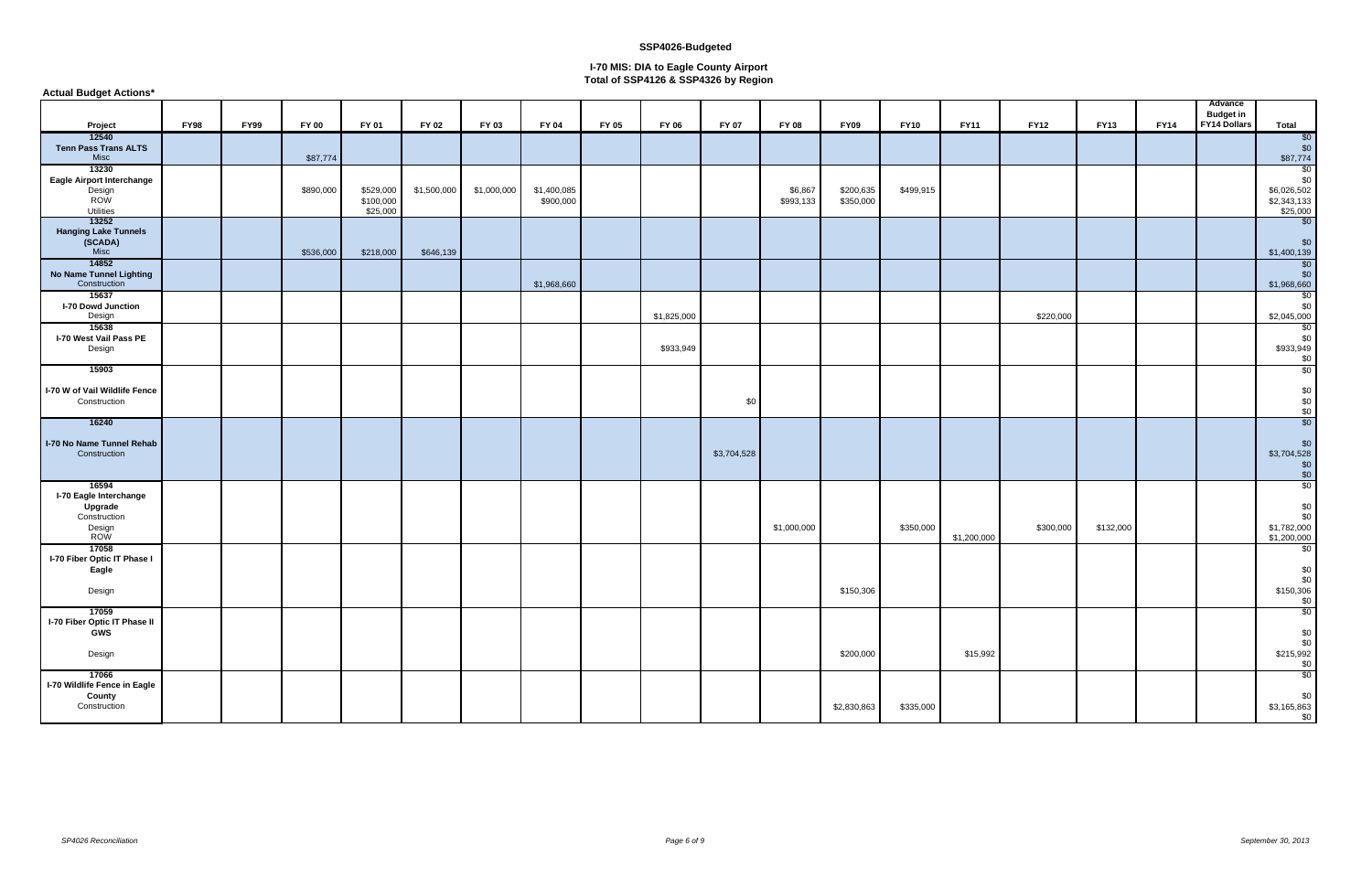| <b>Actual Budget Actions*</b>                                               |             |             |              |                                    |             |             |                          |              |             |              |                      |                        |             |             |             |             |             |                                                    |                                                      |
|-----------------------------------------------------------------------------|-------------|-------------|--------------|------------------------------------|-------------|-------------|--------------------------|--------------|-------------|--------------|----------------------|------------------------|-------------|-------------|-------------|-------------|-------------|----------------------------------------------------|------------------------------------------------------|
| Project                                                                     | <b>FY98</b> | <b>FY99</b> | <b>FY 00</b> | FY 01                              | FY 02       | FY 03       | <b>FY 04</b>             | <b>FY 05</b> | FY 06       | <b>FY 07</b> | <b>FY 08</b>         | <b>FY09</b>            | <b>FY10</b> | <b>FY11</b> | <b>FY12</b> | <b>FY13</b> | <b>FY14</b> | Advance<br><b>Budget in</b><br><b>FY14 Dollars</b> | <b>Total</b>                                         |
| 12540<br><b>Tenn Pass Trans ALTS</b><br>Misc                                |             |             | \$87,774     |                                    |             |             |                          |              |             |              |                      |                        |             |             |             |             |             |                                                    | \$0<br>\$0<br>\$87,774                               |
| 13230<br>Eagle Airport Interchange<br>Design<br><b>ROW</b><br>Utilities     |             |             | \$890,000    | \$529,000<br>\$100,000<br>\$25,000 | \$1,500,000 | \$1,000,000 | \$1,400,085<br>\$900,000 |              |             |              | \$6,867<br>\$993,133 | \$200,635<br>\$350,000 | \$499,915   |             |             |             |             |                                                    | \$0<br>\$0<br>\$6,026,502<br>\$2,343,133<br>\$25,000 |
| 13252<br><b>Hanging Lake Tunnels</b><br>(SCADA)<br>Misc<br>14852            |             |             | \$536,000    | \$218,000                          | \$646,139   |             |                          |              |             |              |                      |                        |             |             |             |             |             |                                                    | \$0<br>\$0<br>\$1,400,139<br>$\sqrt{6}$              |
| No Name Tunnel Lighting<br>Construction                                     |             |             |              |                                    |             |             | \$1,968,660              |              |             |              |                      |                        |             |             |             |             |             |                                                    | \$0<br>\$1,968,660                                   |
| 15637<br>I-70 Dowd Junction<br>Design                                       |             |             |              |                                    |             |             |                          |              | \$1,825,000 |              |                      |                        |             |             | \$220,000   |             |             |                                                    | \$0<br>\$0<br>\$2,045,000                            |
| 15638<br>I-70 West Vail Pass PE<br>Design                                   |             |             |              |                                    |             |             |                          |              | \$933,949   |              |                      |                        |             |             |             |             |             |                                                    | \$0<br>\$0<br>\$933,949<br>\$0                       |
| 15903<br>I-70 W of Vail Wildlife Fence<br>Construction                      |             |             |              |                                    |             |             |                          |              |             | \$0          |                      |                        |             |             |             |             |             |                                                    | \$0<br>$\$0$<br>\$0<br>\$0                           |
| 16240<br>I-70 No Name Tunnel Rehab<br>Construction                          |             |             |              |                                    |             |             |                          |              |             | \$3,704,528  |                      |                        |             |             |             |             |             |                                                    | \$0<br>\$0<br>\$3,704,528<br>\$0<br>\$0              |
| 16594<br>I-70 Eagle Interchange<br>Upgrade<br>Construction<br>Design<br>ROW |             |             |              |                                    |             |             |                          |              |             |              | \$1,000,000          |                        | \$350,000   | \$1,200,000 | \$300,000   | \$132,000   |             |                                                    | \$0<br>$\$0$<br>\$0<br>\$1,782,000<br>\$1,200,000    |
| 17058<br>I-70 Fiber Optic IT Phase I<br>Eagle<br>Design                     |             |             |              |                                    |             |             |                          |              |             |              |                      | \$150,306              |             |             |             |             |             |                                                    | \$0<br>\$0<br>\$0<br>\$150,306<br>\$0                |
| 17059<br>I-70 Fiber Optic IT Phase II<br>GWS<br>Design                      |             |             |              |                                    |             |             |                          |              |             |              |                      | \$200,000              |             | \$15,992    |             |             |             |                                                    | \$0<br>$$^{0}_{\$0}$$<br>\$215,992                   |
| 17066<br>I-70 Wildlife Fence in Eagle<br>County<br>Construction             |             |             |              |                                    |             |             |                          |              |             |              |                      | \$2,830,863            | \$335,000   |             |             |             |             |                                                    | \$0<br>\$0<br>\$0<br>\$3,165,863<br>\$0              |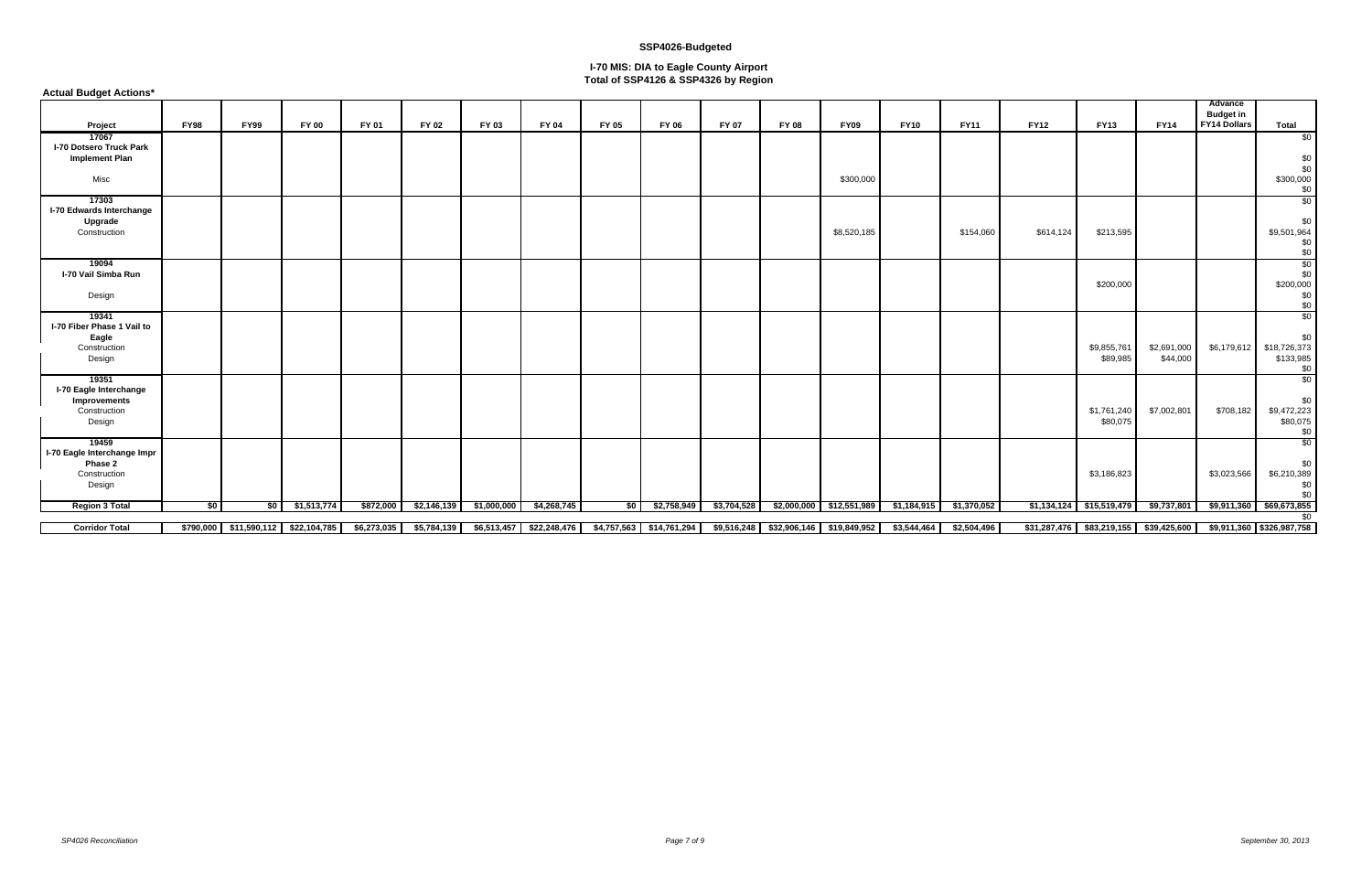**Actual Budget Actions\***

|                                                                           |             |             |                                                     |           |             |             |             |       |                                                                                                                                 |             |              |                            |             |             |             |                                                                          |                         | Advance<br><b>Budget in</b> |                                                    |
|---------------------------------------------------------------------------|-------------|-------------|-----------------------------------------------------|-----------|-------------|-------------|-------------|-------|---------------------------------------------------------------------------------------------------------------------------------|-------------|--------------|----------------------------|-------------|-------------|-------------|--------------------------------------------------------------------------|-------------------------|-----------------------------|----------------------------------------------------|
| Project                                                                   | <b>FY98</b> | <b>FY99</b> | <b>FY 00</b>                                        | FY 01     | FY 02       | FY 03       | FY 04       | FY 05 | <b>FY 06</b>                                                                                                                    | FY 07       | <b>FY 08</b> | <b>FY09</b>                | <b>FY10</b> | <b>FY11</b> | <b>FY12</b> | <b>FY13</b>                                                              | <b>FY14</b>             | <b>FY14 Dollars</b>         | <b>Total</b>                                       |
| 17067<br>I-70 Dotsero Truck Park<br><b>Implement Plan</b><br>Misc         |             |             |                                                     |           |             |             |             |       |                                                                                                                                 |             |              | \$300,000                  |             |             |             |                                                                          |                         |                             | $\sqrt{50}$<br>\$0<br>\$0<br>\$300,000<br>\$0      |
| 17303<br><b>I-70 Edwards Interchange</b><br>Upgrade<br>Construction       |             |             |                                                     |           |             |             |             |       |                                                                                                                                 |             |              | \$8,520,185                |             | \$154,060   | \$614,124   | \$213,595                                                                |                         |                             | \$0<br>\$0<br>\$9,501,964<br>\$0<br>\$0            |
| 19094<br>I-70 Vail Simba Run<br>Design                                    |             |             |                                                     |           |             |             |             |       |                                                                                                                                 |             |              |                            |             |             |             | \$200,000                                                                |                         |                             | \$0<br>\$0<br>\$200,000<br>\$0<br>\$0              |
| 19341<br>I-70 Fiber Phase 1 Vail to<br>Eagle<br>Construction<br>Design    |             |             |                                                     |           |             |             |             |       |                                                                                                                                 |             |              |                            |             |             |             | \$9,855,761<br>\$89,985                                                  | \$2,691,000<br>\$44,000 | \$6,179,612                 | \$0<br>\$0<br>\$18,726,373<br>\$133,985<br>\$0     |
| 19351<br>I-70 Eagle Interchange<br>Improvements<br>Construction<br>Design |             |             |                                                     |           |             |             |             |       |                                                                                                                                 |             |              |                            |             |             |             | \$1,761,240<br>\$80,075                                                  | \$7,002,801             | \$708,182                   | \$0<br>\$0<br>\$9,472,223<br>\$80,075<br>\$0       |
| 19459<br>I-70 Eagle Interchange Impr<br>Phase 2<br>Construction<br>Design |             |             |                                                     |           |             |             |             |       |                                                                                                                                 |             |              |                            |             |             |             | \$3,186,823                                                              |                         | \$3,023,566                 | $\frac{1}{20}$<br>\$0<br>\$6,210,389<br>\$0<br>\$0 |
| <b>Region 3 Total</b>                                                     | \$0         | —so l       | \$1,513,774                                         | \$872,000 | \$2,146,139 | \$1,000,000 | \$4,268,745 |       | $$0$ $$2,758,949$                                                                                                               | \$3,704,528 |              | $$2,000,000$ $$12,551,989$ | \$1,184,915 | \$1,370,052 |             | $$1,134,124$ $$15,519,479$                                               | \$9,737,801             | \$9,911,360                 | \$69,673,855<br>\$0                                |
| <b>Corridor Total</b>                                                     |             |             | $$790,000$ $$11,590,112$ $$22,104,785$ $$6,273,035$ |           |             |             |             |       | \$5,784,139   \$6,513,457   \$22,248,476   \$4,757,563   \$14,761,294   \$9,516,248   \$32,906,146   \$19,849,952   \$3,544,464 |             |              |                            |             | \$2,504,496 |             | \$31,287,476   \$83,219,155   \$39,425,600   \$9,911,360   \$326,987,758 |                         |                             |                                                    |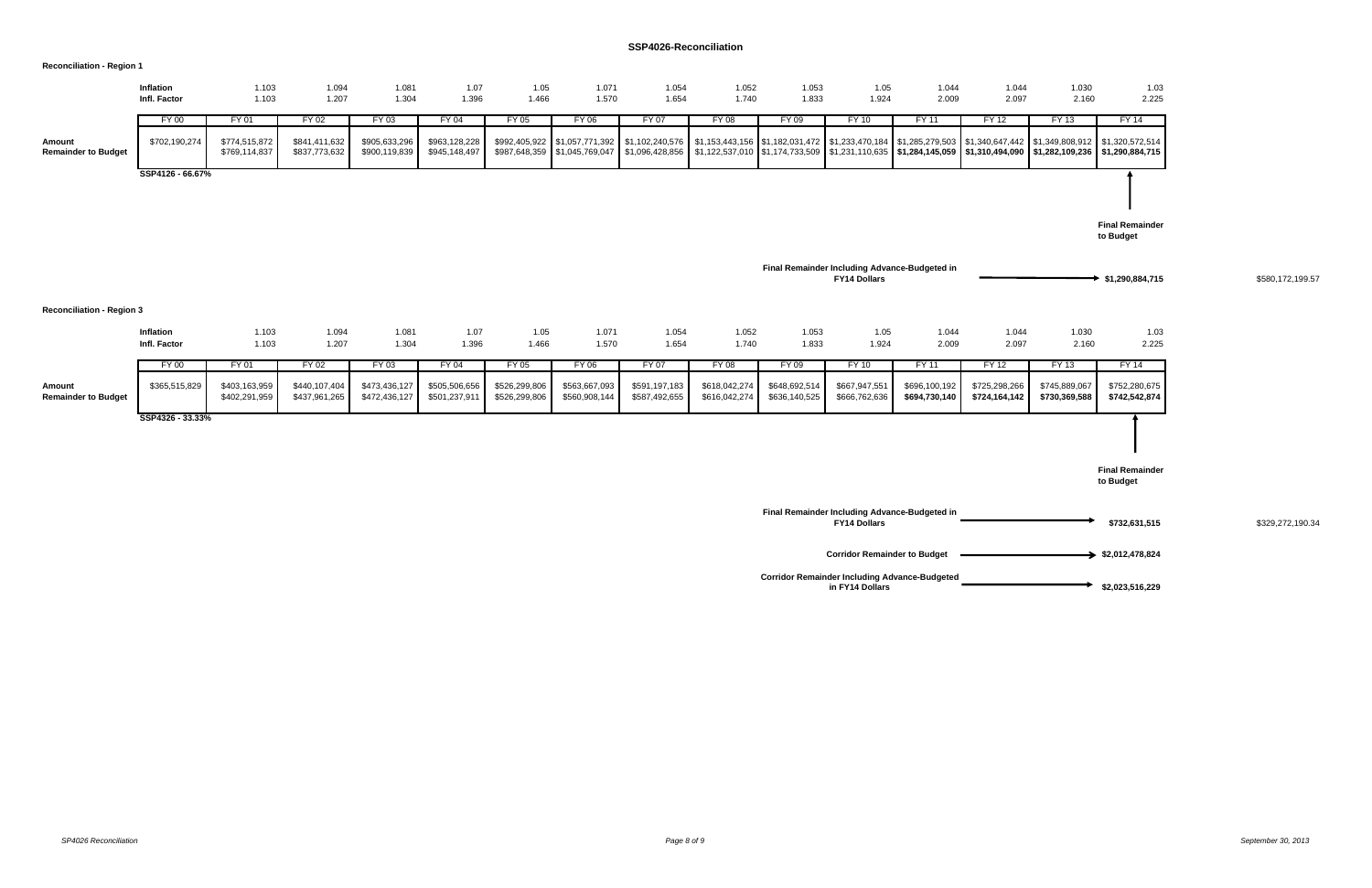### **SSP4026-Reconciliation**

#### **Reconciliation - Region 1**

|                                      | <b>Inflation</b><br>Infl. Factor | 1.103<br>1.103                 | 1.094<br>1.207                 | 1.081<br>1.304                 | 1.07<br>1.396 | 1.05<br>1.466 | 1.071<br>1.570 | 1.054<br>1.654 | 1.052<br>1.740 | 1.053<br>1.833 | 1.05<br>1.924 | 1.044<br>2.009 | 1.044<br>2.097 | 1.030<br>2.160                                                                                                                                                                                                                                                                                                                                             | 1.03<br>2.225 |
|--------------------------------------|----------------------------------|--------------------------------|--------------------------------|--------------------------------|---------------|---------------|----------------|----------------|----------------|----------------|---------------|----------------|----------------|------------------------------------------------------------------------------------------------------------------------------------------------------------------------------------------------------------------------------------------------------------------------------------------------------------------------------------------------------------|---------------|
|                                      | 5Y 00                            | FY 01                          | FY 02                          |                                | FY 04         | FY 05         | FY 06          |                | FY 08          | Y 09.          |               |                |                |                                                                                                                                                                                                                                                                                                                                                            | FY 14         |
| Amount<br><b>Remainder to Budget</b> | \$702,190,274                    | \$774.515.872<br>\$769,114,837 | \$841,411,632<br>\$837,773,632 | \$905,633,296<br>\$900,119,839 |               |               |                |                |                |                |               |                |                | \$963,128,228 \$992,405,922 \$1,057,771,392 \$1,102,240,576 \$1,153,443,156 \$1,182,031.472 \$1,233,470,184 \$1,285,279,503 \$1,340,647,442 \$1,349,808,912 \$1,320,572,514<br>\$945.148.497 \$987.648.359 \$1.045.769.047 \$1.096.428.856 \$1.122.537.010 \$1.174.733.509 \$1.231.110.635 \$1.284.145.059 \$1.310.494.090 \$1.282.109.236 \$1.290.884.715 |               |
|                                      | SSP4126 - 66.67%                 |                                |                                |                                |               |               |                |                |                |                |               |                |                |                                                                                                                                                                                                                                                                                                                                                            |               |

#### **Reconciliation - Region 3**



|                            | Inflation        | 1.103         | 1.094         | 1.081         | 1.07          | 1.05          | 1.071         | 1.054         | 1.052         | 1.053         | 1.05          | 1.044         | 1.044           | 1.030         | 1.03          |
|----------------------------|------------------|---------------|---------------|---------------|---------------|---------------|---------------|---------------|---------------|---------------|---------------|---------------|-----------------|---------------|---------------|
|                            | Infl. Factor     | 1.103         | 1.207         | 1.304         | 1.396         | 1.466         | 1.570         | 1.654         | 1.740         | 1.833         | 1.924         | 2.009         | 2.097           | 2.160         | 2.225         |
|                            | FY 00            | FY 01         | ′ 02          | FY 03         | FY 04         | FY 05         | FY 06         | FY 07         | FY 08         | FY 09         | FY 10         |               | FY 12           | FY 13         | FY 14         |
| Amount                     | \$365,515,829    | \$403,163,959 | \$440,107,404 | \$473,436,127 | \$505,506,656 | \$526,299,806 | \$563,667,093 | \$591,197,183 | \$618,042,274 | \$648,692,514 | \$667,947,551 | \$696,100,192 | \$725,298,266   | \$745,889,067 | \$752,280,675 |
| <b>Remainder to Budget</b> |                  | \$402,291,959 | \$437,961,265 | \$472,436,127 | \$501,237,911 | \$526,299,806 | \$560,908,144 | \$587,492,655 | \$616,042,274 | \$636,140,525 | \$666,762,636 | \$694,730,140 | \$724,164,142 ┃ | \$730,369,588 | \$742,542,874 |
|                            | SSP4326 - 33.33% |               |               |               |               |               |               |               |               |               |               |               |                 |               |               |

**Final Remainder Including Advance-Budgeted in** 

**FY14 Dollars**

**Final Remainder Including Advance-Budgeted in FY14 Dollars**

**Corridor Remainder Including Advance-Budgeted in FY14 Dollars**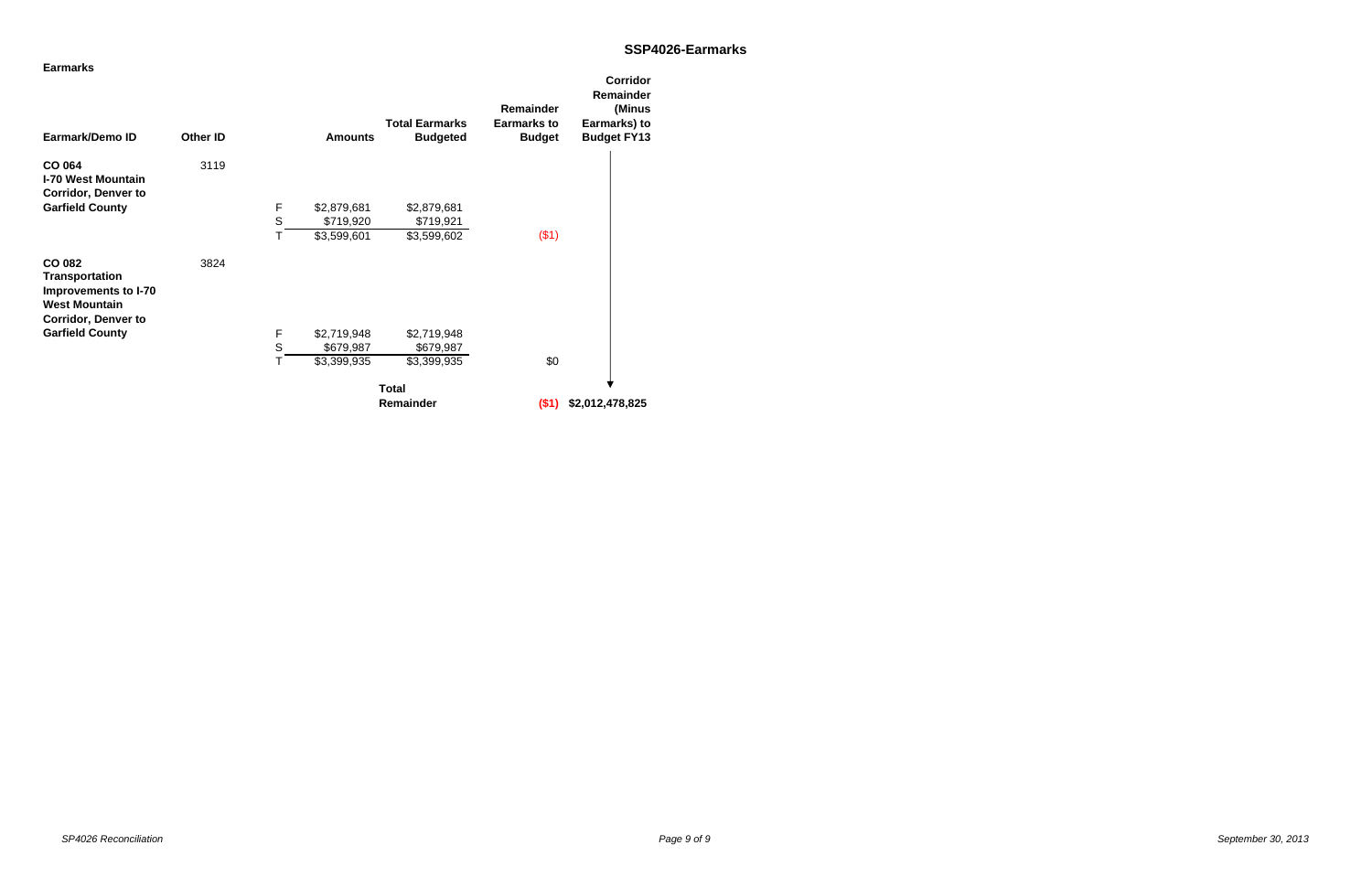| <b>Earmarks</b>                                                                                               |                 |             |                |                                          |                                                  | <b>Corridor</b><br>Remainder                 |
|---------------------------------------------------------------------------------------------------------------|-----------------|-------------|----------------|------------------------------------------|--------------------------------------------------|----------------------------------------------|
| Earmark/Demo ID                                                                                               | <b>Other ID</b> |             | <b>Amounts</b> | <b>Total Earmarks</b><br><b>Budgeted</b> | Remainder<br><b>Earmarks to</b><br><b>Budget</b> | (Minus<br>Earmarks) to<br><b>Budget FY13</b> |
| CO 064<br><b>I-70 West Mountain</b><br><b>Corridor, Denver to</b>                                             | 3119            |             |                |                                          |                                                  |                                              |
| <b>Garfield County</b>                                                                                        |                 | $\mathsf F$ | \$2,879,681    | \$2,879,681                              |                                                  |                                              |
|                                                                                                               |                 | S           | \$719,920      | \$719,921                                |                                                  |                                              |
|                                                                                                               |                 | Т           | \$3,599,601    | \$3,599,602                              | $($ \$1)                                         |                                              |
| CO 082<br><b>Transportation</b><br>Improvements to I-70<br><b>West Mountain</b><br><b>Corridor, Denver to</b> | 3824            |             |                |                                          |                                                  |                                              |
| <b>Garfield County</b>                                                                                        |                 | F           | \$2,719,948    | \$2,719,948                              |                                                  |                                              |
|                                                                                                               |                 | S           | \$679,987      | \$679,987                                |                                                  |                                              |
|                                                                                                               |                 | Т           | \$3,399,935    | \$3,399,935                              | \$0                                              |                                              |
|                                                                                                               |                 |             |                | <b>Total</b>                             |                                                  |                                              |
|                                                                                                               |                 |             |                | Remainder                                | (\$1)                                            | \$2,012,478,825                              |

*Page 9 of 9 September 30, 2013*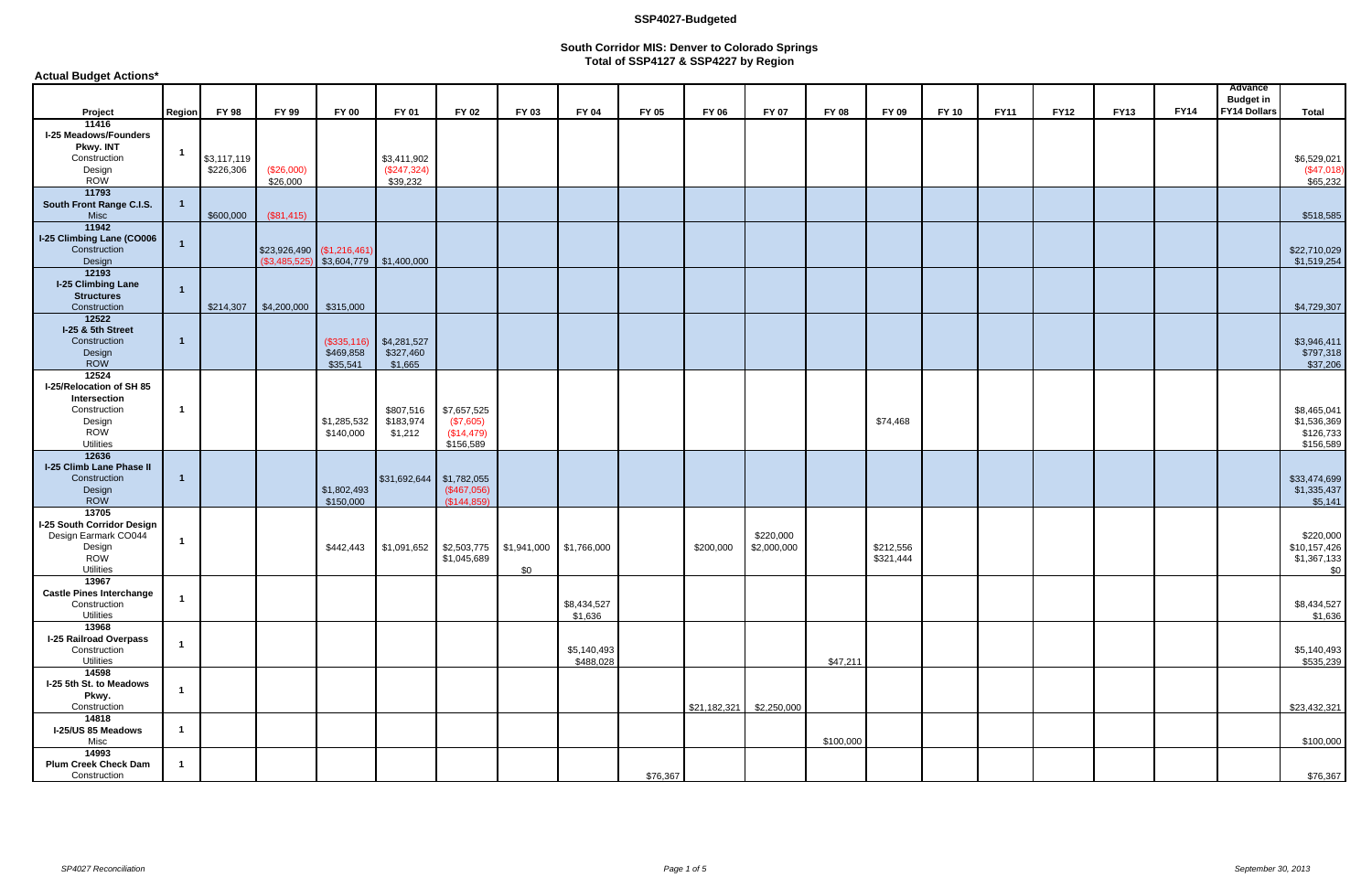**Actual Budget Actions\***

| Project                                  | <b>Region</b>           | <b>FY 98</b> | FY 99                       | <b>FY 00</b>                 | FY 01                    | <b>FY 02</b>                                        | FY 03 | <b>FY 04</b> | <b>FY 05</b> | <b>FY 06</b> | <b>FY 07</b> | <b>FY 08</b> | FY 09     | <b>FY 10</b> | <b>FY11</b> | <b>FY12</b> | <b>FY13</b> | <b>FY14</b> | Advance<br><b>Budget in</b><br><b>FY14 Dollars</b> | <b>Total</b> |
|------------------------------------------|-------------------------|--------------|-----------------------------|------------------------------|--------------------------|-----------------------------------------------------|-------|--------------|--------------|--------------|--------------|--------------|-----------|--------------|-------------|-------------|-------------|-------------|----------------------------------------------------|--------------|
| 11416                                    |                         |              |                             |                              |                          |                                                     |       |              |              |              |              |              |           |              |             |             |             |             |                                                    |              |
| <b>I-25 Meadows/Founders</b>             |                         |              |                             |                              |                          |                                                     |       |              |              |              |              |              |           |              |             |             |             |             |                                                    |              |
| Pkwy. INT                                | $\overline{1}$          |              |                             |                              |                          |                                                     |       |              |              |              |              |              |           |              |             |             |             |             |                                                    |              |
| Construction                             |                         | \$3,117,119  |                             |                              | \$3,411,902              |                                                     |       |              |              |              |              |              |           |              |             |             |             |             |                                                    | \$6,529,021  |
| Design                                   |                         | \$226,306    | (\$26,000)                  |                              | (\$247,324)              |                                                     |       |              |              |              |              |              |           |              |             |             |             |             |                                                    | (\$47,018)   |
| ROW<br>11793                             |                         |              | \$26,000                    |                              | \$39,232                 |                                                     |       |              |              |              |              |              |           |              |             |             |             |             |                                                    | \$65,232     |
| South Front Range C.I.S.                 |                         |              |                             |                              |                          |                                                     |       |              |              |              |              |              |           |              |             |             |             |             |                                                    |              |
| Misc                                     |                         | \$600,000    | $($ \$81,415)               |                              |                          |                                                     |       |              |              |              |              |              |           |              |             |             |             |             |                                                    | \$518,585    |
| 11942                                    |                         |              |                             |                              |                          |                                                     |       |              |              |              |              |              |           |              |             |             |             |             |                                                    |              |
| I-25 Climbing Lane (CO006                |                         |              |                             |                              |                          |                                                     |       |              |              |              |              |              |           |              |             |             |             |             |                                                    |              |
| Construction                             | -1                      |              | $$23,926,490$ (\$1,216,461) |                              |                          |                                                     |       |              |              |              |              |              |           |              |             |             |             |             |                                                    | \$22,710,029 |
| Design                                   |                         |              |                             | $(\$3,485,525)$ \\$3,604,779 | \$1,400,000              |                                                     |       |              |              |              |              |              |           |              |             |             |             |             |                                                    | \$1,519,254  |
| 12193                                    |                         |              |                             |                              |                          |                                                     |       |              |              |              |              |              |           |              |             |             |             |             |                                                    |              |
| <b>I-25 Climbing Lane</b>                | $\overline{1}$          |              |                             |                              |                          |                                                     |       |              |              |              |              |              |           |              |             |             |             |             |                                                    |              |
| <b>Structures</b>                        |                         |              |                             |                              |                          |                                                     |       |              |              |              |              |              |           |              |             |             |             |             |                                                    |              |
| Construction<br>12522                    |                         | \$214,307    | \$4,200,000                 | \$315,000                    |                          |                                                     |       |              |              |              |              |              |           |              |             |             |             |             |                                                    | \$4,729,307  |
| I-25 & 5th Street                        |                         |              |                             |                              |                          |                                                     |       |              |              |              |              |              |           |              |             |             |             |             |                                                    |              |
| Construction                             | $\overline{\mathbf{1}}$ |              |                             | (\$335,116)                  | \$4,281,527              |                                                     |       |              |              |              |              |              |           |              |             |             |             |             |                                                    | \$3,946,411  |
| Design                                   |                         |              |                             | \$469,858                    | \$327,460                |                                                     |       |              |              |              |              |              |           |              |             |             |             |             |                                                    | \$797,318    |
| ROW                                      |                         |              |                             | \$35,541                     | \$1,665                  |                                                     |       |              |              |              |              |              |           |              |             |             |             |             |                                                    | \$37,206     |
| 12524                                    |                         |              |                             |                              |                          |                                                     |       |              |              |              |              |              |           |              |             |             |             |             |                                                    |              |
| I-25/Relocation of SH 85                 |                         |              |                             |                              |                          |                                                     |       |              |              |              |              |              |           |              |             |             |             |             |                                                    |              |
| Intersection                             |                         |              |                             |                              |                          |                                                     |       |              |              |              |              |              |           |              |             |             |             |             |                                                    |              |
| Construction                             | $\overline{1}$          |              |                             |                              | \$807,516                | \$7,657,525                                         |       |              |              |              |              |              |           |              |             |             |             |             |                                                    | \$8,465,041  |
| Design                                   |                         |              |                             | \$1,285,532                  | \$183,974                | (\$7,605)                                           |       |              |              |              |              |              | \$74,468  |              |             |             |             |             |                                                    | \$1,536,369  |
| <b>ROW</b>                               |                         |              |                             | \$140,000                    | \$1,212                  | (\$14,479)                                          |       |              |              |              |              |              |           |              |             |             |             |             |                                                    | \$126,733    |
| <b>Utilities</b><br>12636                |                         |              |                             |                              |                          | \$156,589                                           |       |              |              |              |              |              |           |              |             |             |             |             |                                                    | \$156,589    |
| <b>I-25 Climb Lane Phase II</b>          |                         |              |                             |                              |                          |                                                     |       |              |              |              |              |              |           |              |             |             |             |             |                                                    |              |
| Construction                             | $\overline{1}$          |              |                             |                              | \$31,692,644 \$1,782,055 |                                                     |       |              |              |              |              |              |           |              |             |             |             |             |                                                    | \$33,474,699 |
| Design                                   |                         |              |                             | \$1,802,493                  |                          | (\$467,056)                                         |       |              |              |              |              |              |           |              |             |             |             |             |                                                    | \$1,335,437  |
| <b>ROW</b>                               |                         |              |                             | \$150,000                    |                          | (\$144,859)                                         |       |              |              |              |              |              |           |              |             |             |             |             |                                                    | \$5,141      |
| 13705                                    |                         |              |                             |                              |                          |                                                     |       |              |              |              |              |              |           |              |             |             |             |             |                                                    |              |
| I-25 South Corridor Design               |                         |              |                             |                              |                          |                                                     |       |              |              |              |              |              |           |              |             |             |             |             |                                                    |              |
| Design Earmark CO044                     | $\overline{1}$          |              |                             |                              |                          |                                                     |       |              |              |              | \$220,000    |              |           |              |             |             |             |             |                                                    | \$220,000    |
| Design                                   |                         |              |                             | \$442,443                    |                          | $$1,091,652$ $$2,503,775$ $$1,941,000$ $$1,766,000$ |       |              |              | \$200,000    | \$2,000,000  |              | \$212,556 |              |             |             |             |             |                                                    | \$10,157,426 |
| <b>ROW</b>                               |                         |              |                             |                              |                          | \$1,045,689                                         |       |              |              |              |              |              | \$321,444 |              |             |             |             |             |                                                    | \$1,367,133  |
| <b>Utilities</b>                         |                         |              |                             |                              |                          |                                                     | \$0   |              |              |              |              |              |           |              |             |             |             |             |                                                    | \$0          |
| 13967<br><b>Castle Pines Interchange</b> |                         |              |                             |                              |                          |                                                     |       |              |              |              |              |              |           |              |             |             |             |             |                                                    |              |
| Construction                             | $\mathbf{1}$            |              |                             |                              |                          |                                                     |       | \$8,434,527  |              |              |              |              |           |              |             |             |             |             |                                                    | \$8,434,527  |
| <b>Utilities</b>                         |                         |              |                             |                              |                          |                                                     |       | \$1,636      |              |              |              |              |           |              |             |             |             |             |                                                    | \$1,636      |
| 13968                                    |                         |              |                             |                              |                          |                                                     |       |              |              |              |              |              |           |              |             |             |             |             |                                                    |              |
| <b>I-25 Railroad Overpass</b>            |                         |              |                             |                              |                          |                                                     |       |              |              |              |              |              |           |              |             |             |             |             |                                                    |              |
| Construction                             | $\mathbf{1}$            |              |                             |                              |                          |                                                     |       | \$5,140,493  |              |              |              |              |           |              |             |             |             |             |                                                    | \$5,140,493  |
| <b>Utilities</b>                         |                         |              |                             |                              |                          |                                                     |       | \$488,028    |              |              |              | \$47,211     |           |              |             |             |             |             |                                                    | \$535,239    |
| 14598                                    |                         |              |                             |                              |                          |                                                     |       |              |              |              |              |              |           |              |             |             |             |             |                                                    |              |
| I-25 5th St. to Meadows                  | $\overline{1}$          |              |                             |                              |                          |                                                     |       |              |              |              |              |              |           |              |             |             |             |             |                                                    |              |
| Pkwy.                                    |                         |              |                             |                              |                          |                                                     |       |              |              |              |              |              |           |              |             |             |             |             |                                                    |              |
| Construction<br>14818                    |                         |              |                             |                              |                          |                                                     |       |              |              | \$21,182,321 | \$2,250,000  |              |           |              |             |             |             |             |                                                    | \$23,432,321 |
| I-25/US 85 Meadows                       | $\mathbf{1}$            |              |                             |                              |                          |                                                     |       |              |              |              |              |              |           |              |             |             |             |             |                                                    |              |
| Misc                                     |                         |              |                             |                              |                          |                                                     |       |              |              |              |              | \$100,000    |           |              |             |             |             |             |                                                    | \$100,000    |
| 14993                                    |                         |              |                             |                              |                          |                                                     |       |              |              |              |              |              |           |              |             |             |             |             |                                                    |              |
| <b>Plum Creek Check Dam</b>              | $\overline{1}$          |              |                             |                              |                          |                                                     |       |              |              |              |              |              |           |              |             |             |             |             |                                                    |              |
| Construction                             |                         |              |                             |                              |                          |                                                     |       |              | \$76,367     |              |              |              |           |              |             |             |             |             |                                                    | \$76,367     |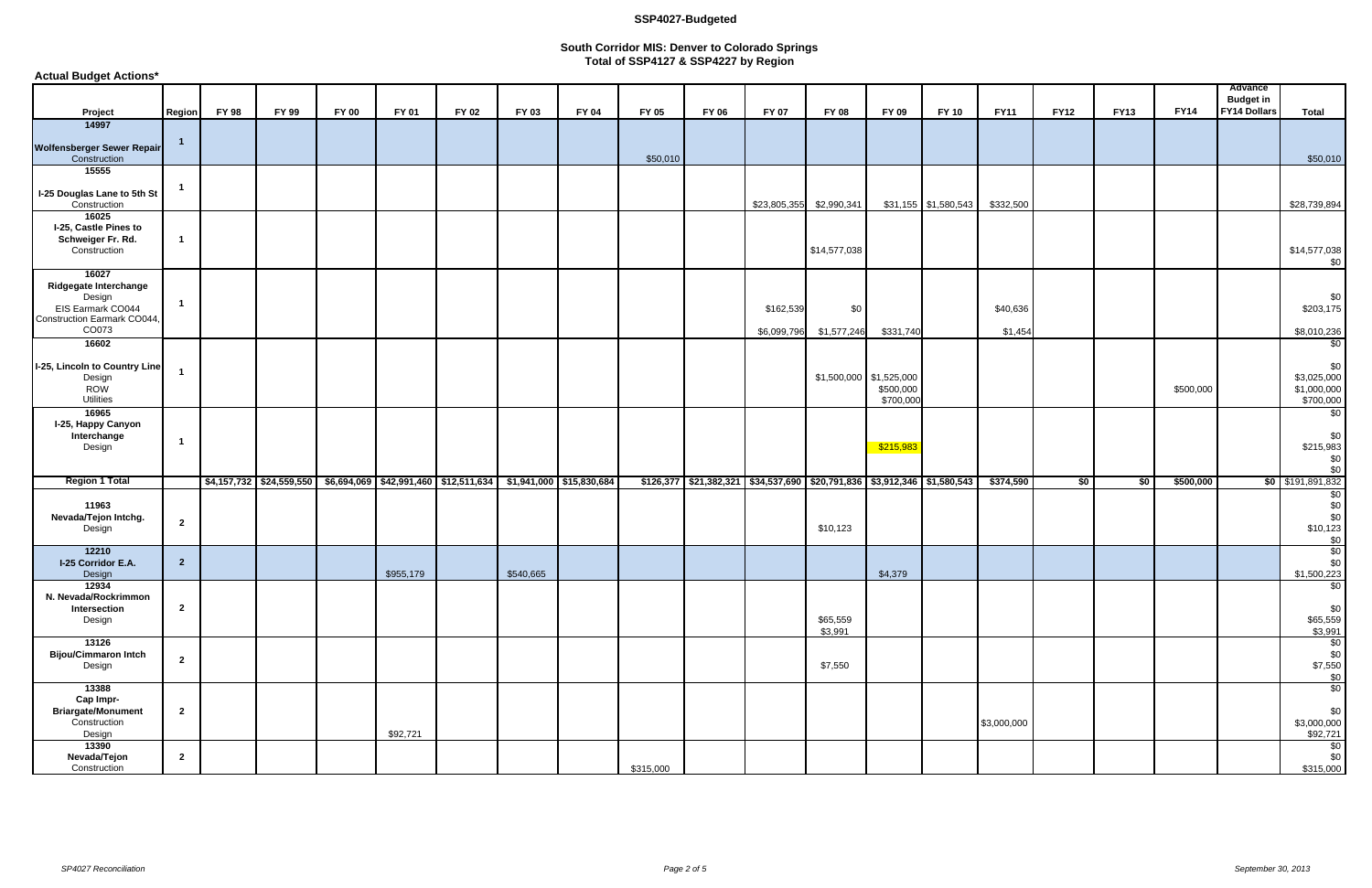**Actual Budget Actions\***

|                                                                                  |                |              |              |              |              |                                                                                                     |           |              |              |              |                          |                                                                                    |                                                    |                        |                     |             |             | <b>FY14</b> | Advance<br><b>Budget in</b><br><b>FY14 Dollars</b> |                                                                 |
|----------------------------------------------------------------------------------|----------------|--------------|--------------|--------------|--------------|-----------------------------------------------------------------------------------------------------|-----------|--------------|--------------|--------------|--------------------------|------------------------------------------------------------------------------------|----------------------------------------------------|------------------------|---------------------|-------------|-------------|-------------|----------------------------------------------------|-----------------------------------------------------------------|
| Project                                                                          | <b>Region</b>  | <b>FY 98</b> | <b>FY 99</b> | <b>FY 00</b> | <b>FY 01</b> | FY 02                                                                                               | FY 03     | <b>FY 04</b> | <b>FY 05</b> | <b>FY 06</b> | <b>FY 07</b>             | <b>FY 08</b>                                                                       | FY 09                                              | <b>FY 10</b>           | <b>FY11</b>         | <b>FY12</b> | <b>FY13</b> |             |                                                    | <b>Total</b>                                                    |
| 14997<br>Wolfensberger Sewer Repair<br>Construction                              | $\mathbf{1}$   |              |              |              |              |                                                                                                     |           |              | \$50,010     |              |                          |                                                                                    |                                                    |                        |                     |             |             |             |                                                    | \$50,010                                                        |
| 15555                                                                            |                |              |              |              |              |                                                                                                     |           |              |              |              |                          |                                                                                    |                                                    |                        |                     |             |             |             |                                                    |                                                                 |
| I-25 Douglas Lane to 5th St<br>Construction                                      |                |              |              |              |              |                                                                                                     |           |              |              |              | \$23,805,355             | \$2,990,341                                                                        |                                                    | $$31,155$ $$1,580,543$ | \$332,500           |             |             |             |                                                    | \$28,739,894                                                    |
| 16025<br>I-25, Castle Pines to<br>Schweiger Fr. Rd.                              | $\overline{1}$ |              |              |              |              |                                                                                                     |           |              |              |              |                          |                                                                                    |                                                    |                        |                     |             |             |             |                                                    |                                                                 |
| Construction<br>16027                                                            |                |              |              |              |              |                                                                                                     |           |              |              |              |                          | \$14,577,038                                                                       |                                                    |                        |                     |             |             |             |                                                    | $$14,577,038$<br>$$0$                                           |
| <b>Ridgegate Interchange</b><br>Design                                           | $\mathbf{1}$   |              |              |              |              |                                                                                                     |           |              |              |              |                          |                                                                                    |                                                    |                        |                     |             |             |             |                                                    | \$0                                                             |
| EIS Earmark CO044<br>Construction Earmark CO044,<br>CO073                        |                |              |              |              |              |                                                                                                     |           |              |              |              | \$162,539<br>\$6,099,796 | \$0<br>\$1,577,246                                                                 | \$331,740                                          |                        | \$40,636<br>\$1,454 |             |             |             |                                                    | \$203,175<br>\$8,010,236                                        |
| 16602                                                                            |                |              |              |              |              |                                                                                                     |           |              |              |              |                          |                                                                                    |                                                    |                        |                     |             |             |             |                                                    | $\frac{1}{30}$                                                  |
| <b>I-25, Lincoln to Country Line</b><br>Design<br><b>ROW</b><br><b>Utilities</b> | $\overline{1}$ |              |              |              |              |                                                                                                     |           |              |              |              |                          |                                                                                    | $$1,500,000$ \$1,525,000<br>\$500,000<br>\$700,000 |                        |                     |             |             | \$500,000   |                                                    | \$0<br>\$3,025,000<br>\$1,000,000<br>\$700,000                  |
| 16965<br>I-25, Happy Canyon<br>Interchange                                       | $\overline{1}$ |              |              |              |              |                                                                                                     |           |              |              |              |                          |                                                                                    |                                                    |                        |                     |             |             |             |                                                    | $\frac{1}{2}$<br>\$0                                            |
| Design                                                                           |                |              |              |              |              |                                                                                                     |           |              |              |              |                          |                                                                                    | \$215,983                                          |                        |                     |             |             |             |                                                    | \$215,983<br>$$^{6}_{80}$$                                      |
| <b>Region 1 Total</b>                                                            |                |              |              |              |              | \$4,157,732   \$24,559,550   \$6,694,069   \$42,991,460   \$12,511,634   \$1,941,000   \$15,830,684 |           |              |              |              |                          | \$126,377   \$21,382,321   \$34,537,690   \$20,791,836   \$3,912,346   \$1,580,543 |                                                    |                        | \$374,590           | \$0         | \$0         | \$500,000   |                                                    | \$0 \$191,891,832                                               |
| 11963<br>Nevada/Tejon Intchg.<br>Design                                          | $\mathbf{2}$   |              |              |              |              |                                                                                                     |           |              |              |              |                          | \$10,123                                                                           |                                                    |                        |                     |             |             |             |                                                    | \$0<br>$$0$ $$0$<br>\$10,123                                    |
| 12210<br>I-25 Corridor E.A.<br>Design                                            | $\overline{2}$ |              |              |              | \$955,179    |                                                                                                     | \$540,665 |              |              |              |                          |                                                                                    | \$4,379                                            |                        |                     |             |             |             |                                                    | $rac{$0}{$0}$<br>\$0<br>\$1,500,223                             |
| 12934<br>N. Nevada/Rockrimmon<br>Intersection<br>Design                          | $\overline{2}$ |              |              |              |              |                                                                                                     |           |              |              |              |                          | \$65,559                                                                           |                                                    |                        |                     |             |             |             |                                                    | \$0<br>\$0<br>\$65,559                                          |
| 13126                                                                            |                |              |              |              |              |                                                                                                     |           |              |              |              |                          | \$3,991                                                                            |                                                    |                        |                     |             |             |             |                                                    | \$3,991<br>$\frac{6}{3}$                                        |
| <b>Bijou/Cimmaron Intch</b><br>Design                                            | $\mathbf{2}$   |              |              |              |              |                                                                                                     |           |              |              |              |                          | \$7,550                                                                            |                                                    |                        |                     |             |             |             |                                                    | \$0<br>$$7,550$<br>$$0$                                         |
|                                                                                  |                |              |              |              |              |                                                                                                     |           |              |              |              |                          |                                                                                    |                                                    |                        |                     |             |             |             |                                                    |                                                                 |
| 13388<br>Cap Impr-                                                               |                |              |              |              |              |                                                                                                     |           |              |              |              |                          |                                                                                    |                                                    |                        |                     |             |             |             |                                                    |                                                                 |
| <b>Briargate/Monument</b><br>Construction<br>Design                              | $\overline{2}$ |              |              |              | \$92,721     |                                                                                                     |           |              |              |              |                          |                                                                                    |                                                    |                        | \$3,000,000         |             |             |             |                                                    | \$92,721                                                        |
| 13390<br>Nevada/Tejon<br>Construction                                            | $\mathbf{2}$   |              |              |              |              |                                                                                                     |           |              | \$315,000    |              |                          |                                                                                    |                                                    |                        |                     |             |             |             |                                                    | \$0<br>\$0<br>\$3,000,000<br>$\frac{1}{20}$<br>\$0<br>\$315,000 |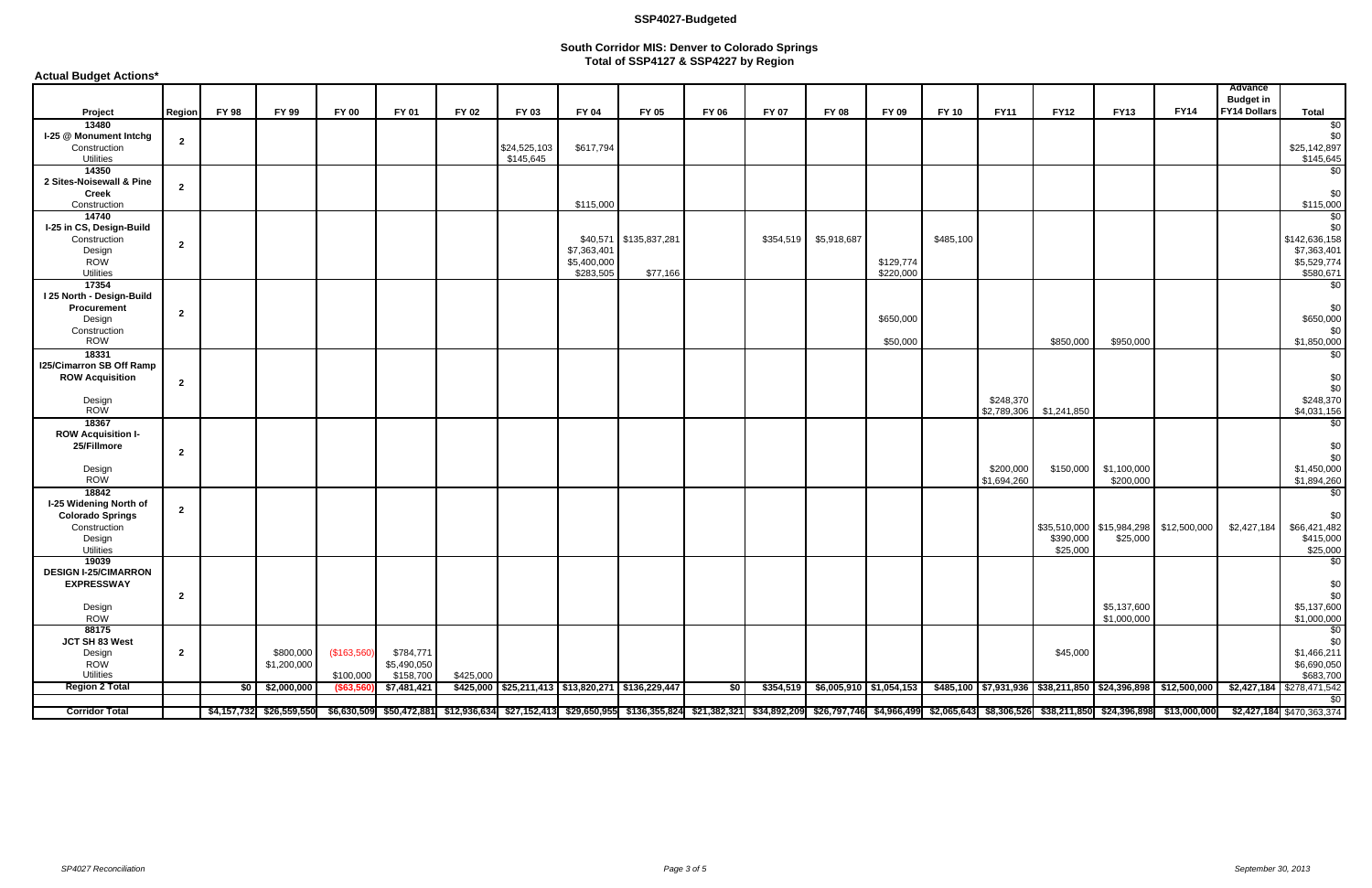**Actual Budget Actions\***

|                                          |                |              |                  |              |                          |              |              |                          |                                                                                                                                                                                                                                        |                  |              |              |                        |              |             |             |                           |                                                                                                              | Advance<br><b>Budget in</b> |                             |
|------------------------------------------|----------------|--------------|------------------|--------------|--------------------------|--------------|--------------|--------------------------|----------------------------------------------------------------------------------------------------------------------------------------------------------------------------------------------------------------------------------------|------------------|--------------|--------------|------------------------|--------------|-------------|-------------|---------------------------|--------------------------------------------------------------------------------------------------------------|-----------------------------|-----------------------------|
| Project                                  | Region         | <b>FY 98</b> | <b>FY 99</b>     | <b>FY 00</b> | <b>FY 01</b>             | <b>FY 02</b> | FY 03        | <b>FY 04</b>             | <b>FY 05</b>                                                                                                                                                                                                                           | <b>FY 06</b>     | <b>FY 07</b> | <b>FY 08</b> | FY 09                  | <b>FY 10</b> | <b>FY11</b> | <b>FY12</b> | <b>FY13</b>               | <b>FY14</b>                                                                                                  | <b>FY14 Dollars</b>         | <b>Total</b>                |
| 13480                                    |                |              |                  |              |                          |              |              |                          |                                                                                                                                                                                                                                        |                  |              |              |                        |              |             |             |                           |                                                                                                              |                             | $\frac{6}{3}$               |
| I-25 @ Monument Intchg                   | $\overline{2}$ |              |                  |              |                          |              |              |                          |                                                                                                                                                                                                                                        |                  |              |              |                        |              |             |             |                           |                                                                                                              |                             | \$0                         |
| Construction                             |                |              |                  |              |                          |              | \$24,525,103 | \$617,794                |                                                                                                                                                                                                                                        |                  |              |              |                        |              |             |             |                           |                                                                                                              |                             | \$25,142,897                |
| <b>Utilities</b>                         |                |              |                  |              |                          |              | \$145,645    |                          |                                                                                                                                                                                                                                        |                  |              |              |                        |              |             |             |                           |                                                                                                              |                             | \$145,645                   |
| 14350                                    |                |              |                  |              |                          |              |              |                          |                                                                                                                                                                                                                                        |                  |              |              |                        |              |             |             |                           |                                                                                                              |                             | \$0                         |
| 2 Sites-Noisewall & Pine                 | $\overline{2}$ |              |                  |              |                          |              |              |                          |                                                                                                                                                                                                                                        |                  |              |              |                        |              |             |             |                           |                                                                                                              |                             |                             |
| <b>Creek</b>                             |                |              |                  |              |                          |              |              |                          |                                                                                                                                                                                                                                        |                  |              |              |                        |              |             |             |                           |                                                                                                              |                             | \$0                         |
| Construction                             |                |              |                  |              |                          |              |              | \$115,000                |                                                                                                                                                                                                                                        |                  |              |              |                        |              |             |             |                           |                                                                                                              |                             | \$115,000                   |
| 14740                                    |                |              |                  |              |                          |              |              |                          |                                                                                                                                                                                                                                        |                  |              |              |                        |              |             |             |                           |                                                                                                              |                             | $\frac{1}{20}$              |
| I-25 in CS, Design-Build<br>Construction |                |              |                  |              |                          |              |              |                          |                                                                                                                                                                                                                                        |                  |              |              |                        |              |             |             |                           |                                                                                                              |                             | \$0                         |
|                                          | $\overline{2}$ |              |                  |              |                          |              |              |                          | \$40,571 \$135,837,281                                                                                                                                                                                                                 |                  | \$354,519    | \$5,918,687  |                        | \$485,100    |             |             |                           |                                                                                                              |                             | \$142,636,158               |
| Design<br><b>ROW</b>                     |                |              |                  |              |                          |              |              | \$7,363,401              |                                                                                                                                                                                                                                        |                  |              |              |                        |              |             |             |                           |                                                                                                              |                             | \$7,363,401                 |
| <b>Utilities</b>                         |                |              |                  |              |                          |              |              | \$5,400,000<br>\$283,505 | \$77,166                                                                                                                                                                                                                               |                  |              |              | \$129,774<br>\$220,000 |              |             |             |                           |                                                                                                              |                             | \$5,529,774<br>\$580,671    |
| 17354                                    |                |              |                  |              |                          |              |              |                          |                                                                                                                                                                                                                                        |                  |              |              |                        |              |             |             |                           |                                                                                                              |                             | $\frac{1}{3}$               |
| I 25 North - Design-Build                |                |              |                  |              |                          |              |              |                          |                                                                                                                                                                                                                                        |                  |              |              |                        |              |             |             |                           |                                                                                                              |                             |                             |
| Procurement                              |                |              |                  |              |                          |              |              |                          |                                                                                                                                                                                                                                        |                  |              |              |                        |              |             |             |                           |                                                                                                              |                             | \$0                         |
| Design                                   | $\overline{2}$ |              |                  |              |                          |              |              |                          |                                                                                                                                                                                                                                        |                  |              |              | \$650,000              |              |             |             |                           |                                                                                                              |                             | \$650,000                   |
| Construction                             |                |              |                  |              |                          |              |              |                          |                                                                                                                                                                                                                                        |                  |              |              |                        |              |             |             |                           |                                                                                                              |                             | \$0                         |
| <b>ROW</b>                               |                |              |                  |              |                          |              |              |                          |                                                                                                                                                                                                                                        |                  |              |              | \$50,000               |              |             | \$850,000   | \$950,000                 |                                                                                                              |                             | \$1,850,000                 |
| 18331                                    |                |              |                  |              |                          |              |              |                          |                                                                                                                                                                                                                                        |                  |              |              |                        |              |             |             |                           |                                                                                                              |                             | \$0                         |
| <b>I25/Cimarron SB Off Ramp</b>          |                |              |                  |              |                          |              |              |                          |                                                                                                                                                                                                                                        |                  |              |              |                        |              |             |             |                           |                                                                                                              |                             |                             |
| <b>ROW Acquisition</b>                   |                |              |                  |              |                          |              |              |                          |                                                                                                                                                                                                                                        |                  |              |              |                        |              |             |             |                           |                                                                                                              |                             | \$0                         |
|                                          | $\overline{2}$ |              |                  |              |                          |              |              |                          |                                                                                                                                                                                                                                        |                  |              |              |                        |              |             |             |                           |                                                                                                              |                             | \$0                         |
| Design                                   |                |              |                  |              |                          |              |              |                          |                                                                                                                                                                                                                                        |                  |              |              |                        |              | \$248,370   |             |                           |                                                                                                              |                             | \$248,370                   |
| ROW                                      |                |              |                  |              |                          |              |              |                          |                                                                                                                                                                                                                                        |                  |              |              |                        |              | \$2,789,306 | \$1,241,850 |                           |                                                                                                              |                             | \$4,031,156                 |
| 18367                                    |                |              |                  |              |                          |              |              |                          |                                                                                                                                                                                                                                        |                  |              |              |                        |              |             |             |                           |                                                                                                              |                             | $\frac{1}{20}$              |
| <b>ROW Acquisition I-</b>                |                |              |                  |              |                          |              |              |                          |                                                                                                                                                                                                                                        |                  |              |              |                        |              |             |             |                           |                                                                                                              |                             |                             |
| 25/Fillmore                              |                |              |                  |              |                          |              |              |                          |                                                                                                                                                                                                                                        |                  |              |              |                        |              |             |             |                           |                                                                                                              |                             | \$0                         |
|                                          | $\overline{2}$ |              |                  |              |                          |              |              |                          |                                                                                                                                                                                                                                        |                  |              |              |                        |              |             |             |                           |                                                                                                              |                             | \$0                         |
| Design                                   |                |              |                  |              |                          |              |              |                          |                                                                                                                                                                                                                                        |                  |              |              |                        |              | \$200,000   | \$150,000   | \$1,100,000               |                                                                                                              |                             | \$1,450,000                 |
| <b>ROW</b>                               |                |              |                  |              |                          |              |              |                          |                                                                                                                                                                                                                                        |                  |              |              |                        |              | \$1,694,260 |             | \$200,000                 |                                                                                                              |                             | \$1,894,260                 |
| 18842                                    |                |              |                  |              |                          |              |              |                          |                                                                                                                                                                                                                                        |                  |              |              |                        |              |             |             |                           |                                                                                                              |                             | \$0                         |
| I-25 Widening North of                   | $\overline{2}$ |              |                  |              |                          |              |              |                          |                                                                                                                                                                                                                                        |                  |              |              |                        |              |             |             |                           |                                                                                                              |                             |                             |
| <b>Colorado Springs</b>                  |                |              |                  |              |                          |              |              |                          |                                                                                                                                                                                                                                        |                  |              |              |                        |              |             |             |                           |                                                                                                              |                             | \$0                         |
| Construction                             |                |              |                  |              |                          |              |              |                          |                                                                                                                                                                                                                                        |                  |              |              |                        |              |             |             | \$35,510,000 \$15,984,298 | \$12,500,000                                                                                                 | \$2,427,184                 | \$66,421,482                |
| Design                                   |                |              |                  |              |                          |              |              |                          |                                                                                                                                                                                                                                        |                  |              |              |                        |              |             | \$390,000   | \$25,000                  |                                                                                                              |                             | \$415,000                   |
| <b>Utilities</b>                         |                |              |                  |              |                          |              |              |                          |                                                                                                                                                                                                                                        |                  |              |              |                        |              |             | \$25,000    |                           |                                                                                                              |                             | \$25,000                    |
| 19039                                    |                |              |                  |              |                          |              |              |                          |                                                                                                                                                                                                                                        |                  |              |              |                        |              |             |             |                           |                                                                                                              |                             | \$0                         |
| <b>DESIGN I-25/CIMARRON</b>              |                |              |                  |              |                          |              |              |                          |                                                                                                                                                                                                                                        |                  |              |              |                        |              |             |             |                           |                                                                                                              |                             |                             |
| <b>EXPRESSWAY</b>                        |                |              |                  |              |                          |              |              |                          |                                                                                                                                                                                                                                        |                  |              |              |                        |              |             |             |                           |                                                                                                              |                             | \$0                         |
|                                          | $\overline{2}$ |              |                  |              |                          |              |              |                          |                                                                                                                                                                                                                                        |                  |              |              |                        |              |             |             |                           |                                                                                                              |                             | \$0                         |
| Design                                   |                |              |                  |              |                          |              |              |                          |                                                                                                                                                                                                                                        |                  |              |              |                        |              |             |             | \$5,137,600               |                                                                                                              |                             | \$5,137,600                 |
| <b>ROW</b>                               |                |              |                  |              |                          |              |              |                          |                                                                                                                                                                                                                                        |                  |              |              |                        |              |             |             | \$1,000,000               |                                                                                                              |                             | \$1,000,000                 |
| 88175                                    |                |              |                  |              |                          |              |              |                          |                                                                                                                                                                                                                                        |                  |              |              |                        |              |             |             |                           |                                                                                                              |                             | \$0                         |
| JCT SH 83 West                           |                |              |                  |              |                          |              |              |                          |                                                                                                                                                                                                                                        |                  |              |              |                        |              |             |             |                           |                                                                                                              |                             | \$0                         |
| Design<br>ROW                            | $\overline{2}$ |              | \$800,000        | (\$163,560)  | \$784,771                |              |              |                          |                                                                                                                                                                                                                                        |                  |              |              |                        |              |             | \$45,000    |                           |                                                                                                              |                             | \$1,466,211<br>\$6,690,050  |
| Utilities                                |                |              | \$1,200,000      | \$100,000    | \$5,490,050<br>\$158,700 | \$425,000    |              |                          |                                                                                                                                                                                                                                        |                  |              |              |                        |              |             |             |                           |                                                                                                              |                             | \$683,700                   |
| <b>Region 2 Total</b>                    |                |              | $$0$ \$2,000,000 | (\$63,560    | \$7,481,421              |              |              |                          | \$425,000   \$25,211,413   \$13,820,271   \$136,229,447                                                                                                                                                                                | \$0 <sub>1</sub> |              |              |                        |              |             |             |                           | \$354,519   \$6,005,910   \$1,054,153   \$485,100   \$7,931,936   \$38,211,850   \$24,396,898   \$12,500,000 |                             | $$2,427,184$ $$278,471,542$ |
|                                          |                |              |                  |              |                          |              |              |                          |                                                                                                                                                                                                                                        |                  |              |              |                        |              |             |             |                           |                                                                                                              |                             | \$0                         |
| <b>Corridor Total</b>                    |                |              |                  |              |                          |              |              |                          | \$4,157,732 \$26,559,550  \$6,630,509 \$50,472,881  \$12,936,634  \$27,152,413  \$29,650,955  \$136,355,824  \$21,382,321  \$34,892,209  \$26,797,746  \$4,966,499  \$2,065,643  \$8,306,526  \$38,211,850  \$24,396,898  \$13,000,000 |                  |              |              |                        |              |             |             |                           |                                                                                                              |                             | \$2,427,184 \$470,363,374   |
|                                          |                |              |                  |              |                          |              |              |                          |                                                                                                                                                                                                                                        |                  |              |              |                        |              |             |             |                           |                                                                                                              |                             |                             |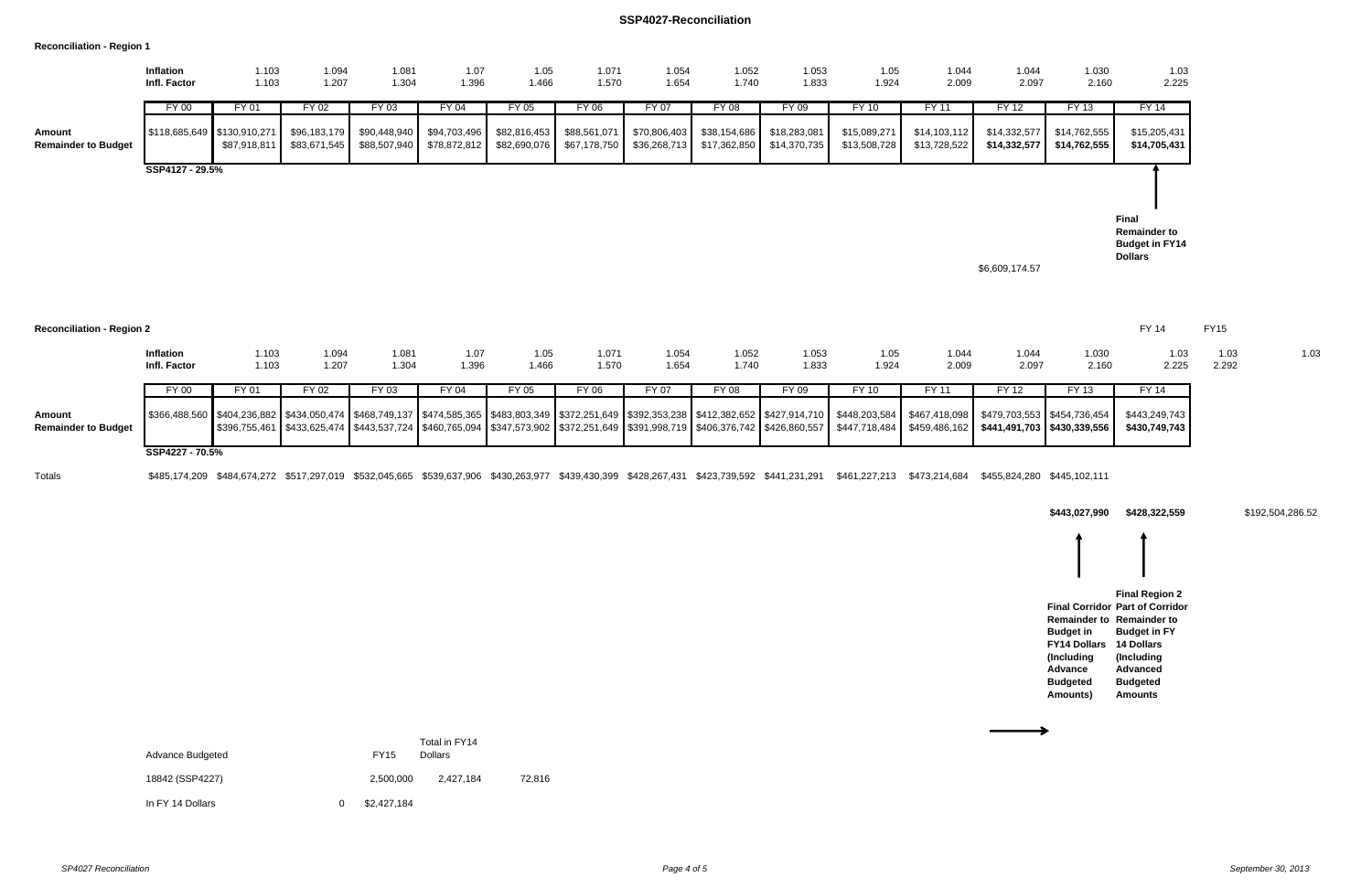#### **SSP4027-Reconciliation**

#### **Reconciliation - Region 1**

|                                      | <b>Inflation</b><br>Infl. Factor                          | 1.103<br>1.103    | 1.094<br>1.207 | 1.081<br>1.304            | 1.07<br>1.396 | 1.05<br>1.466                                                                                         | 1.071<br>1.570 | 1.054<br>1.654 | 1.052<br>1.740            | 1.053<br>1.833                                           | 1.05<br>1.924                | 1.044<br>2.009               | 1.044<br>2.097 | 1.030<br>2.160                              | 1.03<br>2.225                |
|--------------------------------------|-----------------------------------------------------------|-------------------|----------------|---------------------------|---------------|-------------------------------------------------------------------------------------------------------|----------------|----------------|---------------------------|----------------------------------------------------------|------------------------------|------------------------------|----------------|---------------------------------------------|------------------------------|
|                                      | FY 00                                                     | <sup>-</sup> Y 01 | FY 02          | FY 03                     | FY 04         | FY 05                                                                                                 | Y 06           | FY 07          | FY 08                     | FY 09                                                    | FY 10                        | EV 1                         | <b>FY 12</b>   | FY 13                                       | <b>FY 14</b>                 |
| Amount<br><b>Remainder to Budget</b> | $\blacksquare$ \$118,685,649 $\blacksquare$ \$130,910,271 | \$87,918,811      |                | \$83,671,545 \$88,507,940 |               | $$96,183,179$ $$90,448,940$ $$94,703,496$ $$82,816,453$<br>\$78,872,812   \$82,690,076   \$67,178,750 | \$88,561,071   |                | \$36,268,713 \$17,362,850 | \$70,806,403 \$38,154,686 \$18,283,081<br>\$14,370,735 ▌ | \$15,089,271<br>\$13,508,728 | \$14,103,112<br>\$13,728,522 | \$14,332,577   | $$14,332,577$ $$14,762,555$<br>\$14.762.555 | \$15,205,431<br>\$14,705,431 |
|                                      | SSP4127 - 29.5%                                           |                   |                |                           |               |                                                                                                       |                |                |                           |                                                          |                              |                              |                |                                             |                              |



\$6,609,174.57

#### **Reconciliation - Region 2** FY 14 FY15

|                                      | <b>Inflation</b><br>Infl. Factor | 1.103<br>1.103 | 1.094<br>1.207 | 1.081<br>1.304 | 1.07<br>1.396 | 1.05<br>1.466 | 1.071<br>1.570 | 1.054<br>1.654 | 1.052<br>1.740 | 1.053<br>1.833 | 1.05<br>1.924 | 1.044<br>2.009                                                                                                                                                                                                                                                                                                                                                                                               | 1.044<br>2.097 | 1.030<br>2.160 | 1.03<br>2.225                  | 1.03<br>2.292 | 1.03 |
|--------------------------------------|----------------------------------|----------------|----------------|----------------|---------------|---------------|----------------|----------------|----------------|----------------|---------------|--------------------------------------------------------------------------------------------------------------------------------------------------------------------------------------------------------------------------------------------------------------------------------------------------------------------------------------------------------------------------------------------------------------|----------------|----------------|--------------------------------|---------------|------|
|                                      | FY 00                            | $FY$ 0         | FY 02          | FY 03          | $-Y$ 04       | FY 05         | FY 06          | FY 07          | °Y 08          | FY 09          | FY 10         | FY 11                                                                                                                                                                                                                                                                                                                                                                                                        | EV 12          | FY 13          | FY 14                          |               |      |
| Amount<br><b>Remainder to Budget</b> |                                  |                |                |                |               |               |                |                |                |                |               | \$366,488,560 \$404,236,882 \$434,050,474 \$468,749,137 \$474,585,365 \$483,803,349 \$372,251,649 \$392,353,238 \$412,382,652 \$427,914,710 \$448,203,584 \$467,418,098 \$479,703,553 \$454,736,454<br> \$396,755,461  \$433,625,474  \$443,537,724  \$460,765,094  \$347,573,902  \$372,251,649  \$391,998,719  \$406,376,742  \$426,860,557   \$447,718,484   \$459,486,162   \$441,491,703  \$430,339,556 |                |                | \$443,249,743<br>\$430,749,743 |               |      |
|                                      | CCD4007 70 50/                   |                |                |                |               |               |                |                |                |                |               |                                                                                                                                                                                                                                                                                                                                                                                                              |                |                |                                |               |      |

**SSP4227 - 70.5%**

Totals \$485,174,209 \$484,674,272 \$517,297,019 \$532,045,665 \$539,637,906 \$430,263,977 \$439,430,399 \$428,267,431 \$423,739,592 \$441,231,291 \$461,227,213 \$473,214,684 \$455,824,280 \$445,102,111

**\$443,027,990 \$428,322,559** \$192,504,286.52



| Advance Budgeted |   | FY15        | Total in FY14<br><b>Dollars</b> |        |
|------------------|---|-------------|---------------------------------|--------|
| 18842 (SSP4227)  |   | 2,500,000   | 2,427,184                       | 72,816 |
| In FY 14 Dollars | 0 | \$2,427,184 |                                 |        |